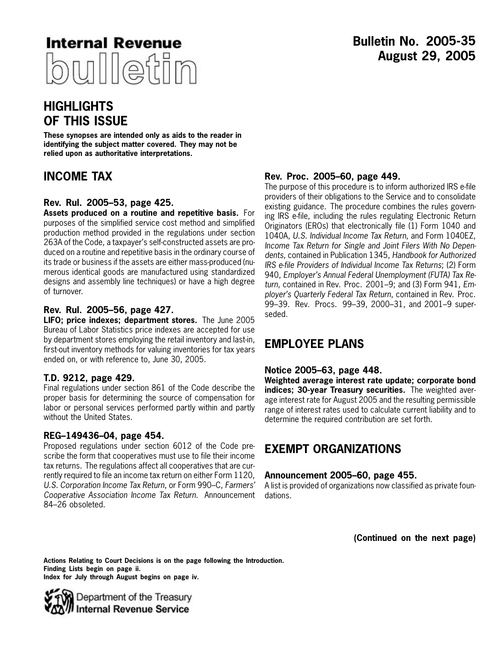

# **HIGHLIGHTS OF THIS ISSUE**

**These synopses are intended only as aids to the reader in identifying the subject matter covered. They may not be relied upon as authoritative interpretations.**

# **INCOME TAX**

# **Rev. Rul. 2005–53, page [425.](#page-6-0)**

**Assets produced on a routine and repetitive basis.** For purposes of the simplified service cost method and simplified production method provided in the regulations under section 263A of the Code, a taxpayer's self-constructed assets are produced on a routine and repetitive basis in the ordinary course of its trade or business if the assets are either mass-produced (numerous identical goods are manufactured using standardized designs and assembly line techniques) or have a high degree of turnover.

# **Rev. Rul. 2005–56, page [427.](#page-8-0)**

**LIFO; price indexes; department stores.** The June 2005 Bureau of Labor Statistics price indexes are accepted for use by department stores employing the retail inventory and last-in, first-out inventory methods for valuing inventories for tax years ended on, or with reference to, June 30, 2005.

# **T.D. 9212, page [429](#page-10-0).**

Final regulations under section 861 of the Code describe the proper basis for determining the source of compensation for labor or personal services performed partly within and partly without the United States.

# **REG–149436–04, page [454](#page-35-0).**

Proposed regulations under section 6012 of the Code prescribe the form that cooperatives must use to file their income tax returns. The regulations affect all cooperatives that are currently required to file an income tax return on either Form 1120, *U.S. Corporation Income Tax Return*, or Form 990–C, *Farmers' Cooperative Association Income Tax Return*. Announcement 84–26 obsoleted.

# **Rev. Proc. 2005–60, page [449](#page-30-0).**

The purpose of this procedure is to inform authorized IRS e-file providers of their obligations to the Service and to consolidate existing guidance. The procedure combines the rules governing IRS e-file, including the rules regulating Electronic Return Originators (EROs) that electronically file (1) Form 1040 and 1040A, *U.S. Individual Income Tax Return*, and Form 1040EZ, *Income Tax Return for Single and Joint Filers With No Dependents*, contained in Publication 1345, *Handbook for Authorized IRS e-file Providers of Individual Income Tax Returns*; (2) Form 940, *Employer's Annual Federal Unemployment (FUTA) Tax Return*, contained in Rev. Proc. 2001–9; and (3) Form 941, *Employer's Quarterly Federal Tax Return*, contained in Rev. Proc. 99–39. Rev. Procs. 99–39, 2000–31, and 2001–9 superseded.

# **EMPLOYEE PLANS**

# **Notice 2005–63, page [448.](#page-29-0)**

**Weighted average interest rate update; corporate bond indices; 30-year Treasury securities.** The weighted average interest rate for August 2005 and the resulting permissible range of interest rates used to calculate current liability and to determine the required contribution are set forth.

# **EXEMPT ORGANIZATIONS**

# **Announcement 2005–60, page [455](#page-36-0).**

A list is provided of organizations now classified as private foundations.

**(Continued on the next page)**

**Actions Relating to Court Decisions is on the page following the Introduction. Finding Lists begin on page ii. Index for July through August begins on page iv.**

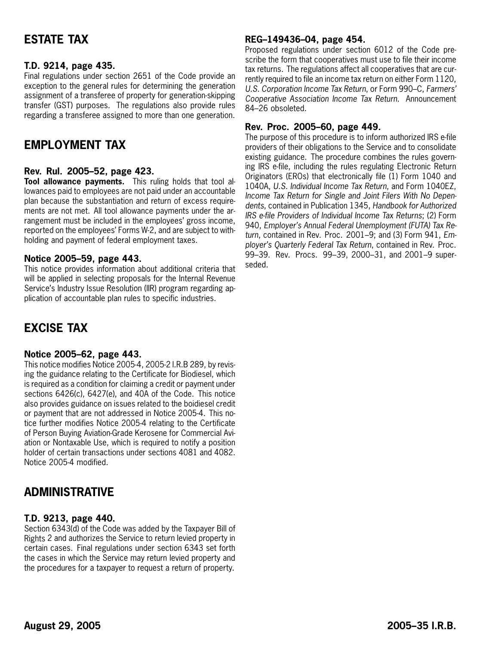# **ESTATE TAX**

# **T.D. 9214, page [435](#page-16-0).**

Final regulations under section 2651 of the Code provide an exception to the general rules for determining the generation assignment of a transferee of property for generation-skipping transfer (GST) purposes. The regulations also provide rules regarding a transferee assigned to more than one generation.

# **EMPLOYMENT TAX**

# **Rev. Rul. 2005–52, page [423.](#page-4-0)**

**Tool allowance payments.** This ruling holds that tool allowances paid to employees are not paid under an accountable plan because the substantiation and return of excess requirements are not met. All tool allowance payments under the arrangement must be included in the employees' gross income, reported on the employees' Forms W-2, and are subject to withholding and payment of federal employment taxes.

# **Notice 2005–59, page [443](#page-24-0).**

This notice provides information about additional criteria that will be applied in selecting proposals for the Internal Revenue Service's Industry Issue Resolution (IIR) program regarding application of accountable plan rules to specific industries.

# **EXCISE TAX**

# **Notice 2005–62, page [443](#page-24-0).**

This notice modifies Notice 2005-4, 2005-2 I.R.B 289, by revising the guidance relating to the Certificate for Biodiesel, which is required as a condition for claiming a credit or payment under sections 6426(c), 6427(e), and 40A of the Code. This notice also provides guidance on issues related to the boidiesel credit or payment that are not addressed in Notice 2005-4. This notice further modifies Notice 2005-4 relating to the Certificate of Person Buying Aviation-Grade Kerosene for Commercial Aviation or Nontaxable Use, which is required to notify a position holder of certain transactions under sections 4081 and 4082. Notice 2005-4 modified.

# **ADMINISTRATIVE**

# **T.D. 9213, page [440](#page-21-0).**

Section 6343(d) of the Code was added by the Taxpayer Bill of Rights 2 and authorizes the Service to return levied property in certain cases. Final regulations under section 6343 set forth the cases in which the Service may return levied property and the procedures for a taxpayer to request a return of property.

# **REG–149436–04, page [454](#page-35-0).**

Proposed regulations under section 6012 of the Code prescribe the form that cooperatives must use to file their income tax returns. The regulations affect all cooperatives that are currently required to file an income tax return on either Form 1120, *U.S. Corporation Income Tax Return*, or Form 990–C, *Farmers' Cooperative Association Income Tax Return*. Announcement 84–26 obsoleted.

# **Rev. Proc. 2005–60, page [449](#page-30-0).**

The purpose of this procedure is to inform authorized IRS e-file providers of their obligations to the Service and to consolidate existing guidance. The procedure combines the rules governing IRS e-file, including the rules regulating Electronic Return Originators (EROs) that electronically file (1) Form 1040 and 1040A, *U.S. Individual Income Tax Return*, and Form 1040EZ, *Income Tax Return for Single and Joint Filers With No Dependents*, contained in Publication 1345, *Handbook for Authorized IRS e-file Providers of Individual Income Tax Returns*; (2) Form 940, *Employer's Annual Federal Unemployment (FUTA) Tax Return*, contained in Rev. Proc. 2001–9; and (3) Form 941, *Employer's Quarterly Federal Tax Return*, contained in Rev. Proc. 99–39. Rev. Procs. 99–39, 2000–31, and 2001–9 superseded.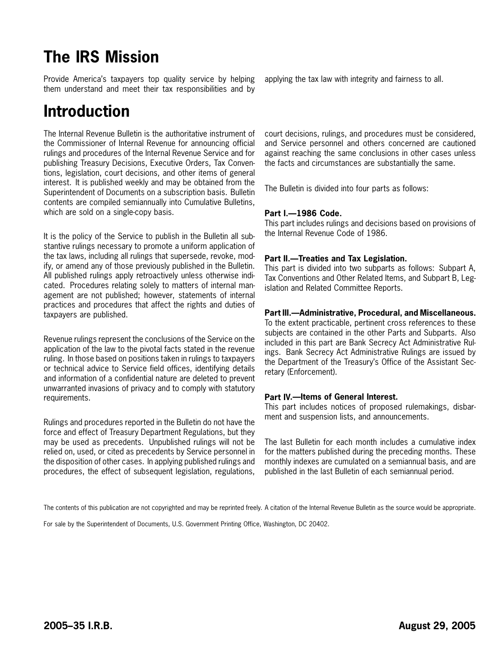# **The IRS Mission**

Provide America's taxpayers top quality service by helping them understand and meet their tax responsibilities and by

# **Introduction**

The Internal Revenue Bulletin is the authoritative instrument of the Commissioner of Internal Revenue for announcing official rulings and procedures of the Internal Revenue Service and for publishing Treasury Decisions, Executive Orders, Tax Conventions, legislation, court decisions, and other items of general interest. It is published weekly and may be obtained from the Superintendent of Documents on a subscription basis. Bulletin contents are compiled semiannually into Cumulative Bulletins, which are sold on a single-copy basis.

It is the policy of the Service to publish in the Bulletin all substantive rulings necessary to promote a uniform application of the tax laws, including all rulings that supersede, revoke, modify, or amend any of those previously published in the Bulletin. All published rulings apply retroactively unless otherwise indicated. Procedures relating solely to matters of internal management are not published; however, statements of internal practices and procedures that affect the rights and duties of taxpayers are published.

Revenue rulings represent the conclusions of the Service on the application of the law to the pivotal facts stated in the revenue ruling. In those based on positions taken in rulings to taxpayers or technical advice to Service field offices, identifying details and information of a confidential nature are deleted to prevent unwarranted invasions of privacy and to comply with statutory requirements.

Rulings and procedures reported in the Bulletin do not have the force and effect of Treasury Department Regulations, but they may be used as precedents. Unpublished rulings will not be relied on, used, or cited as precedents by Service personnel in the disposition of other cases. In applying published rulings and procedures, the effect of subsequent legislation, regulations,

applying the tax law with integrity and fairness to all.

court decisions, rulings, and procedures must be considered, and Service personnel and others concerned are cautioned against reaching the same conclusions in other cases unless the facts and circumstances are substantially the same.

The Bulletin is divided into four parts as follows:

# **Part I.—1986 Code.**

This part includes rulings and decisions based on provisions of the Internal Revenue Code of 1986.

# **Part II.—Treaties and Tax Legislation.**

This part is divided into two subparts as follows: Subpart A, Tax Conventions and Other Related Items, and Subpart B, Legislation and Related Committee Reports.

# **Part III.—Administrative, Procedural, and Miscellaneous.**

To the extent practicable, pertinent cross references to these subjects are contained in the other Parts and Subparts. Also included in this part are Bank Secrecy Act Administrative Rulings. Bank Secrecy Act Administrative Rulings are issued by the Department of the Treasury's Office of the Assistant Secretary (Enforcement).

# **Part IV.—Items of General Interest.**

This part includes notices of proposed rulemakings, disbarment and suspension lists, and announcements.

The last Bulletin for each month includes a cumulative index for the matters published during the preceding months. These monthly indexes are cumulated on a semiannual basis, and are published in the last Bulletin of each semiannual period.

For sale by the Superintendent of Documents, U.S. Government Printing Office, Washington, DC 20402.

The contents of this publication are not copyrighted and may be reprinted freely. A citation of the Internal Revenue Bulletin as the source would be appropriate.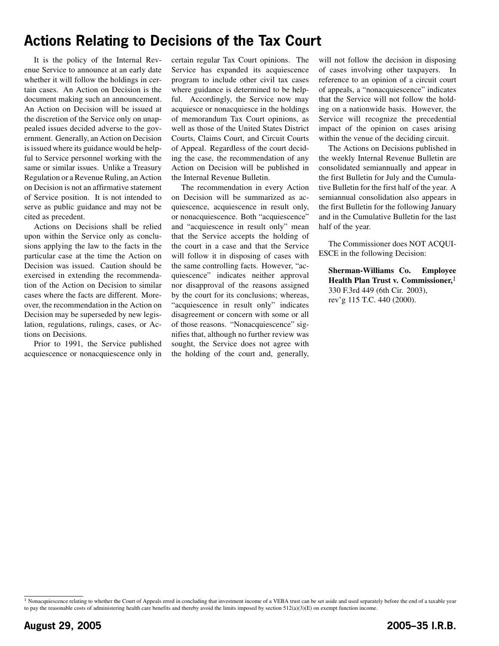# **Actions Relating to Decisions of the Tax Court**

It is the policy of the Internal Revenue Service to announce at an early date whether it will follow the holdings in certain cases. An Action on Decision is the document making such an announcement. An Action on Decision will be issued at the discretion of the Service only on unappealed issues decided adverse to the government. Generally, an Action on Decision is issued where its guidance would be helpful to Service personnel working with the same or similar issues. Unlike a Treasury Regulation or a Revenue Ruling, an Action on Decision is not an affirmative statement of Service position. It is not intended to serve as public guidance and may not be cited as precedent.

Actions on Decisions shall be relied upon within the Service only as conclusions applying the law to the facts in the particular case at the time the Action on Decision was issued. Caution should be exercised in extending the recommendation of the Action on Decision to similar cases where the facts are different. Moreover, the recommendation in the Action on Decision may be superseded by new legislation, regulations, rulings, cases, or Actions on Decisions.

Prior to 1991, the Service published acquiescence or nonacquiescence only in certain regular Tax Court opinions. The Service has expanded its acquiescence program to include other civil tax cases where guidance is determined to be helpful. Accordingly, the Service now may acquiesce or nonacquiesce in the holdings of memorandum Tax Court opinions, as well as those of the United States District Courts, Claims Court, and Circuit Courts of Appeal. Regardless of the court deciding the case, the recommendation of any Action on Decision will be published in the Internal Revenue Bulletin.

The recommendation in every Action on Decision will be summarized as acquiescence, acquiescence in result only, or nonacquiescence. Both "acquiescence" and "acquiescence in result only" mean that the Service accepts the holding of the court in a case and that the Service will follow it in disposing of cases with the same controlling facts. However, "acquiescence" indicates neither approval nor disapproval of the reasons assigned by the court for its conclusions; whereas, "acquiescence in result only" indicates disagreement or concern with some or all of those reasons. "Nonacquiescence" signifies that, although no further review was sought, the Service does not agree with the holding of the court and, generally,

will not follow the decision in disposing of cases involving other taxpayers. In reference to an opinion of a circuit court of appeals, a "nonacquiescence" indicates that the Service will not follow the holding on a nationwide basis. However, the Service will recognize the precedential impact of the opinion on cases arising within the venue of the deciding circuit.

The Actions on Decisions published in the weekly Internal Revenue Bulletin are consolidated semiannually and appear in the first Bulletin for July and the Cumulative Bulletin for the first half of the year. A semiannual consolidation also appears in the first Bulletin for the following January and in the Cumulative Bulletin for the last half of the year.

The Commissioner does NOT ACQUI-ESCE in the following Decision:

**Sherman-Williams Co. Employee Health Plan Trust v. Commissioner,**1 330 F.3rd 449 (6th Cir. 2003), rev'g 115 T.C. 440 (2000).

<sup>&</sup>lt;sup>1</sup> Nonacquiescence relating to whether the Court of Appeals erred in concluding that investment income of a VEBA trust can be set aside and used separately before the end of a taxable year to pay the reasonable costs of administering health care benefits and thereby avoid the limits imposed by section 512(a)(3)(E) on exempt function income.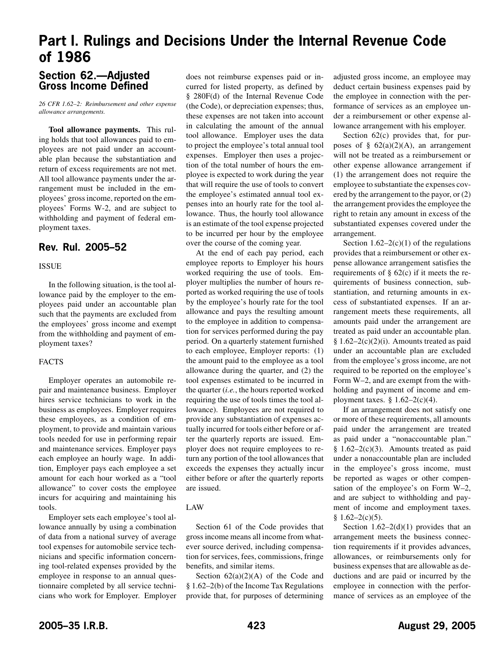# <span id="page-4-0"></span>**Part I. Rulings and Decisions Under the Internal Revenue Code of 1986**

# **Section 62.—Adjusted Gross Income Defined**

*26 CFR 1.62–2: Reimbursement and other expense allowance arrangements.*

**Tool allowance payments.** This ruling holds that tool allowances paid to employees are not paid under an accountable plan because the substantiation and return of excess requirements are not met. All tool allowance payments under the arrangement must be included in the employees' gross income, reported on the employees' Forms W-2, and are subject to withholding and payment of federal employment taxes.

# **Rev. Rul. 2005–52**

## ISSUE

In the following situation, is the tool allowance paid by the employer to the employees paid under an accountable plan such that the payments are excluded from the employees' gross income and exempt from the withholding and payment of employment taxes?

# FACTS

Employer operates an automobile repair and maintenance business. Employer hires service technicians to work in the business as employees. Employer requires these employees, as a condition of employment, to provide and maintain various tools needed for use in performing repair and maintenance services. Employer pays each employee an hourly wage. In addition, Employer pays each employee a set amount for each hour worked as a "tool allowance" to cover costs the employee incurs for acquiring and maintaining his tools.

Employer sets each employee's tool allowance annually by using a combination of data from a national survey of average tool expenses for automobile service technicians and specific information concerning tool-related expenses provided by the employee in response to an annual questionnaire completed by all service technicians who work for Employer. Employer

does not reimburse expenses paid or incurred for listed property, as defined by § 280F(d) of the Internal Revenue Code (the Code), or depreciation expenses; thus, these expenses are not taken into account in calculating the amount of the annual tool allowance. Employer uses the data to project the employee's total annual tool expenses. Employer then uses a projection of the total number of hours the employee is expected to work during the year that will require the use of tools to convert the employee's estimated annual tool expenses into an hourly rate for the tool allowance. Thus, the hourly tool allowance is an estimate of the tool expense projected to be incurred per hour by the employee over the course of the coming year.

At the end of each pay period, each employee reports to Employer his hours worked requiring the use of tools. Employer multiplies the number of hours reported as worked requiring the use of tools by the employee's hourly rate for the tool allowance and pays the resulting amount to the employee in addition to compensation for services performed during the pay period. On a quarterly statement furnished to each employee, Employer reports: (1) the amount paid to the employee as a tool allowance during the quarter, and (2) the tool expenses estimated to be incurred in the quarter (*i.e.*, the hours reported worked requiring the use of tools times the tool allowance). Employees are not required to provide any substantiation of expenses actually incurred for tools either before or after the quarterly reports are issued. Employer does not require employees to return any portion of the tool allowances that exceeds the expenses they actually incur either before or after the quarterly reports are issued.

# LAW

Section 61 of the Code provides that gross income means all income from whatever source derived, including compensation for services, fees, commissions, fringe benefits, and similar items.

Section  $62(a)(2)(A)$  of the Code and § 1.62–2(b) of the Income Tax Regulations provide that, for purposes of determining adjusted gross income, an employee may deduct certain business expenses paid by the employee in connection with the performance of services as an employee under a reimbursement or other expense allowance arrangement with his employer.

Section  $62(c)$  provides that, for purposes of §  $62(a)(2)(A)$ , an arrangement will not be treated as a reimbursement or other expense allowance arrangement if (1) the arrangement does not require the employee to substantiate the expenses covered by the arrangement to the payor, or (2) the arrangement provides the employee the right to retain any amount in excess of the substantiated expenses covered under the arrangement.

Section  $1.62-2(c)(1)$  of the regulations provides that a reimbursement or other expense allowance arrangement satisfies the requirements of  $\S$  62(c) if it meets the requirements of business connection, substantiation, and returning amounts in excess of substantiated expenses. If an arrangement meets these requirements, all amounts paid under the arrangement are treated as paid under an accountable plan. §  $1.62-2(c)(2)(i)$ . Amounts treated as paid under an accountable plan are excluded from the employee's gross income, are not required to be reported on the employee's Form W–2, and are exempt from the withholding and payment of income and employment taxes.  $§ 1.62-2(c)(4)$ .

If an arrangement does not satisfy one or more of these requirements, all amounts paid under the arrangement are treated as paid under a "nonaccountable plan." §  $1.62-2(c)(3)$ . Amounts treated as paid under a nonaccountable plan are included in the employee's gross income, must be reported as wages or other compensation of the employee's on Form W–2, and are subject to withholding and payment of income and employment taxes.  $§ 1.62-2(c)(5).$ 

Section  $1.62-2(d)(1)$  provides that an arrangement meets the business connection requirements if it provides advances, allowances, or reimbursements only for business expenses that are allowable as deductions and are paid or incurred by the employee in connection with the performance of services as an employee of the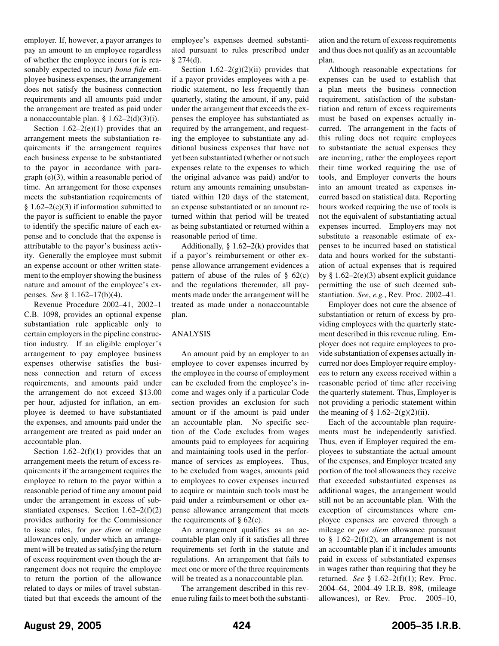employer. If, however, a payor arranges to pay an amount to an employee regardless of whether the employee incurs (or is reasonably expected to incur) *bona fide* employee business expenses, the arrangement does not satisfy the business connection requirements and all amounts paid under the arrangement are treated as paid under a nonaccountable plan.  $\S$  1.62–2(d)(3)(i).

Section  $1.62-2(e)(1)$  provides that an arrangement meets the substantiation requirements if the arrangement requires each business expense to be substantiated to the payor in accordance with paragraph (e)(3), within a reasonable period of time. An arrangement for those expenses meets the substantiation requirements of  $§ 1.62-2(e)(3)$  if information submitted to the payor is sufficient to enable the payor to identify the specific nature of each expense and to conclude that the expense is attributable to the payor's business activity. Generally the employee must submit an expense account or other written statement to the employer showing the business nature and amount of the employee's expenses. *See* § 1.162–17(b)(4).

Revenue Procedure 2002–41, 2002–1 C.B. 1098, provides an optional expense substantiation rule applicable only to certain employers in the pipeline construction industry. If an eligible employer's arrangement to pay employee business expenses otherwise satisfies the business connection and return of excess requirements, and amounts paid under the arrangement do not exceed \$13.00 per hour, adjusted for inflation, an employee is deemed to have substantiated the expenses, and amounts paid under the arrangement are treated as paid under an accountable plan.

Section  $1.62-2(f)(1)$  provides that an arrangement meets the return of excess requirements if the arrangement requires the employee to return to the payor within a reasonable period of time any amount paid under the arrangement in excess of substantiated expenses. Section 1.62–2(f)(2) provides authority for the Commissioner to issue rules, for *per diem* or mileage allowances only, under which an arrangement will be treated as satisfying the return of excess requirement even though the arrangement does not require the employee to return the portion of the allowance related to days or miles of travel substantiated but that exceeds the amount of the employee's expenses deemed substantiated pursuant to rules prescribed under § 274(d).

Section  $1.62-2(g)(2)(ii)$  provides that if a payor provides employees with a periodic statement, no less frequently than quarterly, stating the amount, if any, paid under the arrangement that exceeds the expenses the employee has substantiated as required by the arrangement, and requesting the employee to substantiate any additional business expenses that have not yet been substantiated (whether or not such expenses relate to the expenses to which the original advance was paid) and/or to return any amounts remaining unsubstantiated within 120 days of the statement, an expense substantiated or an amount returned within that period will be treated as being substantiated or returned within a reasonable period of time.

Additionally,  $\S 1.62-2(k)$  provides that if a payor's reimbursement or other expense allowance arrangement evidences a pattern of abuse of the rules of  $\S$  62(c) and the regulations thereunder, all payments made under the arrangement will be treated as made under a nonaccountable plan.

# ANALYSIS

An amount paid by an employer to an employee to cover expenses incurred by the employee in the course of employment can be excluded from the employee's income and wages only if a particular Code section provides an exclusion for such amount or if the amount is paid under an accountable plan. No specific section of the Code excludes from wages amounts paid to employees for acquiring and maintaining tools used in the performance of services as employees. Thus, to be excluded from wages, amounts paid to employees to cover expenses incurred to acquire or maintain such tools must be paid under a reimbursement or other expense allowance arrangement that meets the requirements of  $\S$  62(c).

An arrangement qualifies as an accountable plan only if it satisfies all three requirements set forth in the statute and regulations. An arrangement that fails to meet one or more of the three requirements will be treated as a nonaccountable plan.

The arrangement described in this revenue ruling fails to meet both the substantiation and the return of excess requirements and thus does not qualify as an accountable plan.

Although reasonable expectations for expenses can be used to establish that a plan meets the business connection requirement, satisfaction of the substantiation and return of excess requirements must be based on expenses actually incurred. The arrangement in the facts of this ruling does not require employees to substantiate the actual expenses they are incurring; rather the employees report their time worked requiring the use of tools, and Employer converts the hours into an amount treated as expenses incurred based on statistical data. Reporting hours worked requiring the use of tools is not the equivalent of substantiating actual expenses incurred. Employers may not substitute a reasonable estimate of expenses to be incurred based on statistical data and hours worked for the substantiation of actual expenses that is required by  $§ 1.62-2(e)(3)$  absent explicit guidance permitting the use of such deemed substantiation. *See*, *e.g.*, Rev. Proc. 2002–41.

Employer does not cure the absence of substantiation or return of excess by providing employees with the quarterly statement described in this revenue ruling. Employer does not require employees to provide substantiation of expenses actually incurred nor does Employer require employees to return any excess received within a reasonable period of time after receiving the quarterly statement. Thus, Employer is not providing a periodic statement within the meaning of  $\S 1.62-2(g)(2)(ii)$ .

Each of the accountable plan requirements must be independently satisfied. Thus, even if Employer required the employees to substantiate the actual amount of the expenses, and Employer treated any portion of the tool allowances they receive that exceeded substantiated expenses as additional wages, the arrangement would still not be an accountable plan. With the exception of circumstances where employee expenses are covered through a mileage or *per diem* allowance pursuant to  $§$  1.62–2(f)(2), an arrangement is not an accountable plan if it includes amounts paid in excess of substantiated expenses in wages rather than requiring that they be returned. *See* § 1.62–2(f)(1); Rev. Proc. 2004–64, 2004–49 I.R.B. 898, (mileage allowances), or Rev. Proc. 2005–10,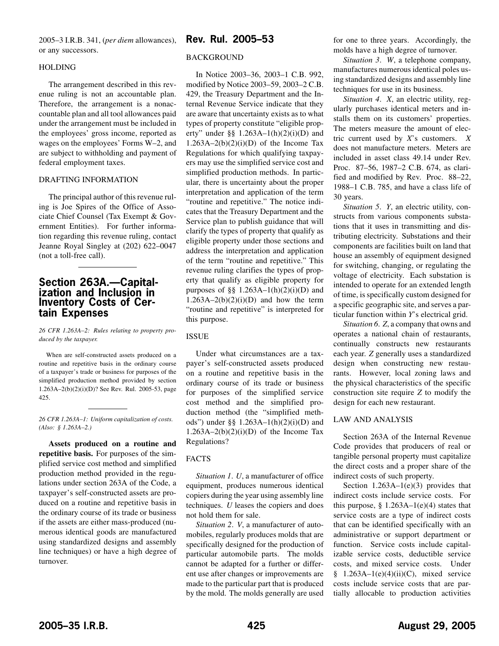<span id="page-6-0"></span>2005–3 I.R.B. 341, (*per diem* allowances), or any successors.

## HOLDING

The arrangement described in this revenue ruling is not an accountable plan. Therefore, the arrangement is a nonaccountable plan and all tool allowances paid under the arrangement must be included in the employees' gross income, reported as wages on the employees' Forms W–2, and are subject to withholding and payment of federal employment taxes.

## DRAFTING INFORMATION

The principal author of this revenue ruling is Joe Spires of the Office of Associate Chief Counsel (Tax Exempt & Government Entities). For further information regarding this revenue ruling, contact Jeanne Royal Singley at (202) 622–0047 (not a toll-free call).

# **Section 263A.—Capitalization and Inclusion in Inventory Costs of Certain Expenses**

*26 CFR 1.263A–2: Rules relating to property produced by the taxpayer.*

When are self-constructed assets produced on a routine and repetitive basis in the ordinary course of a taxpayer's trade or business for purposes of the simplified production method provided by section 1.263A–2(b)(2)(i)(D)? See Rev. Rul. 2005-53, page 425.

*26 CFR 1.263A–1: Uniform capitalization of costs. (Also: § 1.263A–2.)*

**Assets produced on a routine and repetitive basis.** For purposes of the simplified service cost method and simplified production method provided in the regulations under section 263A of the Code, a taxpayer's self-constructed assets are produced on a routine and repetitive basis in the ordinary course of its trade or business if the assets are either mass-produced (numerous identical goods are manufactured using standardized designs and assembly line techniques) or have a high degree of turnover.

# **Rev. Rul. 2005–53**

#### BACKGROUND

In Notice 2003–36, 2003–1 C.B. 992, modified by Notice 2003–59, 2003–2 C.B. 429, the Treasury Department and the Internal Revenue Service indicate that they are aware that uncertainty exists as to what types of property constitute "eligible property" under §§  $1.263A-1(h)(2)(i)(D)$  and  $1.263A-2(b)(2)(i)(D)$  of the Income Tax Regulations for which qualifying taxpayers may use the simplified service cost and simplified production methods. In particular, there is uncertainty about the proper interpretation and application of the term "routine and repetitive." The notice indicates that the Treasury Department and the Service plan to publish guidance that will clarify the types of property that qualify as eligible property under those sections and address the interpretation and application of the term "routine and repetitive." This revenue ruling clarifies the types of property that qualify as eligible property for purposes of  $\S\S 1.263A-1(h)(2)(i)(D)$  and  $1.263A-2(b)(2)(i)(D)$  and how the term "routine and repetitive" is interpreted for this purpose.

# ISSUE

Under what circumstances are a taxpayer's self-constructed assets produced on a routine and repetitive basis in the ordinary course of its trade or business for purposes of the simplified service cost method and the simplified production method (the "simplified methods") under §§ 1.263A–1(h)(2)(i)(D) and  $1.263A-2(b)(2)(i)(D)$  of the Income Tax Regulations?

# FACTS

*Situation 1*. *U*, a manufacturer of office equipment, produces numerous identical copiers during the year using assembly line techniques. *U* leases the copiers and does not hold them for sale.

*Situation 2*. *V*, a manufacturer of automobiles, regularly produces molds that are specifically designed for the production of particular automobile parts. The molds cannot be adapted for a further or different use after changes or improvements are made to the particular part that is produced by the mold. The molds generally are used for one to three years. Accordingly, the molds have a high degree of turnover.

*Situation 3*. *W*, a telephone company, manufactures numerous identical poles using standardized designs and assembly line techniques for use in its business.

*Situation 4*. *X*, an electric utility, regularly purchases identical meters and installs them on its customers' properties. The meters measure the amount of electric current used by *X*'s customers. *X* does not manufacture meters. Meters are included in asset class 49.14 under Rev. Proc. 87–56, 1987–2 C.B. 674, as clarified and modified by Rev. Proc. 88–22, 1988–1 C.B. 785, and have a class life of 30 years.

*Situation 5*. *Y*, an electric utility, constructs from various components substations that it uses in transmitting and distributing electricity. Substations and their components are facilities built on land that house an assembly of equipment designed for switching, changing, or regulating the voltage of electricity. Each substation is intended to operate for an extended length of time, is specifically custom designed for a specific geographic site, and serves a particular function within *Y*'s electrical grid.

*Situation 6*. *Z*, a company that owns and operates a national chain of restaurants, continually constructs new restaurants each year. *Z* generally uses a standardized design when constructing new restaurants. However, local zoning laws and the physical characteristics of the specific construction site require *Z* to modify the design for each new restaurant.

# LAW AND ANALYSIS

Section 263A of the Internal Revenue Code provides that producers of real or tangible personal property must capitalize the direct costs and a proper share of the indirect costs of such property.

Section 1.263A-1(e)(3) provides that indirect costs include service costs. For this purpose,  $\S$  1.263A–1(e)(4) states that service costs are a type of indirect costs that can be identified specifically with an administrative or support department or function. Service costs include capitalizable service costs, deductible service costs, and mixed service costs. Under  $§$  1.263A-1(e)(4)(ii)(C), mixed service costs include service costs that are partially allocable to production activities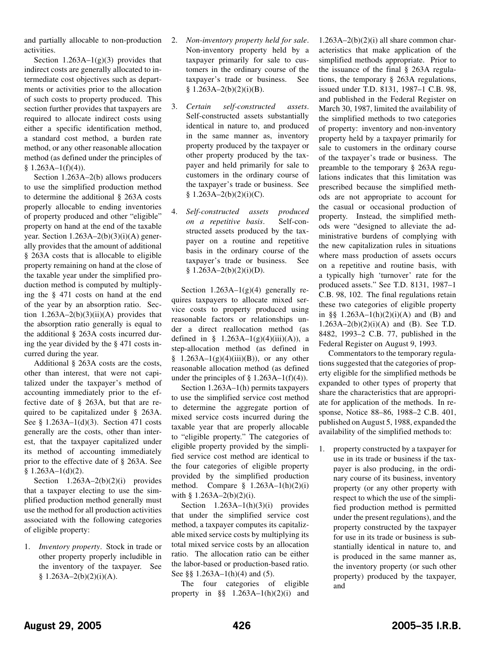and partially allocable to non-production activities.

Section  $1.263A-1(g)(3)$  provides that indirect costs are generally allocated to intermediate cost objectives such as departments or activities prior to the allocation of such costs to property produced. This section further provides that taxpayers are required to allocate indirect costs using either a specific identification method, a standard cost method, a burden rate method, or any other reasonable allocation method (as defined under the principles of  $§ 1.263A-1(f)(4)$ .

Section 1.263A–2(b) allows producers to use the simplified production method to determine the additional § 263A costs properly allocable to ending inventories of property produced and other "eligible" property on hand at the end of the taxable year. Section  $1.263A-2(b)(3)(i)(A)$  generally provides that the amount of additional § 263A costs that is allocable to eligible property remaining on hand at the close of the taxable year under the simplified production method is computed by multiplying the § 471 costs on hand at the end of the year by an absorption ratio. Section  $1.263A-2(b)(3)(ii)(A)$  provides that the absorption ratio generally is equal to the additional § 263A costs incurred during the year divided by the § 471 costs incurred during the year.

Additional § 263A costs are the costs, other than interest, that were not capitalized under the taxpayer's method of accounting immediately prior to the effective date of § 263A, but that are required to be capitalized under § 263A. See § 1.263A–1(d)(3). Section 471 costs generally are the costs, other than interest, that the taxpayer capitalized under its method of accounting immediately prior to the effective date of § 263A. See  $§ 1.263A-1(d)(2).$ 

Section  $1.263A-2(b)(2)(i)$  provides that a taxpayer electing to use the simplified production method generally must use the method for all production activities associated with the following categories of eligible property:

1. *Inventory property*. Stock in trade or other property properly includible in the inventory of the taxpayer. See  $§ 1.263A - 2(b)(2)(i)(A).$ 

- 2. *Non-inventory property held for sale*. Non-inventory property held by a taxpayer primarily for sale to customers in the ordinary course of the taxpayer's trade or business. See  $§ 1.263A-2(b)(2)(i)(B).$
- 3. *Certain self-constructed assets*. Self-constructed assets substantially identical in nature to, and produced in the same manner as, inventory property produced by the taxpayer or other property produced by the taxpayer and held primarily for sale to customers in the ordinary course of the taxpayer's trade or business. See  $§ 1.263A - 2(b)(2)(i)(C).$
- 4. *Self-constructed assets produced on a repetitive basis*. Self-constructed assets produced by the taxpayer on a routine and repetitive basis in the ordinary course of the taxpayer's trade or business. See  $§ 1.263A-2(b)(2)(i)(D).$

Section  $1.263A-1(g)(4)$  generally requires taxpayers to allocate mixed service costs to property produced using reasonable factors or relationships under a direct reallocation method (as defined in §  $1.263A-1(g)(4)(iii)(A)$ , a step-allocation method (as defined in  $§$  1.263A-1(g)(4)(iii)(B)), or any other reasonable allocation method (as defined under the principles of  $\S$  1.263A–1(f)(4)).

Section 1.263A–1(h) permits taxpayers to use the simplified service cost method to determine the aggregate portion of mixed service costs incurred during the taxable year that are properly allocable to "eligible property." The categories of eligible property provided by the simplified service cost method are identical to the four categories of eligible property provided by the simplified production method. Compare  $§$  1.263A–1(h)(2)(i) with §  $1.263A - 2(b)(2)(i)$ .

Section  $1.263A-1(h)(3)(i)$  provides that under the simplified service cost method, a taxpayer computes its capitalizable mixed service costs by multiplying its total mixed service costs by an allocation ratio. The allocation ratio can be either the labor-based or production-based ratio. See §§ 1.263A–1(h)(4) and (5).

The four categories of eligible property in  $\S$  1.263A–1(h)(2)(i) and

 $1.263A-2(b)(2)(i)$  all share common characteristics that make application of the simplified methods appropriate. Prior to the issuance of the final § 263A regulations, the temporary § 263A regulations, issued under T.D. 8131, 1987–1 C.B. 98, and published in the Federal Register on March 30, 1987, limited the availability of the simplified methods to two categories of property: inventory and non-inventory property held by a taxpayer primarily for sale to customers in the ordinary course of the taxpayer's trade or business. The preamble to the temporary § 263A regulations indicates that this limitation was prescribed because the simplified methods are not appropriate to account for the casual or occasional production of property. Instead, the simplified methods were "designed to alleviate the administrative burdens of complying with the new capitalization rules in situations where mass production of assets occurs on a repetitive and routine basis, with a typically high 'turnover' rate for the produced assets." See T.D. 8131, 1987–1 C.B. 98, 102. The final regulations retain these two categories of eligible property in §§  $1.263A-1(h)(2)(i)(A)$  and (B) and 1.263A–2(b)(2)(i)(A) and (B). See T.D. 8482, 1993–2 C.B. 77, published in the Federal Register on August 9, 1993.

Commentators to the temporary regulations suggested that the categories of property eligible for the simplified methods be expanded to other types of property that share the characteristics that are appropriate for application of the methods. In response, Notice 88–86, 1988–2 C.B. 401, published on August 5, 1988, expanded the availability of the simplified methods to:

1. property constructed by a taxpayer for use in its trade or business if the taxpayer is also producing, in the ordinary course of its business, inventory property (or any other property with respect to which the use of the simplified production method is permitted under the present regulations), and the property constructed by the taxpayer for use in its trade or business is substantially identical in nature to, and is produced in the same manner as, the inventory property (or such other property) produced by the taxpayer, and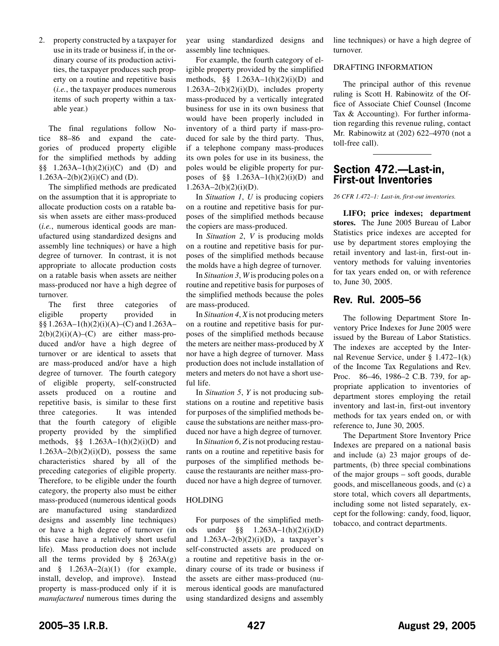<span id="page-8-0"></span>2. property constructed by a taxpayer for use in its trade or business if, in the ordinary course of its production activities, the taxpayer produces such property on a routine and repetitive basis (*i.e.*, the taxpayer produces numerous items of such property within a taxable year.)

The final regulations follow Notice 88–86 and expand the categories of produced property eligible for the simplified methods by adding §§ 1.263A–1(h)(2)(i)(C) and (D) and  $1.263A-2(b)(2)(i)(C)$  and (D).

The simplified methods are predicated on the assumption that it is appropriate to allocate production costs on a ratable basis when assets are either mass-produced (*i.e.*, numerous identical goods are manufactured using standardized designs and assembly line techniques) or have a high degree of turnover. In contrast, it is not appropriate to allocate production costs on a ratable basis when assets are neither mass-produced nor have a high degree of turnover.

The first three categories of eligible property provided in §§ 1.263A–1(h)(2)(i)(A)–(C) and 1.263A–  $2(b)(2)(i)(A)$ – $(C)$  are either mass-produced and/or have a high degree of turnover or are identical to assets that are mass-produced and/or have a high degree of turnover. The fourth category of eligible property, self-constructed assets produced on a routine and repetitive basis, is similar to these first three categories. It was intended that the fourth category of eligible property provided by the simplified methods,  $\S_{\text{S}}$  1.263A–1(h)(2)(i)(D) and  $1.263A-2(b)(2)(i)(D)$ , possess the same characteristics shared by all of the preceding categories of eligible property. Therefore, to be eligible under the fourth category, the property also must be either mass-produced (numerous identical goods are manufactured using standardized designs and assembly line techniques) or have a high degree of turnover (in this case have a relatively short useful life). Mass production does not include all the terms provided by  $\S$  263A(g) and  $§$  1.263A–2(a)(1) (for example, install, develop, and improve). Instead property is mass-produced only if it is *manufactured* numerous times during the

year using standardized designs and assembly line techniques.

For example, the fourth category of eligible property provided by the simplified methods,  $\S_{\frac{1}{2}}$  1.263A–1(h)(2)(i)(D) and  $1.263A-2(b)(2)(i)(D)$ , includes property mass-produced by a vertically integrated business for use in its own business that would have been properly included in inventory of a third party if mass-produced for sale by the third party. Thus, if a telephone company mass-produces its own poles for use in its business, the poles would be eligible property for purposes of  $\S$  1.263A–1(h)(2)(i)(D) and  $1.263A - 2(b)(2)(i)(D)$ .

In *Situation 1*, *U* is producing copiers on a routine and repetitive basis for purposes of the simplified methods because the copiers are mass-produced.

In *Situation 2*, *V* is producing molds on a routine and repetitive basis for purposes of the simplified methods because the molds have a high degree of turnover.

In *Situation 3*, *W* is producing poles on a routine and repetitive basis for purposes of the simplified methods because the poles are mass-produced.

In *Situation 4*, *X* is not producing meters on a routine and repetitive basis for purposes of the simplified methods because the meters are neither mass-produced by *X* nor have a high degree of turnover. Mass production does not include installation of meters and meters do not have a short useful life.

In *Situation 5*, *Y* is not producing substations on a routine and repetitive basis for purposes of the simplified methods because the substations are neither mass-produced nor have a high degree of turnover.

In *Situation 6*, *Z* is not producing restaurants on a routine and repetitive basis for purposes of the simplified methods because the restaurants are neither mass-produced nor have a high degree of turnover.

# HOLDING

For purposes of the simplified methods under §§ 1.263A–1(h)(2)(i)(D) and  $1.263A-2(b)(2)(i)(D)$ , a taxpayer's self-constructed assets are produced on a routine and repetitive basis in the ordinary course of its trade or business if the assets are either mass-produced (numerous identical goods are manufactured using standardized designs and assembly line techniques) or have a high degree of turnover.

## DRAFTING INFORMATION

The principal author of this revenue ruling is Scott H. Rabinowitz of the Office of Associate Chief Counsel (Income Tax & Accounting). For further information regarding this revenue ruling, contact Mr. Rabinowitz at (202) 622–4970 (not a toll-free call).

# **Section 472.—Last-in, First-out Inventories**

*26 CFR 1.472–1: Last-in, first-out inventories.*

**LIFO; price indexes; department stores.** The June 2005 Bureau of Labor Statistics price indexes are accepted for use by department stores employing the retail inventory and last-in, first-out inventory methods for valuing inventories for tax years ended on, or with reference to, June 30, 2005.

# **Rev. Rul. 2005–56**

The following Department Store Inventory Price Indexes for June 2005 were issued by the Bureau of Labor Statistics. The indexes are accepted by the Internal Revenue Service, under § 1.472–1(k) of the Income Tax Regulations and Rev. Proc. 86–46, 1986–2 C.B. 739, for appropriate application to inventories of department stores employing the retail inventory and last-in, first-out inventory methods for tax years ended on, or with reference to, June 30, 2005.

The Department Store Inventory Price Indexes are prepared on a national basis and include (a) 23 major groups of departments, (b) three special combinations of the major groups – soft goods, durable goods, and miscellaneous goods, and (c) a store total, which covers all departments, including some not listed separately, except for the following: candy, food, liquor, tobacco, and contract departments.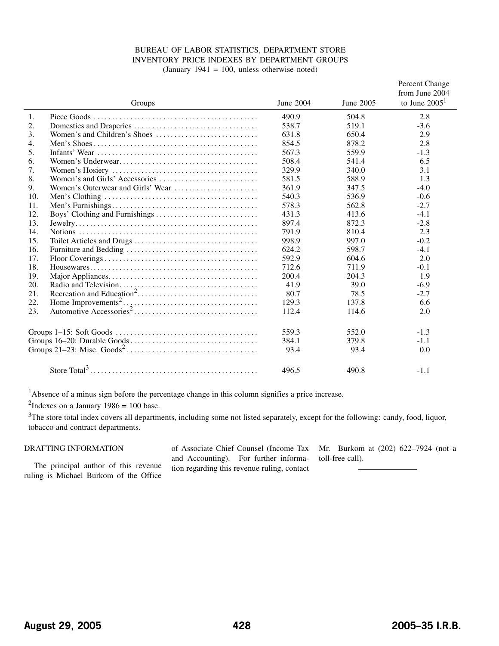## BUREAU OF LABOR STATISTICS, DEPARTMENT STORE INVENTORY PRICE INDEXES BY DEPARTMENT GROUPS (January 1941 = 100, unless otherwise noted)

|     | Groups                                                                            | June 2004 | June 2005 | Percent Change<br>from June 2004<br>to June $20051$ |
|-----|-----------------------------------------------------------------------------------|-----------|-----------|-----------------------------------------------------|
| 1.  |                                                                                   | 490.9     | 504.8     | 2.8                                                 |
| 2.  |                                                                                   | 538.7     | 519.1     | $-3.6$                                              |
| 3.  | Women's and Children's Shoes $\dots\dots\dots\dots\dots\dots\dots\dots\dots\dots$ | 631.8     | 650.4     | 2.9                                                 |
| 4.  |                                                                                   | 854.5     | 878.2     | 2.8                                                 |
| 5.  |                                                                                   | 567.3     | 559.9     | $-1.3$                                              |
| 6.  |                                                                                   | 508.4     | 541.4     | 6.5                                                 |
| 7.  |                                                                                   | 329.9     | 340.0     | 3.1                                                 |
| 8.  |                                                                                   | 581.5     | 588.9     | 1.3                                                 |
| 9.  | Women's Outerwear and Girls' Wear                                                 | 361.9     | 347.5     | $-4.0$                                              |
| 10. |                                                                                   | 540.3     | 536.9     | $-0.6$                                              |
| 11. |                                                                                   | 578.3     | 562.8     | $-2.7$                                              |
| 12. |                                                                                   | 431.3     | 413.6     | $-4.1$                                              |
| 13. |                                                                                   | 897.4     | 872.3     | $-2.8$                                              |
| 14. |                                                                                   | 791.9     | 810.4     | 2.3                                                 |
| 15. |                                                                                   | 998.9     | 997.0     | $-0.2$                                              |
| 16. |                                                                                   | 624.2     | 598.7     | $-4.1$                                              |
| 17. |                                                                                   | 592.9     | 604.6     | 2.0                                                 |
| 18. |                                                                                   | 712.6     | 711.9     | $-0.1$                                              |
| 19. |                                                                                   | 200.4     | 204.3     | 1.9                                                 |
| 20. |                                                                                   | 41.9      | 39.0      | $-6.9$                                              |
| 21. |                                                                                   | 80.7      | 78.5      | $-2.7$                                              |
| 22. |                                                                                   | 129.3     | 137.8     | 6.6                                                 |
| 23. |                                                                                   | 112.4     | 114.6     | 2.0                                                 |
|     |                                                                                   | 559.3     | 552.0     | $-1.3$                                              |
|     |                                                                                   | 384.1     | 379.8     | $-1.1$                                              |
|     |                                                                                   | 93.4      | 93.4      | 0.0                                                 |
|     |                                                                                   | 496.5     | 490.8     | $-1.1$                                              |

<sup>1</sup>Absence of a minus sign before the percentage change in this column signifies a price increase.

<sup>2</sup>Indexes on a January  $1986 = 100$  base.

 $3$ The store total index covers all departments, including some not listed separately, except for the following: candy, food, liquor, tobacco and contract departments.

## DRAFTING INFORMATION

The principal author of this revenue ruling is Michael Burkom of the Office of Associate Chief Counsel (Income Tax and Accounting). For further information regarding this revenue ruling, contact

Mr. Burkom at (202) 622–7924 (not a toll-free call).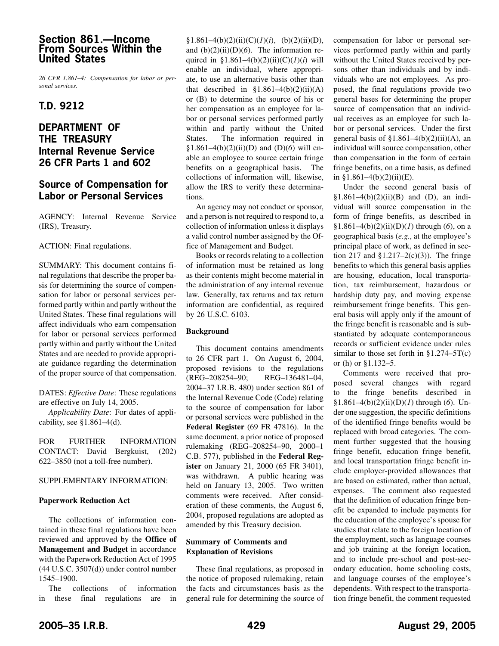# <span id="page-10-0"></span>**Section 861.—Income From Sources Within the United States**

*26 CFR 1.861–4: Compensation for labor or personal services.*

# **T.D. 9212**

# **DEPARTMENT OF THE TREASURY Internal Revenue Service 26 CFR Parts 1 and 602**

# **Source of Compensation for Labor or Personal Services**

AGENCY: Internal Revenue Service (IRS), Treasury.

## ACTION: Final regulations.

SUMMARY: This document contains final regulations that describe the proper basis for determining the source of compensation for labor or personal services performed partly within and partly without the United States. These final regulations will affect individuals who earn compensation for labor or personal services performed partly within and partly without the United States and are needed to provide appropriate guidance regarding the determination of the proper source of that compensation.

DATES: *Effective Date*: These regulations are effective on July 14, 2005.

*Applicability Date*: For dates of applicability, see  $$1.861-4(d)$ .

FOR FURTHER INFORMATION CONTACT: David Bergkuist, (202) 622–3850 (not a toll-free number).

## SUPPLEMENTARY INFORMATION:

## **Paperwork Reduction Act**

The collections of information contained in these final regulations have been reviewed and approved by the **Office of Management and Budget** in accordance with the Paperwork Reduction Act of 1995 (44 U.S.C. 3507(d)) under control number 1545–1900.

The collections of information in these final regulations are in

§1.861–4(b)(2)(ii)(C)( $I$ )(i), (b)(2)(ii)(D), and (b)(2)(ii)(D)(*6*). The information required in §1.861–4(b)(2)(ii)(C)(*1*)(*i*) will enable an individual, where appropriate, to use an alternative basis other than that described in  $\S1.861-4(b)(2)(ii)(A)$ or (B) to determine the source of his or her compensation as an employee for labor or personal services performed partly within and partly without the United States. The information required in §1.861–4(b)(2)(ii)(D) and (D)(*6*) will enable an employee to source certain fringe benefits on a geographical basis. The collections of information will, likewise, allow the IRS to verify these determinations.

An agency may not conduct or sponsor, and a person is not required to respond to, a collection of information unless it displays a valid control number assigned by the Office of Management and Budget.

Books or records relating to a collection of information must be retained as long as their contents might become material in the administration of any internal revenue law. Generally, tax returns and tax return information are confidential, as required by 26 U.S.C. 6103.

## **Background**

This document contains amendments to 26 CFR part 1. On August 6, 2004, proposed revisions to the regulations<br>(REG-208254-90; REG-136481-04, (REG-208254-90; 2004–37 I.R.B. 480) under section 861 of the Internal Revenue Code (Code) relating to the source of compensation for labor or personal services were published in the **Federal Register** (69 FR 47816). In the same document, a prior notice of proposed rulemaking (REG–208254–90, 2000–1 C.B. 577), published in the **Federal Register** on January 21, 2000 (65 FR 3401), was withdrawn. A public hearing was held on January 13, 2005. Two written comments were received. After consideration of these comments, the August 6, 2004, proposed regulations are adopted as amended by this Treasury decision.

## **Summary of Comments and Explanation of Revisions**

These final regulations, as proposed in the notice of proposed rulemaking, retain the facts and circumstances basis as the general rule for determining the source of compensation for labor or personal services performed partly within and partly without the United States received by persons other than individuals and by individuals who are not employees. As proposed, the final regulations provide two general bases for determining the proper source of compensation that an individual receives as an employee for such labor or personal services. Under the first general basis of  $$1.861-4(b)(2)(ii)(A)$ , an individual will source compensation, other than compensation in the form of certain fringe benefits, on a time basis, as defined in  $$1.861-4(b)(2)(ii)(E)$ .

Under the second general basis of §1.861–4(b)(2)(ii)(B) and (D), an individual will source compensation in the form of fringe benefits, as described in §1.861–4(b)(2)(ii)(D)(*1*) through (*6*), on a geographical basis (*e.g.*, at the employee's principal place of work, as defined in section 217 and  $$1.217-2(c)(3)$ ). The fringe benefits to which this general basis applies are housing, education, local transportation, tax reimbursement, hazardous or hardship duty pay, and moving expense reimbursement fringe benefits. This general basis will apply only if the amount of the fringe benefit is reasonable and is substantiated by adequate contemporaneous records or sufficient evidence under rules similar to those set forth in §1.274–5T(c) or (h) or §1.132–5.

Comments were received that proposed several changes with regard to the fringe benefits described in §1.861–4(b)(2)(ii)(D)(*1*) through (*6*). Under one suggestion, the specific definitions of the identified fringe benefits would be replaced with broad categories. The comment further suggested that the housing fringe benefit, education fringe benefit, and local transportation fringe benefit include employer-provided allowances that are based on estimated, rather than actual, expenses. The comment also requested that the definition of education fringe benefit be expanded to include payments for the education of the employee's spouse for studies that relate to the foreign location of the employment, such as language courses and job training at the foreign location, and to include pre-school and post-secondary education, home schooling costs, and language courses of the employee's dependents. With respect to the transportation fringe benefit, the comment requested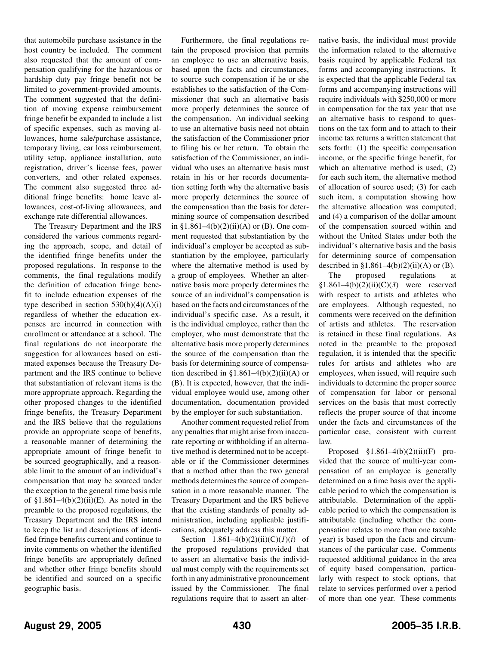that automobile purchase assistance in the host country be included. The comment also requested that the amount of compensation qualifying for the hazardous or hardship duty pay fringe benefit not be limited to government-provided amounts. The comment suggested that the definition of moving expense reimbursement fringe benefit be expanded to include a list of specific expenses, such as moving allowances, home sale/purchase assistance, temporary living, car loss reimbursement, utility setup, appliance installation, auto registration, driver's license fees, power converters, and other related expenses. The comment also suggested three additional fringe benefits: home leave allowances, cost-of-living allowances, and exchange rate differential allowances.

The Treasury Department and the IRS considered the various comments regarding the approach, scope, and detail of the identified fringe benefits under the proposed regulations. In response to the comments, the final regulations modify the definition of education fringe benefit to include education expenses of the type described in section  $530(b)(4)(A)(i)$ regardless of whether the education expenses are incurred in connection with enrollment or attendance at a school. The final regulations do not incorporate the suggestion for allowances based on estimated expenses because the Treasury Department and the IRS continue to believe that substantiation of relevant items is the more appropriate approach. Regarding the other proposed changes to the identified fringe benefits, the Treasury Department and the IRS believe that the regulations provide an appropriate scope of benefits, a reasonable manner of determining the appropriate amount of fringe benefit to be sourced geographically, and a reasonable limit to the amount of an individual's compensation that may be sourced under the exception to the general time basis rule of  $$1.861-4(b)(2)(ii)(E)$ . As noted in the preamble to the proposed regulations, the Treasury Department and the IRS intend to keep the list and descriptions of identified fringe benefits current and continue to invite comments on whether the identified fringe benefits are appropriately defined and whether other fringe benefits should be identified and sourced on a specific geographic basis.

Furthermore, the final regulations retain the proposed provision that permits an employee to use an alternative basis, based upon the facts and circumstances, to source such compensation if he or she establishes to the satisfaction of the Commissioner that such an alternative basis more properly determines the source of the compensation. An individual seeking to use an alternative basis need not obtain the satisfaction of the Commissioner prior to filing his or her return. To obtain the satisfaction of the Commissioner, an individual who uses an alternative basis must retain in his or her records documentation setting forth why the alternative basis more properly determines the source of the compensation than the basis for determining source of compensation described in §1.861–4(b)(2)(ii)(A) or (B). One comment requested that substantiation by the individual's employer be accepted as substantiation by the employee, particularly where the alternative method is used by a group of employees. Whether an alternative basis more properly determines the source of an individual's compensation is based on the facts and circumstances of the individual's specific case. As a result, it is the individual employee, rather than the employer, who must demonstrate that the alternative basis more properly determines the source of the compensation than the basis for determining source of compensation described in  $$1.861-4(b)(2)(ii)(A)$  or (B). It is expected, however, that the individual employee would use, among other documentation, documentation provided by the employer for such substantiation.

Another comment requested relief from any penalties that might arise from inaccurate reporting or withholding if an alternative method is determined not to be acceptable or if the Commissioner determines that a method other than the two general methods determines the source of compensation in a more reasonable manner. The Treasury Department and the IRS believe that the existing standards of penalty administration, including applicable justifications, adequately address this matter.

Section  $1.861-4(b)(2)(ii)(C)(I)(i)$  of the proposed regulations provided that to assert an alternative basis the individual must comply with the requirements set forth in any administrative pronouncement issued by the Commissioner. The final regulations require that to assert an alternative basis, the individual must provide the information related to the alternative basis required by applicable Federal tax forms and accompanying instructions. It is expected that the applicable Federal tax forms and accompanying instructions will require individuals with \$250,000 or more in compensation for the tax year that use an alternative basis to respond to questions on the tax form and to attach to their income tax returns a written statement that sets forth: (1) the specific compensation income, or the specific fringe benefit, for which an alternative method is used: (2) for each such item, the alternative method of allocation of source used; (3) for each such item, a computation showing how the alternative allocation was computed; and (4) a comparison of the dollar amount of the compensation sourced within and without the United States under both the individual's alternative basis and the basis for determining source of compensation described in §1.861–4(b)(2)(ii)(A) or (B).

The proposed regulations at §1.861–4(b)(2)(ii)(C)(*3*) were reserved with respect to artists and athletes who are employees. Although requested, no comments were received on the definition of artists and athletes. The reservation is retained in these final regulations. As noted in the preamble to the proposed regulation, it is intended that the specific rules for artists and athletes who are employees, when issued, will require such individuals to determine the proper source of compensation for labor or personal services on the basis that most correctly reflects the proper source of that income under the facts and circumstances of the particular case, consistent with current law.

Proposed  $$1.861-4(b)(2)(ii)(F)$  provided that the source of multi-year compensation of an employee is generally determined on a time basis over the applicable period to which the compensation is attributable. Determination of the applicable period to which the compensation is attributable (including whether the compensation relates to more than one taxable year) is based upon the facts and circumstances of the particular case. Comments requested additional guidance in the area of equity based compensation, particularly with respect to stock options, that relate to services performed over a period of more than one year. These comments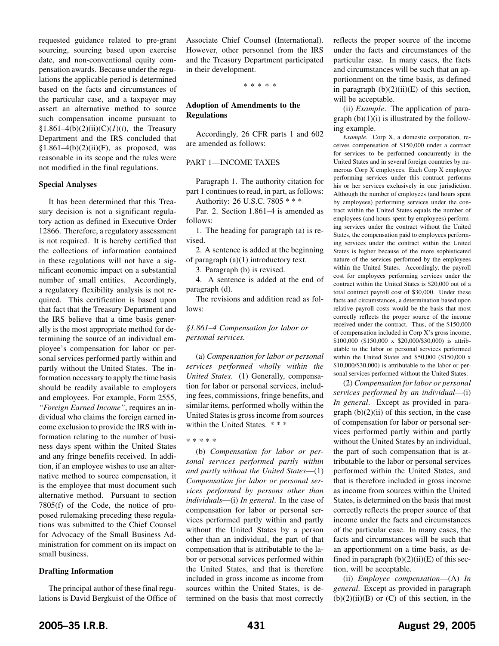requested guidance related to pre-grant sourcing, sourcing based upon exercise date, and non-conventional equity compensation awards. Because under the regulations the applicable period is determined based on the facts and circumstances of the particular case, and a taxpayer may assert an alternative method to source such compensation income pursuant to §1.861–4(b)(2)(ii)(C)(*l*)(*i*), the Treasury Department and the IRS concluded that  $$1.861-4(b)(2)(ii)(F)$ , as proposed, was reasonable in its scope and the rules were not modified in the final regulations.

#### **Special Analyses**

It has been determined that this Treasury decision is not a significant regulatory action as defined in Executive Order 12866. Therefore, a regulatory assessment is not required. It is hereby certified that the collections of information contained in these regulations will not have a significant economic impact on a substantial number of small entities. Accordingly, a regulatory flexibility analysis is not required. This certification is based upon that fact that the Treasury Department and the IRS believe that a time basis generally is the most appropriate method for determining the source of an individual employee's compensation for labor or personal services performed partly within and partly without the United States. The information necessary to apply the time basis should be readily available to employers and employees. For example, Form 2555, *"Foreign Earned Income"*, requires an individual who claims the foreign earned income exclusion to provide the IRS with information relating to the number of business days spent within the United States and any fringe benefits received. In addition, if an employee wishes to use an alternative method to source compensation, it is the employee that must document such alternative method. Pursuant to section 7805(f) of the Code, the notice of proposed rulemaking preceding these regulations was submitted to the Chief Counsel for Advocacy of the Small Business Administration for comment on its impact on small business.

## **Drafting Information**

The principal author of these final regulations is David Bergkuist of the Office of Associate Chief Counsel (International). However, other personnel from the IRS and the Treasury Department participated in their development.

\*\*\*\*\*

### **Adoption of Amendments to the Regulations**

Accordingly, 26 CFR parts 1 and 602 are amended as follows:

### PART 1—INCOME TAXES

Paragraph 1. The authority citation for part 1 continues to read, in part, as follows:

Authority: 26 U.S.C. 7805 \* \* \*

Par. 2. Section 1.861–4 is amended as follows:

1. The heading for paragraph (a) is revised.

2. A sentence is added at the beginning of paragraph (a)(1) introductory text.

3. Paragraph (b) is revised.

4. A sentence is added at the end of paragraph (d).

The revisions and addition read as follows:

## *§1.861–4 Compensation for labor or personal services.*

(a) *Compensation for labor or personal services performed wholly within the United States*. (1) Generally, compensation for labor or personal services, including fees, commissions, fringe benefits, and similar items, performed wholly within the United States is gross income from sources within the United States. \* \* \*

\*\*\*\*\*

(b) *Compensation for labor or personal services performed partly within and partly without the United States*—(1) *Compensation for labor or personal services performed by persons other than individuals*—(i) *In general*. In the case of compensation for labor or personal services performed partly within and partly without the United States by a person other than an individual, the part of that compensation that is attributable to the labor or personal services performed within the United States, and that is therefore included in gross income as income from sources within the United States, is determined on the basis that most correctly

reflects the proper source of the income under the facts and circumstances of the particular case. In many cases, the facts and circumstances will be such that an apportionment on the time basis, as defined in paragraph  $(b)(2)(ii)(E)$  of this section, will be acceptable.

(ii) *Example*. The application of paragraph  $(b)(1)(i)$  is illustrated by the following example.

*Example*. Corp X, a domestic corporation, receives compensation of \$150,000 under a contract for services to be performed concurrently in the United States and in several foreign countries by numerous Corp X employees. Each Corp X employee performing services under this contract performs his or her services exclusively in one jurisdiction. Although the number of employees (and hours spent by employees) performing services under the contract within the United States equals the number of employees (and hours spent by employees) performing services under the contract without the United States, the compensation paid to employees performing services under the contract within the United States is higher because of the more sophisticated nature of the services performed by the employees within the United States. Accordingly, the payroll cost for employees performing services under the contract within the United States is \$20,000 out of a total contract payroll cost of \$30,000. Under these facts and circumstances, a determination based upon relative payroll costs would be the basis that most correctly reflects the proper source of the income received under the contract. Thus, of the \$150,000 of compensation included in Corp X's gross income, \$100,000 (\$150,000 x \$20,000/\$30,000) is attributable to the labor or personal services performed within the United States and \$50,000 (\$150,000 x \$10,000/\$30,000) is attributable to the labor or personal services performed without the United States.

(2) *Compensation for labor or personal services performed by an individual*—(i) *In general*. Except as provided in paragraph  $(b)(2)(ii)$  of this section, in the case of compensation for labor or personal services performed partly within and partly without the United States by an individual, the part of such compensation that is attributable to the labor or personal services performed within the United States, and that is therefore included in gross income as income from sources within the United States, is determined on the basis that most correctly reflects the proper source of that income under the facts and circumstances of the particular case. In many cases, the facts and circumstances will be such that an apportionment on a time basis, as defined in paragraph  $(b)(2)(ii)(E)$  of this section, will be acceptable.

(ii) *Employee compensation*—(A) *In general*. Except as provided in paragraph  $(b)(2)(ii)(B)$  or  $(C)$  of this section, in the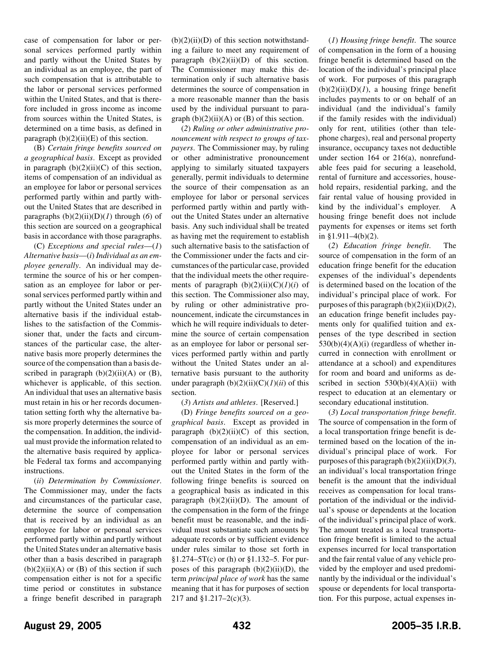case of compensation for labor or personal services performed partly within and partly without the United States by an individual as an employee, the part of such compensation that is attributable to the labor or personal services performed within the United States, and that is therefore included in gross income as income from sources within the United States, is determined on a time basis, as defined in paragraph  $(b)(2)(ii)(E)$  of this section.

(B) *Certain fringe benefits sourced on a geographical basis*. Except as provided in paragraph  $(b)(2)(ii)(C)$  of this section, items of compensation of an individual as an employee for labor or personal services performed partly within and partly without the United States that are described in paragraphs  $(b)(2)(ii)(D)(I)$  through  $(6)$  of this section are sourced on a geographical basis in accordance with those paragraphs.

(C) *Exceptions and special rules*—(*1*) *Alternative basis*—(*i*) *Individual as an employee generally*. An individual may determine the source of his or her compensation as an employee for labor or personal services performed partly within and partly without the United States under an alternative basis if the individual establishes to the satisfaction of the Commissioner that, under the facts and circumstances of the particular case, the alternative basis more properly determines the source of the compensation than a basis described in paragraph  $(b)(2)(ii)(A)$  or  $(B)$ , whichever is applicable, of this section. An individual that uses an alternative basis must retain in his or her records documentation setting forth why the alternative basis more properly determines the source of the compensation. In addition, the individual must provide the information related to the alternative basis required by applicable Federal tax forms and accompanying instructions.

(*ii*) *Determination by Commissioner*. The Commissioner may, under the facts and circumstances of the particular case, determine the source of compensation that is received by an individual as an employee for labor or personal services performed partly within and partly without the United States under an alternative basis other than a basis described in paragraph  $(b)(2)(ii)(A)$  or  $(B)$  of this section if such compensation either is not for a specific time period or constitutes in substance a fringe benefit described in paragraph

 $(b)(2)(ii)(D)$  of this section notwithstanding a failure to meet any requirement of paragraph  $(b)(2)(ii)(D)$  of this section. The Commissioner may make this determination only if such alternative basis determines the source of compensation in a more reasonable manner than the basis used by the individual pursuant to paragraph  $(b)(2)(ii)(A)$  or  $(B)$  of this section.

(*2*) *Ruling or other administrative pronouncement with respect to groups of taxpayers*. The Commissioner may, by ruling or other administrative pronouncement applying to similarly situated taxpayers generally, permit individuals to determine the source of their compensation as an employee for labor or personal services performed partly within and partly without the United States under an alternative basis. Any such individual shall be treated as having met the requirement to establish such alternative basis to the satisfaction of the Commissioner under the facts and circumstances of the particular case, provided that the individual meets the other requirements of paragraph  $(b)(2)(ii)(C)(I)(i)$  of this section. The Commissioner also may, by ruling or other administrative pronouncement, indicate the circumstances in which he will require individuals to determine the source of certain compensation as an employee for labor or personal services performed partly within and partly without the United States under an alternative basis pursuant to the authority under paragraph  $(b)(2)(ii)(C)(I)(ii)$  of this section.

(*3*) *Artists and athletes*. [Reserved.]

(D) *Fringe benefits sourced on a geographical basis*. Except as provided in paragraph  $(b)(2)(ii)(C)$  of this section, compensation of an individual as an employee for labor or personal services performed partly within and partly without the United States in the form of the following fringe benefits is sourced on a geographical basis as indicated in this paragraph  $(b)(2)(ii)(D)$ . The amount of the compensation in the form of the fringe benefit must be reasonable, and the individual must substantiate such amounts by adequate records or by sufficient evidence under rules similar to those set forth in  $§1.274 - 5T(c)$  or (h) or  $§1.132 - 5$ . For purposes of this paragraph  $(b)(2)(ii)(D)$ , the term *principal place of work* has the same meaning that it has for purposes of section 217 and §1.217–2(c)(3).

(*1*) *Housing fringe benefit*. The source of compensation in the form of a housing fringe benefit is determined based on the location of the individual's principal place of work. For purposes of this paragraph  $(b)(2)(ii)(D)(I)$ , a housing fringe benefit includes payments to or on behalf of an individual (and the individual's family if the family resides with the individual) only for rent, utilities (other than telephone charges), real and personal property insurance, occupancy taxes not deductible under section 164 or 216(a), nonrefundable fees paid for securing a leasehold, rental of furniture and accessories, household repairs, residential parking, and the fair rental value of housing provided in kind by the individual's employer. A housing fringe benefit does not include payments for expenses or items set forth in  $$1.911-4(b)(2)$ .

(*2*) *Education fringe benefit*. The source of compensation in the form of an education fringe benefit for the education expenses of the individual's dependents is determined based on the location of the individual's principal place of work. For purposes of this paragraph (b)(2)(ii)(D)(*2*), an education fringe benefit includes payments only for qualified tuition and expenses of the type described in section  $530(b)(4)(A)(i)$  (regardless of whether incurred in connection with enrollment or attendance at a school) and expenditures for room and board and uniforms as described in section  $530(b)(4)(A)(ii)$  with respect to education at an elementary or secondary educational institution.

(*3*) *Local transportation fringe benefit*. The source of compensation in the form of a local transportation fringe benefit is determined based on the location of the individual's principal place of work. For purposes of this paragraph (b)(2)(ii)(D)(*3*), an individual's local transportation fringe benefit is the amount that the individual receives as compensation for local transportation of the individual or the individual's spouse or dependents at the location of the individual's principal place of work. The amount treated as a local transportation fringe benefit is limited to the actual expenses incurred for local transportation and the fair rental value of any vehicle provided by the employer and used predominantly by the individual or the individual's spouse or dependents for local transportation. For this purpose, actual expenses in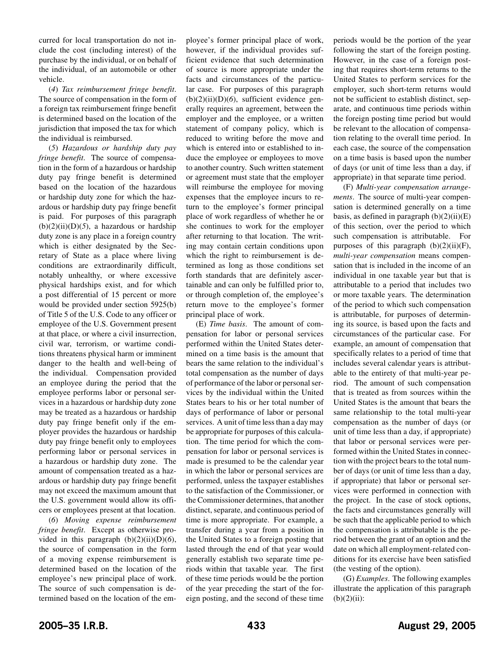curred for local transportation do not include the cost (including interest) of the purchase by the individual, or on behalf of the individual, of an automobile or other vehicle.

(*4*) *Tax reimbursement fringe benefit*. The source of compensation in the form of a foreign tax reimbursement fringe benefit is determined based on the location of the jurisdiction that imposed the tax for which the individual is reimbursed.

(*5*) *Hazardous or hardship duty pay fringe benefit*. The source of compensation in the form of a hazardous or hardship duty pay fringe benefit is determined based on the location of the hazardous or hardship duty zone for which the hazardous or hardship duty pay fringe benefit is paid. For purposes of this paragraph  $(b)(2)(ii)(D)(5)$ , a hazardous or hardship duty zone is any place in a foreign country which is either designated by the Secretary of State as a place where living conditions are extraordinarily difficult, notably unhealthy, or where excessive physical hardships exist, and for which a post differential of 15 percent or more would be provided under section 5925(b) of Title 5 of the U.S. Code to any officer or employee of the U.S. Government present at that place, or where a civil insurrection, civil war, terrorism, or wartime conditions threatens physical harm or imminent danger to the health and well-being of the individual. Compensation provided an employee during the period that the employee performs labor or personal services in a hazardous or hardship duty zone may be treated as a hazardous or hardship duty pay fringe benefit only if the employer provides the hazardous or hardship duty pay fringe benefit only to employees performing labor or personal services in a hazardous or hardship duty zone. The amount of compensation treated as a hazardous or hardship duty pay fringe benefit may not exceed the maximum amount that the U.S. government would allow its officers or employees present at that location.

(*6*) *Moving expense reimbursement fringe benefit*. Except as otherwise provided in this paragraph  $(b)(2)(ii)(D)(6)$ , the source of compensation in the form of a moving expense reimbursement is determined based on the location of the employee's new principal place of work. The source of such compensation is determined based on the location of the employee's former principal place of work, however, if the individual provides sufficient evidence that such determination of source is more appropriate under the facts and circumstances of the particular case. For purposes of this paragraph (b)(2)(ii)(D)(*6*), sufficient evidence generally requires an agreement, between the employer and the employee, or a written statement of company policy, which is reduced to writing before the move and which is entered into or established to induce the employee or employees to move to another country. Such written statement or agreement must state that the employer will reimburse the employee for moving expenses that the employee incurs to return to the employee's former principal place of work regardless of whether he or she continues to work for the employer after returning to that location. The writing may contain certain conditions upon which the right to reimbursement is determined as long as those conditions set forth standards that are definitely ascertainable and can only be fulfilled prior to, or through completion of, the employee's return move to the employee's former principal place of work.

(E) *Time basis*. The amount of compensation for labor or personal services performed within the United States determined on a time basis is the amount that bears the same relation to the individual's total compensation as the number of days of performance of the labor or personal services by the individual within the United States bears to his or her total number of days of performance of labor or personal services. A unit of time less than a day may be appropriate for purposes of this calculation. The time period for which the compensation for labor or personal services is made is presumed to be the calendar year in which the labor or personal services are performed, unless the taxpayer establishes to the satisfaction of the Commissioner, or the Commissioner determines, that another distinct, separate, and continuous period of time is more appropriate. For example, a transfer during a year from a position in the United States to a foreign posting that lasted through the end of that year would generally establish two separate time periods within that taxable year. The first of these time periods would be the portion of the year preceding the start of the foreign posting, and the second of these time periods would be the portion of the year following the start of the foreign posting. However, in the case of a foreign posting that requires short-term returns to the United States to perform services for the employer, such short-term returns would not be sufficient to establish distinct, separate, and continuous time periods within the foreign posting time period but would be relevant to the allocation of compensation relating to the overall time period. In each case, the source of the compensation on a time basis is based upon the number of days (or unit of time less than a day, if appropriate) in that separate time period.

(F) *Multi-year compensation arrangements*. The source of multi-year compensation is determined generally on a time basis, as defined in paragraph  $(b)(2)(ii)(E)$ of this section, over the period to which such compensation is attributable. For purposes of this paragraph  $(b)(2)(ii)(F)$ , *multi-year compensation* means compensation that is included in the income of an individual in one taxable year but that is attributable to a period that includes two or more taxable years. The determination of the period to which such compensation is attributable, for purposes of determining its source, is based upon the facts and circumstances of the particular case. For example, an amount of compensation that specifically relates to a period of time that includes several calendar years is attributable to the entirety of that multi-year period. The amount of such compensation that is treated as from sources within the United States is the amount that bears the same relationship to the total multi-year compensation as the number of days (or unit of time less than a day, if appropriate) that labor or personal services were performed within the United States in connection with the project bears to the total number of days (or unit of time less than a day, if appropriate) that labor or personal services were performed in connection with the project. In the case of stock options, the facts and circumstances generally will be such that the applicable period to which the compensation is attributable is the period between the grant of an option and the date on which all employment-related conditions for its exercise have been satisfied (the vesting of the option).

(G) *Examples*. The following examples illustrate the application of this paragraph  $(b)(2)(ii)$ :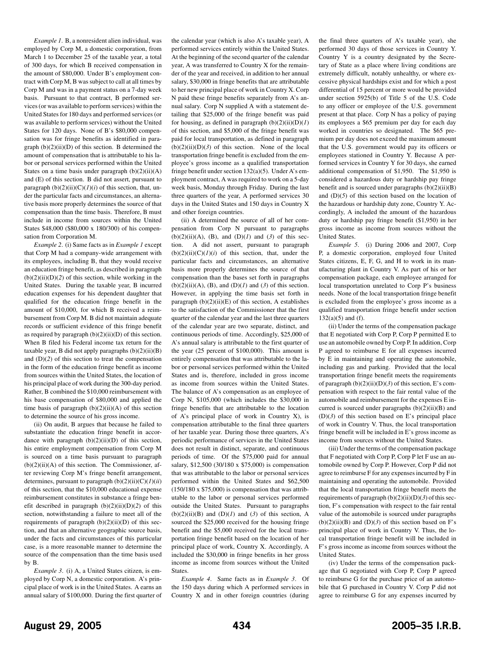*Example 1*. B, a nonresident alien individual, was employed by Corp M, a domestic corporation, from March 1 to December 25 of the taxable year, a total of 300 days, for which B received compensation in the amount of \$80,000. Under B's employment contract with Corp M, B was subject to call at all times by Corp M and was in a payment status on a 7-day week basis. Pursuant to that contract, B performed services (or was available to perform services) within the United States for 180 days and performed services (or was available to perform services) without the United States for 120 days. None of B's \$80,000 compensation was for fringe benefits as identified in paragraph  $(b)(2)(ii)(D)$  of this section. B determined the amount of compensation that is attributable to his labor or personal services performed within the United States on a time basis under paragraph  $(b)(2)(ii)(A)$ and (E) of this section. B did not assert, pursuant to paragraph  $(b)(2)(ii)(C)(I)(i)$  of this section, that, under the particular facts and circumstances, an alternative basis more properly determines the source of that compensation than the time basis. Therefore, B must include in income from sources within the United States \$48,000 (\$80,000 x 180/300) of his compensation from Corporation M.

*Example 2*. (i) Same facts as in *Example 1* except that Corp M had a company-wide arrangement with its employees, including B, that they would receive an education fringe benefit, as described in paragraph  $(b)(2)(ii)(D)(2)$  of this section, while working in the United States. During the taxable year, B incurred education expenses for his dependent daughter that qualified for the education fringe benefit in the amount of \$10,000, for which B received a reimbursement from Corp M. B did not maintain adequate records or sufficient evidence of this fringe benefit as required by paragraph  $(b)(2)(ii)(D)$  of this section. When B filed his Federal income tax return for the taxable year, B did not apply paragraphs (b)(2)(ii)(B) and (D)(*2*) of this section to treat the compensation in the form of the education fringe benefit as income from sources within the United States, the location of his principal place of work during the 300-day period. Rather, B combined the \$10,000 reimbursement with his base compensation of \$80,000 and applied the time basis of paragraph  $(b)(2)(ii)(A)$  of this section to determine the source of his gross income.

(ii) On audit, B argues that because he failed to substantiate the education fringe benefit in accordance with paragraph  $(b)(2)(ii)(D)$  of this section, his entire employment compensation from Corp M is sourced on a time basis pursuant to paragraph  $(b)(2)(ii)(A)$  of this section. The Commissioner, after reviewing Corp M's fringe benefit arrangement, determines, pursuant to paragraph  $(b)(2)(ii)(C)(I)(ii)$ of this section, that the \$10,000 educational expense reimbursement constitutes in substance a fringe benefit described in paragraph (b)(2)(ii)(D)(*2*) of this section, notwithstanding a failure to meet all of the requirements of paragraph  $(b)(2)(ii)(D)$  of this section, and that an alternative geographic source basis, under the facts and circumstances of this particular case, is a more reasonable manner to determine the source of the compensation than the time basis used by B.

*Example 3*. (i) A, a United States citizen, is employed by Corp N, a domestic corporation. A's principal place of work is in the United States. A earns an annual salary of \$100,000. During the first quarter of the calendar year (which is also A's taxable year), A performed services entirely within the United States. At the beginning of the second quarter of the calendar year, A was transferred to Country X for the remainder of the year and received, in addition to her annual salary, \$30,000 in fringe benefits that are attributable to her new principal place of work in Country X. Corp N paid these fringe benefits separately from A's annual salary. Corp N supplied A with a statement detailing that \$25,000 of the fringe benefit was paid for housing, as defined in paragraph  $(b)(2)(ii)(D)(I)$ of this section, and \$5,000 of the fringe benefit was paid for local transportation, as defined in paragraph  $(b)(2)(ii)(D)(3)$  of this section. None of the local transportation fringe benefit is excluded from the employee's gross income as a qualified transportation fringe benefit under section 132(a)(5). Under A's employment contract, A was required to work on a 5-day week basis, Monday through Friday. During the last three quarters of the year, A performed services 30 days in the United States and 150 days in Country X and other foreign countries.

(ii) A determined the source of all of her compensation from Corp N pursuant to paragraphs  $(b)(2)(ii)(A)$ ,  $(B)$ , and  $(D)(I)$  and  $(3)$  of this section. A did not assert, pursuant to paragraph  $(b)(2)(ii)(C)(I)(i)$  of this section, that, under the particular facts and circumstances, an alternative basis more properly determines the source of that compensation than the bases set forth in paragraphs  $(b)(2)(ii)(A)$ ,  $(B)$ , and  $(D)(I)$  and  $(3)$  of this section. However, in applying the time basis set forth in paragraph  $(b)(2)(ii)(E)$  of this section, A establishes to the satisfaction of the Commissioner that the first quarter of the calendar year and the last three quarters of the calendar year are two separate, distinct, and continuous periods of time. Accordingly, \$25,000 of A's annual salary is attributable to the first quarter of the year (25 percent of \$100,000). This amount is entirely compensation that was attributable to the labor or personal services performed within the United States and is, therefore, included in gross income as income from sources within the United States. The balance of A's compensation as an employee of Corp N, \$105,000 (which includes the \$30,000 in fringe benefits that are attributable to the location of A's principal place of work in Country X), is compensation attributable to the final three quarters of her taxable year. During those three quarters, A's periodic performance of services in the United States does not result in distinct, separate, and continuous periods of time. Of the \$75,000 paid for annual salary, \$12,500 (30/180 x \$75,000) is compensation that was attributable to the labor or personal services performed within the United States and \$62,500 (150/180 x \$75,000) is compensation that was attributable to the labor or personal services performed outside the United States. Pursuant to paragraphs  $(b)(2)(ii)(B)$  and  $(D)(I)$  and  $(3)$  of this section, A sourced the \$25,000 received for the housing fringe benefit and the \$5,000 received for the local transportation fringe benefit based on the location of her principal place of work, Country X. Accordingly, A included the \$30,000 in fringe benefits in her gross income as income from sources without the United **States**.

*Example 4*. Same facts as in *Example 3*. Of the 150 days during which A performed services in Country X and in other foreign countries (during

the final three quarters of A's taxable year), she performed 30 days of those services in Country Y. Country Y is a country designated by the Secretary of State as a place where living conditions are extremely difficult, notably unhealthy, or where excessive physical hardships exist and for which a post differential of 15 percent or more would be provided under section 5925(b) of Title 5 of the U.S. Code to any officer or employee of the U.S. government present at that place. Corp N has a policy of paying its employees a \$65 premium per day for each day worked in countries so designated. The \$65 premium per day does not exceed the maximum amount that the U.S. government would pay its officers or employees stationed in Country Y. Because A performed services in Country Y for 30 days, she earned additional compensation of \$1,950. The \$1,950 is considered a hazardous duty or hardship pay fringe benefit and is sourced under paragraphs  $(b)(2)(ii)(B)$ and (D)(*5*) of this section based on the location of the hazardous or hardship duty zone, Country Y. Accordingly, A included the amount of the hazardous duty or hardship pay fringe benefit (\$1,950) in her gross income as income from sources without the United States.

*Example 5*. (i) During 2006 and 2007, Corp P, a domestic corporation, employed four United States citizens, E, F, G, and H to work in its manufacturing plant in Country V. As part of his or her compensation package, each employee arranged for local transportation unrelated to Corp P's business needs. None of the local transportation fringe benefit is excluded from the employee's gross income as a qualified transportation fringe benefit under section  $132(a)(5)$  and (f).

(ii) Under the terms of the compensation package that E negotiated with Corp P, Corp P permitted E to use an automobile owned by Corp P. In addition, Corp P agreed to reimburse E for all expenses incurred by E in maintaining and operating the automobile, including gas and parking. Provided that the local transportation fringe benefit meets the requirements of paragraph  $(b)(2)(ii)(D)(3)$  of this section, E's compensation with respect to the fair rental value of the automobile and reimbursement for the expenses E incurred is sourced under paragraphs (b)(2)(ii)(B) and  $(D)(3)$  of this section based on E's principal place of work in Country V. Thus, the local transportation fringe benefit will be included in E's gross income as income from sources without the United States.

(iii) Under the terms of the compensation package that F negotiated with Corp P, Corp P let F use an automobile owned by Corp P. However, Corp P did not agree to reimburse F for any expenses incurred by F in maintaining and operating the automobile. Provided that the local transportation fringe benefit meets the requirements of paragraph (b)(2)(ii)(D)(*3*) of this section, F's compensation with respect to the fair rental value of the automobile is sourced under paragraphs  $(b)(2)(ii)(B)$  and  $(D)(3)$  of this section based on F's principal place of work in Country V. Thus, the local transportation fringe benefit will be included in F's gross income as income from sources without the United States.

(iv) Under the terms of the compensation package that G negotiated with Corp P, Corp P agreed to reimburse G for the purchase price of an automobile that G purchased in Country V. Corp P did not agree to reimburse G for any expenses incurred by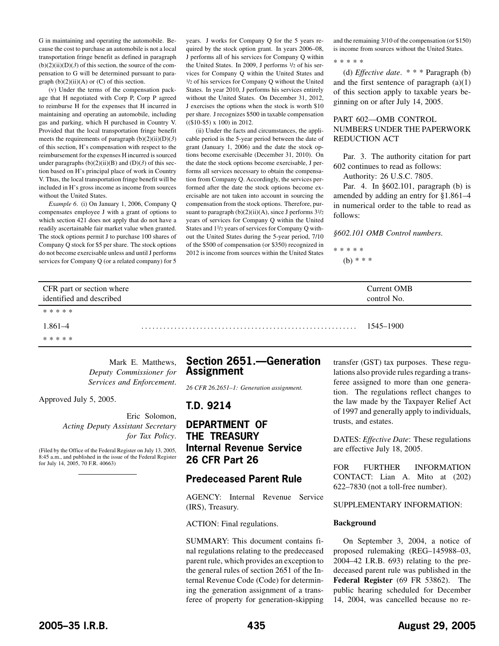<span id="page-16-0"></span>G in maintaining and operating the automobile. Because the cost to purchase an automobile is not a local transportation fringe benefit as defined in paragraph  $(b)(2)(ii)(D)(3)$  of this section, the source of the compensation to G will be determined pursuant to paragraph  $(b)(2)(ii)(A)$  or  $(C)$  of this section.

(v) Under the terms of the compensation package that H negotiated with Corp P, Corp P agreed to reimburse H for the expenses that H incurred in maintaining and operating an automobile, including gas and parking, which H purchased in Country V. Provided that the local transportation fringe benefit meets the requirements of paragraph (b)(2)(ii)(D)(*3*) of this section, H's compensation with respect to the reimbursement for the expenses H incurred is sourced under paragraphs  $(b)(2)(ii)(B)$  and  $(D)(3)$  of this section based on H's principal place of work in Country V. Thus, the local transportation fringe benefit will be included in H's gross income as income from sources without the United States.

*Example 6*. (i) On January 1, 2006, Company Q compensates employee J with a grant of options to which section 421 does not apply that do not have a readily ascertainable fair market value when granted. The stock options permit J to purchase 100 shares of Company Q stock for \$5 per share. The stock options do not become exercisable unless and until J performs services for Company Q (or a related company) for 5

years. J works for Company Q for the 5 years required by the stock option grant. In years 2006–08, J performs all of his services for Company Q within the United States. In 2009, J performs 1/2 of his services for Company Q within the United States and 1/2 of his services for Company Q without the United States. In year 2010, J performs his services entirely without the United States. On December 31, 2012, J exercises the options when the stock is worth \$10 per share. J recognizes \$500 in taxable compensation ((\$10-\$5) x 100) in 2012.

(ii) Under the facts and circumstances, the applicable period is the 5-year period between the date of grant (January 1, 2006) and the date the stock options become exercisable (December 31, 2010). On the date the stock options become exercisable, J performs all services necessary to obtain the compensation from Company Q. Accordingly, the services performed after the date the stock options become exercisable are not taken into account in sourcing the compensation from the stock options. Therefore, pursuant to paragraph  $(b)(2)(ii)(A)$ , since J performs  $3\frac{1}{2}$ years of services for Company Q within the United States and 11/2 years of services for Company Q without the United States during the 5-year period, 7/10 of the \$500 of compensation (or \$350) recognized in 2012 is income from sources within the United States

and the remaining 3/10 of the compensation (or \$150) is income from sources without the United States.

\*\*\*\*\*

(d) *Effective date*. \* \* \* Paragraph (b) and the first sentence of paragraph  $(a)(1)$ of this section apply to taxable years beginning on or after July 14, 2005.

## PART 602—OMB CONTROL NUMBERS UNDER THE PAPERWORK REDUCTION ACT

Par. 3. The authority citation for part 602 continues to read as follows:

Authority: 26 U.S.C. 7805.

Par. 4. In §602.101, paragraph (b) is amended by adding an entry for §1.861–4 in numerical order to the table to read as follows:

*§602.101 OMB Control numbers.*

\*\*\*\*\* (b) \* \* \*

| CFR part or section where<br>identified and described |             | Current OMB<br>control No. |
|-------------------------------------------------------|-------------|----------------------------|
|                                                       | * * * * *   |                            |
|                                                       | $1.861 - 4$ | 1545–1900                  |
|                                                       | * * * * *   |                            |

Mark E. Matthews, *Deputy Commissioner for Services and Enforcement*.

Approved July 5, 2005.

Eric Solomon, *Acting Deputy Assistant Secretary for Tax Policy*.

(Filed by the Office of the Federal Register on July 13, 2005, 8:45 a.m., and published in the issue of the Federal Register for July 14, 2005, 70 F.R. 40663)

# **Section 2651.—Generation Assignment**

*26 CFR 26.2651–1: Generation assignment.*

**T.D. 9214**

# **DEPARTMENT OF THE TREASURY Internal Revenue Service 26 CFR Part 26**

# **Predeceased Parent Rule**

AGENCY: Internal Revenue Service (IRS), Treasury.

ACTION: Final regulations.

SUMMARY: This document contains final regulations relating to the predeceased parent rule, which provides an exception to the general rules of section 2651 of the Internal Revenue Code (Code) for determining the generation assignment of a transferee of property for generation-skipping

transfer (GST) tax purposes. These regulations also provide rules regarding a transferee assigned to more than one generation. The regulations reflect changes to the law made by the Taxpayer Relief Act of 1997 and generally apply to individuals, trusts, and estates.

DATES: *Effective Date*: These regulations are effective July 18, 2005.

FOR FURTHER INFORMATION CONTACT: Lian A. Mito at (202) 622–7830 (not a toll-free number).

## SUPPLEMENTARY INFORMATION:

#### **Background**

On September 3, 2004, a notice of proposed rulemaking (REG–145988–03, 2004–42 I.R.B. 693) relating to the predeceased parent rule was published in the **Federal Register** (69 FR 53862). The public hearing scheduled for December 14, 2004, was cancelled because no re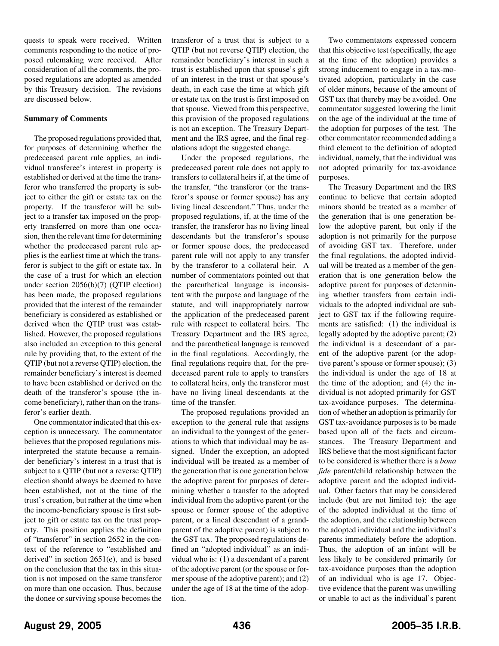quests to speak were received. Written comments responding to the notice of proposed rulemaking were received. After consideration of all the comments, the proposed regulations are adopted as amended by this Treasury decision. The revisions are discussed below.

### **Summary of Comments**

The proposed regulations provided that, for purposes of determining whether the predeceased parent rule applies, an individual transferee's interest in property is established or derived at the time the transferor who transferred the property is subject to either the gift or estate tax on the property. If the transferor will be subject to a transfer tax imposed on the property transferred on more than one occasion, then the relevant time for determining whether the predeceased parent rule applies is the earliest time at which the transferor is subject to the gift or estate tax. In the case of a trust for which an election under section 2056(b)(7) (QTIP election) has been made, the proposed regulations provided that the interest of the remainder beneficiary is considered as established or derived when the QTIP trust was established. However, the proposed regulations also included an exception to this general rule by providing that, to the extent of the QTIP (but not a reverse QTIP) election, the remainder beneficiary's interest is deemed to have been established or derived on the death of the transferor's spouse (the income beneficiary), rather than on the transferor's earlier death.

One commentator indicated that this exception is unnecessary. The commentator believes that the proposed regulations misinterpreted the statute because a remainder beneficiary's interest in a trust that is subject to a QTIP (but not a reverse QTIP) election should always be deemed to have been established, not at the time of the trust's creation, but rather at the time when the income-beneficiary spouse is first subject to gift or estate tax on the trust property. This position applies the definition of "transferor" in section 2652 in the context of the reference to "established and derived" in section 2651(e), and is based on the conclusion that the tax in this situation is not imposed on the same transferor on more than one occasion. Thus, because the donee or surviving spouse becomes the

transferor of a trust that is subject to a QTIP (but not reverse QTIP) election, the remainder beneficiary's interest in such a trust is established upon that spouse's gift of an interest in the trust or that spouse's death, in each case the time at which gift or estate tax on the trust is first imposed on that spouse. Viewed from this perspective, this provision of the proposed regulations is not an exception. The Treasury Department and the IRS agree, and the final regulations adopt the suggested change.

Under the proposed regulations, the predeceased parent rule does not apply to transfers to collateral heirs if, at the time of the transfer, "the transferor (or the transferor's spouse or former spouse) has any living lineal descendant." Thus, under the proposed regulations, if, at the time of the transfer, the transferor has no living lineal descendants but the transferor's spouse or former spouse does, the predeceased parent rule will not apply to any transfer by the transferor to a collateral heir. A number of commentators pointed out that the parenthetical language is inconsistent with the purpose and language of the statute, and will inappropriately narrow the application of the predeceased parent rule with respect to collateral heirs. The Treasury Department and the IRS agree, and the parenthetical language is removed in the final regulations. Accordingly, the final regulations require that, for the predeceased parent rule to apply to transfers to collateral heirs, only the transferor must have no living lineal descendants at the time of the transfer.

The proposed regulations provided an exception to the general rule that assigns an individual to the youngest of the generations to which that individual may be assigned. Under the exception, an adopted individual will be treated as a member of the generation that is one generation below the adoptive parent for purposes of determining whether a transfer to the adopted individual from the adoptive parent (or the spouse or former spouse of the adoptive parent, or a lineal descendant of a grandparent of the adoptive parent) is subject to the GST tax. The proposed regulations defined an "adopted individual" as an individual who is: (1) a descendant of a parent of the adoptive parent (or the spouse or former spouse of the adoptive parent); and (2) under the age of 18 at the time of the adoption.

Two commentators expressed concern that this objective test (specifically, the age at the time of the adoption) provides a strong inducement to engage in a tax-motivated adoption, particularly in the case of older minors, because of the amount of GST tax that thereby may be avoided. One commentator suggested lowering the limit on the age of the individual at the time of the adoption for purposes of the test. The other commentator recommended adding a third element to the definition of adopted individual, namely, that the individual was not adopted primarily for tax-avoidance purposes.

The Treasury Department and the IRS continue to believe that certain adopted minors should be treated as a member of the generation that is one generation below the adoptive parent, but only if the adoption is not primarily for the purpose of avoiding GST tax. Therefore, under the final regulations, the adopted individual will be treated as a member of the generation that is one generation below the adoptive parent for purposes of determining whether transfers from certain individuals to the adopted individual are subject to GST tax if the following requirements are satisfied: (1) the individual is legally adopted by the adoptive parent; (2) the individual is a descendant of a parent of the adoptive parent (or the adoptive parent's spouse or former spouse); (3) the individual is under the age of 18 at the time of the adoption; and (4) the individual is not adopted primarily for GST tax-avoidance purposes. The determination of whether an adoption is primarily for GST tax-avoidance purposes is to be made based upon all of the facts and circumstances. The Treasury Department and IRS believe that the most significant factor to be considered is whether there is a *bona fide* parent/child relationship between the adoptive parent and the adopted individual. Other factors that may be considered include (but are not limited to): the age of the adopted individual at the time of the adoption, and the relationship between the adopted individual and the individual's parents immediately before the adoption. Thus, the adoption of an infant will be less likely to be considered primarily for tax-avoidance purposes than the adoption of an individual who is age 17. Objective evidence that the parent was unwilling or unable to act as the individual's parent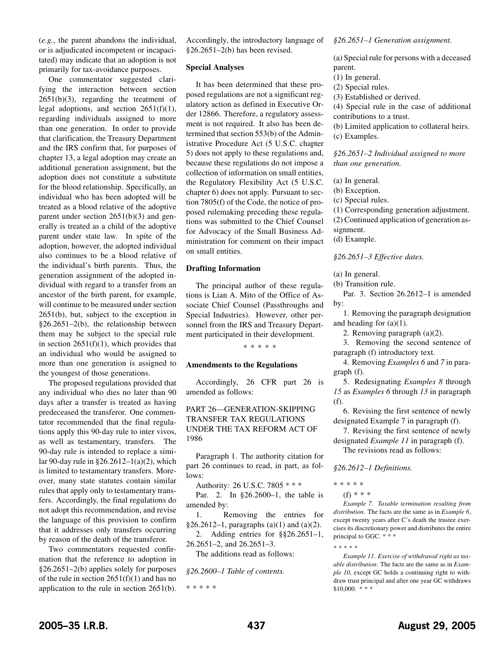(*e.g.*, the parent abandons the individual, or is adjudicated incompetent or incapacitated) may indicate that an adoption is not primarily for tax-avoidance purposes.

One commentator suggested clarifying the interaction between section  $2651(b)(3)$ , regarding the treatment of legal adoptions, and section  $2651(f)(1)$ , regarding individuals assigned to more than one generation. In order to provide that clarification, the Treasury Department and the IRS confirm that, for purposes of chapter 13, a legal adoption may create an additional generation assignment, but the adoption does not constitute a substitute for the blood relationship. Specifically, an individual who has been adopted will be treated as a blood relative of the adoptive parent under section 2651(b)(3) and generally is treated as a child of the adoptive parent under state law. In spite of the adoption, however, the adopted individual also continues to be a blood relative of the individual's birth parents. Thus, the generation assignment of the adopted individual with regard to a transfer from an ancestor of the birth parent, for example, will continue to be measured under section 2651(b), but, subject to the exception in §26.2651–2(b), the relationship between them may be subject to the special rule in section  $2651(f)(1)$ , which provides that an individual who would be assigned to more than one generation is assigned to the youngest of those generations.

The proposed regulations provided that any individual who dies no later than 90 days after a transfer is treated as having predeceased the transferor. One commentator recommended that the final regulations apply this 90-day rule to inter vivos, as well as testamentary, transfers. The 90-day rule is intended to replace a similar 90-day rule in  $\S 26.2612 - 1$ (a)(2), which is limited to testamentary transfers. Moreover, many state statutes contain similar rules that apply only to testamentary transfers. Accordingly, the final regulations do not adopt this recommendation, and revise the language of this provision to confirm that it addresses only transfers occurring by reason of the death of the transferor.

Two commentators requested confirmation that the reference to adoption in §26.2651–2(b) applies solely for purposes of the rule in section  $2651(f)(1)$  and has no application to the rule in section 2651(b).

Accordingly, the introductory language of §26.2651–2(b) has been revised.

#### **Special Analyses**

It has been determined that these proposed regulations are not a significant regulatory action as defined in Executive Order 12866. Therefore, a regulatory assessment is not required. It also has been determined that section 553(b) of the Administrative Procedure Act (5 U.S.C. chapter 5) does not apply to these regulations and, because these regulations do not impose a collection of information on small entities, the Regulatory Flexibility Act (5 U.S.C. chapter 6) does not apply. Pursuant to section 7805(f) of the Code, the notice of proposed rulemaking preceding these regulations was submitted to the Chief Counsel for Advocacy of the Small Business Administration for comment on their impact on small entities.

### **Drafting Information**

The principal author of these regulations is Lian A. Mito of the Office of Associate Chief Counsel (Passthroughs and Special Industries). However, other personnel from the IRS and Treasury Department participated in their development.

\*\*\*\*\*

#### **Amendments to the Regulations**

Accordingly, 26 CFR part 26 is amended as follows:

# PART 26—GENERATION-SKIPPING TRANSFER TAX REGULATIONS UNDER THE TAX REFORM ACT OF 1986

Paragraph 1. The authority citation for part 26 continues to read, in part, as follows:

Authority: 26 U.S.C. 7805 \* \* \*

Par. 2. In §26.2600–1, the table is amended by:

1. Removing the entries for §26.2612–1, paragraphs (a)(1) and (a)(2).

2. Adding entries for §§26.2651–1,

26.2651–2, and 26.2651–3.

The additions read as follows:

*§26.2600–1 Table of contents.*

\*\*\*\*\*

#### *§26.2651–1 Generation assignment.*

(a) Special rule for persons with a deceased parent.

(1) In general.

(2) Special rules.

(3) Established or derived.

(4) Special rule in the case of additional contributions to a trust.

(b) Limited application to collateral heirs. (c) Examples.

*§26.2651–2 Individual assigned to more than one generation.*

(a) In general.

(b) Exception.

(c) Special rules.

(1) Corresponding generation adjustment.

(2) Continued application of generation assignment.

(d) Example.

*§26.2651–3 Effective dates.*

(a) In general.

(b) Transition rule.

Par. 3. Section 26.2612–1 is amended by:

1. Removing the paragraph designation and heading for  $(a)(1)$ .

2. Removing paragraph (a)(2).

3. Removing the second sentence of paragraph (f) introductory text.

4. Removing *Examples 6* and *7* in paragraph (f).

5. Redesignating *Examples 8* through *15* as *Examples 6* through *13* in paragraph (f).

6. Revising the first sentence of newly designated Example 7 in paragraph (f).

7. Revising the first sentence of newly designated *Example 11* in paragraph (f). The revisions read as follows:

*§26.2612–1 Definitions.*

\*\*\*\*\*

\*\*\*\*\*

(f) \* \* \*

*Example 7*. *Taxable termination resulting from distribution*. The facts are the same as in *Example 6*, except twenty years after C's death the trustee exercises its discretionary power and distributes the entire principal to GGC. \* \* \*

*Example 11*. *Exercise of withdrawal right as taxable distribution*. The facts are the same as in *Example 10*, except GC holds a continuing right to withdraw trust principal and after one year GC withdraws  $$10,000.$  \* \* \*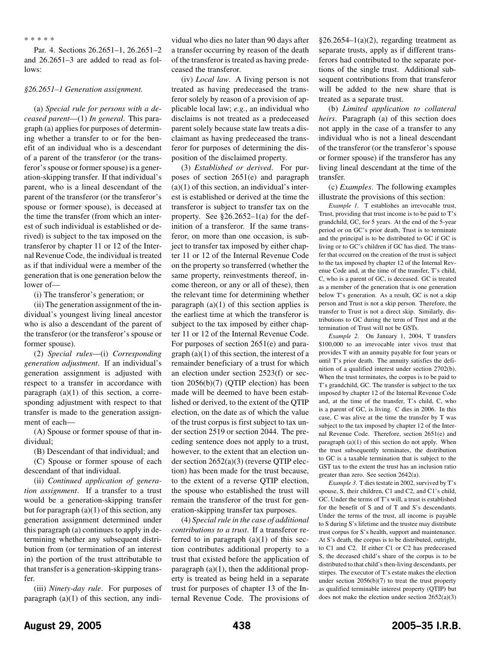#### \*\*\*\*\*

Par. 4. Sections 26.2651–1, 26.2651–2 and 26.2651–3 are added to read as follows:

#### *§26.2651–1 Generation assignment.*

(a) *Special rule for persons with a deceased parent*—(1) *In general*. This paragraph (a) applies for purposes of determining whether a transfer to or for the benefit of an individual who is a descendant of a parent of the transferor (or the transferor's spouse or former spouse) is a generation-skipping transfer. If that individual's parent, who is a lineal descendant of the parent of the transferor (or the transferor's spouse or former spouse), is deceased at the time the transfer (from which an interest of such individual is established or derived) is subject to the tax imposed on the transferor by chapter 11 or 12 of the Internal Revenue Code, the individual is treated as if that individual were a member of the generation that is one generation below the lower of—

(i) The transferor's generation; or

(ii) The generation assignment of the individual's youngest living lineal ancestor who is also a descendant of the parent of the transferor (or the transferor's spouse or former spouse).

(2) *Special rules*—(i) *Corresponding generation adjustment*. If an individual's generation assignment is adjusted with respect to a transfer in accordance with paragraph (a)(1) of this section, a corresponding adjustment with respect to that transfer is made to the generation assignment of each—

(A) Spouse or former spouse of that individual;

(B) Descendant of that individual; and

(C) Spouse or former spouse of each descendant of that individual.

(ii) *Continued application of generation assignment*. If a transfer to a trust would be a generation-skipping transfer but for paragraph  $(a)(1)$  of this section, any generation assignment determined under this paragraph (a) continues to apply in determining whether any subsequent distribution from (or termination of an interest in) the portion of the trust attributable to that transfer is a generation-skipping transfer.

(iii) *Ninety-day rule*. For purposes of paragraph  $(a)(1)$  of this section, any individual who dies no later than 90 days after a transfer occurring by reason of the death of the transferor is treated as having predeceased the transferor.

(iv) *Local law*. A living person is not treated as having predeceased the transferor solely by reason of a provision of applicable local law; *e.g.*, an individual who disclaims is not treated as a predeceased parent solely because state law treats a disclaimant as having predeceased the transferor for purposes of determining the disposition of the disclaimed property.

(3) *Established or derived*. For purposes of section 2651(e) and paragraph  $(a)(1)$  of this section, an individual's interest is established or derived at the time the transferor is subject to transfer tax on the property. See  $\S 26.2652 - 1$ (a) for the definition of a transferor. If the same transferor, on more than one occasion, is subject to transfer tax imposed by either chapter 11 or 12 of the Internal Revenue Code on the property so transferred (whether the same property, reinvestments thereof, income thereon, or any or all of these), then the relevant time for determining whether paragraph  $(a)(1)$  of this section applies is the earliest time at which the transferor is subject to the tax imposed by either chapter 11 or 12 of the Internal Revenue Code. For purposes of section 2651(e) and para $graph(a)(1)$  of this section, the interest of a remainder beneficiary of a trust for which an election under section 2523(f) or section 2056(b)(7) (QTIP election) has been made will be deemed to have been established or derived, to the extent of the QTIP election, on the date as of which the value of the trust corpus is first subject to tax under section 2519 or section 2044. The preceding sentence does not apply to a trust, however, to the extent that an election under section 2652(a)(3) (reverse QTIP election) has been made for the trust because, to the extent of a reverse QTIP election, the spouse who established the trust will remain the transferor of the trust for generation-skipping transfer tax purposes.

(4) *Special rule in the case of additional contributions to a trust*. If a transferor referred to in paragraph  $(a)(1)$  of this section contributes additional property to a trust that existed before the application of paragraph  $(a)(1)$ , then the additional property is treated as being held in a separate trust for purposes of chapter 13 of the Internal Revenue Code. The provisions of

 $§26.2654-1(a)(2)$ , regarding treatment as separate trusts, apply as if different transferors had contributed to the separate portions of the single trust. Additional subsequent contributions from that transferor will be added to the new share that is treated as a separate trust.

(b) *Limited application to collateral heirs*. Paragraph (a) of this section does not apply in the case of a transfer to any individual who is not a lineal descendant of the transferor (or the transferor's spouse or former spouse) if the transferor has any living lineal descendant at the time of the transfer.

(c) *Examples*. The following examples illustrate the provisions of this section:

*Example 1*. T establishes an irrevocable trust, Trust, providing that trust income is to be paid to T's grandchild, GC, for 5 years. At the end of the 5-year period or on GC's prior death, Trust is to terminate and the principal is to be distributed to GC if GC is living or to GC's children if GC has died. The transfer that occurred on the creation of the trust is subject to the tax imposed by chapter 12 of the Internal Revenue Code and, at the time of the transfer, T's child, C, who is a parent of GC, is deceased. GC is treated as a member of the generation that is one generation below T's generation. As a result, GC is not a skip person and Trust is not a skip person. Therefore, the transfer to Trust is not a direct skip. Similarly, distributions to GC during the term of Trust and at the termination of Trust will not be GSTs.

*Example 2*. On January 1, 2004, T transfers \$100,000 to an irrevocable inter vivos trust that provides T with an annuity payable for four years or until T's prior death. The annuity satisfies the definition of a qualified interest under section 2702(b). When the trust terminates, the corpus is to be paid to T's grandchild, GC. The transfer is subject to the tax imposed by chapter 12 of the Internal Revenue Code and, at the time of the transfer, T's child, C, who is a parent of GC, is living. C dies in 2006. In this case, C was alive at the time the transfer by T was subject to the tax imposed by chapter 12 of the Internal Revenue Code. Therefore, section 2651(e) and paragraph (a)(1) of this section do not apply. When the trust subsequently terminates, the distribution to GC is a taxable termination that is subject to the GST tax to the extent the trust has an inclusion ratio greater than zero. See section 2642(a).

*Example 3*. T dies testate in 2002, survived by T's spouse, S, their children, C1 and C2, and C1's child, GC. Under the terms of T's will, a trust is established for the benefit of S and of T and S's descendants. Under the terms of the trust, all income is payable to S during S's lifetime and the trustee may distribute trust corpus for S's health, support and maintenance. At S's death, the corpus is to be distributed, outright, to C1 and C2. If either C1 or C2 has predeceased S, the deceased child's share of the corpus is to be distributed to that child's then-living descendants, per stirpes. The executor of T's estate makes the election under section 2056(b)(7) to treat the trust property as qualified terminable interest property (QTIP) but does not make the election under section 2652(a)(3)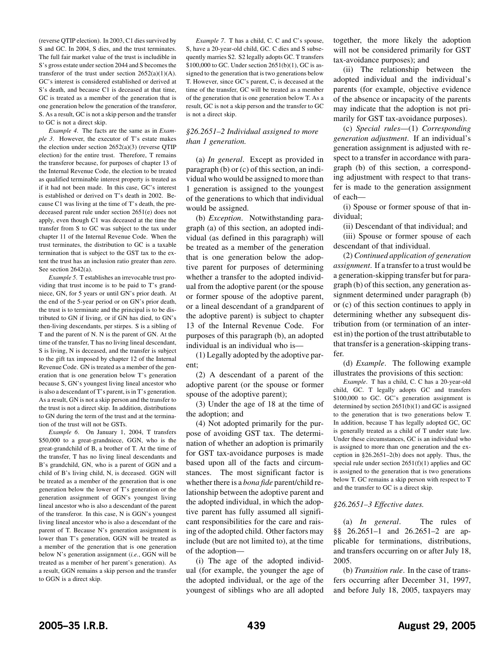(reverse QTIP election). In 2003, C1 dies survived by S and GC. In 2004, S dies, and the trust terminates. The full fair market value of the trust is includible in S's gross estate under section 2044 and S becomes the transferor of the trust under section  $2652(a)(1)(A)$ . GC's interest is considered established or derived at S's death, and because C1 is deceased at that time, GC is treated as a member of the generation that is one generation below the generation of the transferor, S. As a result, GC is not a skip person and the transfer to GC is not a direct skip.

*Example 4*. The facts are the same as in *Example 3*. However, the executor of T's estate makes the election under section 2652(a)(3) (reverse QTIP election) for the entire trust. Therefore, T remains the transferor because, for purposes of chapter 13 of the Internal Revenue Code, the election to be treated as qualified terminable interest property is treated as if it had not been made. In this case, GC's interest is established or derived on T's death in 2002. Because C1 was living at the time of T's death, the predeceased parent rule under section 2651(e) does not apply, even though C1 was deceased at the time the transfer from S to GC was subject to the tax under chapter 11 of the Internal Revenue Code. When the trust terminates, the distribution to GC is a taxable termination that is subject to the GST tax to the extent the trust has an inclusion ratio greater than zero. See section 2642(a).

*Example 5*. T establishes an irrevocable trust providing that trust income is to be paid to T's grandniece, GN, for 5 years or until GN's prior death. At the end of the 5-year period or on GN's prior death, the trust is to terminate and the principal is to be distributed to GN if living, or if GN has died, to GN's then-living descendants, per stirpes. S is a sibling of T and the parent of N. N is the parent of GN. At the time of the transfer, T has no living lineal descendant, S is living, N is deceased, and the transfer is subject to the gift tax imposed by chapter 12 of the Internal Revenue Code. GN is treated as a member of the generation that is one generation below T's generation because S, GN's youngest living lineal ancestor who is also a descendant of T's parent, is in T's generation. As a result, GN is not a skip person and the transfer to the trust is not a direct skip. In addition, distributions to GN during the term of the trust and at the termination of the trust will not be GSTs.

*Example 6*. On January 1, 2004, T transfers \$50,000 to a great-grandniece, GGN, who is the great-grandchild of B, a brother of T. At the time of the transfer, T has no living lineal descendants and B's grandchild, GN, who is a parent of GGN and a child of B's living child, N, is deceased. GGN will be treated as a member of the generation that is one generation below the lower of T's generation or the generation assignment of GGN's youngest living lineal ancestor who is also a descendant of the parent of the transferor. In this case, N is GGN's youngest living lineal ancestor who is also a descendant of the parent of T. Because N's generation assignment is lower than T's generation, GGN will be treated as a member of the generation that is one generation below N's generation assignment (*i.e.*, GGN will be treated as a member of her parent's generation). As a result, GGN remains a skip person and the transfer to GGN is a direct skip.

*Example 7*. T has a child, C. C and C's spouse, S, have a 20-year-old child, GC. C dies and S subsequently marries S2. S2 legally adopts GC. T transfers \$100,000 to GC. Under section 2651(b)(1), GC is assigned to the generation that is two generations below T. However, since GC's parent, C, is deceased at the time of the transfer, GC will be treated as a member of the generation that is one generation below T. As a result, GC is not a skip person and the transfer to GC is not a direct skip.

### *§26.2651–2 Individual assigned to more than 1 generation.*

(a) *In general*. Except as provided in paragraph (b) or (c) of this section, an individual who would be assigned to more than 1 generation is assigned to the youngest of the generations to which that individual would be assigned.

(b) *Exception*. Notwithstanding paragraph (a) of this section, an adopted individual (as defined in this paragraph) will be treated as a member of the generation that is one generation below the adoptive parent for purposes of determining whether a transfer to the adopted individual from the adoptive parent (or the spouse or former spouse of the adoptive parent, or a lineal descendant of a grandparent of the adoptive parent) is subject to chapter 13 of the Internal Revenue Code. For purposes of this paragraph (b), an adopted individual is an individual who is—

(1) Legally adopted by the adoptive parent;

(2) A descendant of a parent of the adoptive parent (or the spouse or former spouse of the adoptive parent);

(3) Under the age of 18 at the time of the adoption; and

(4) Not adopted primarily for the purpose of avoiding GST tax. The determination of whether an adoption is primarily for GST tax-avoidance purposes is made based upon all of the facts and circumstances. The most significant factor is whether there is a *bona fide* parent/child relationship between the adoptive parent and the adopted individual, in which the adoptive parent has fully assumed all significant responsibilities for the care and raising of the adopted child. Other factors may include (but are not limited to), at the time of the adoption—

(i) The age of the adopted individual (for example, the younger the age of the adopted individual, or the age of the youngest of siblings who are all adopted together, the more likely the adoption will not be considered primarily for GST tax-avoidance purposes); and

(ii) The relationship between the adopted individual and the individual's parents (for example, objective evidence of the absence or incapacity of the parents may indicate that the adoption is not primarily for GST tax-avoidance purposes).

(c) *Special rules*—(1) *Corresponding generation adjustment*. If an individual's generation assignment is adjusted with respect to a transfer in accordance with paragraph (b) of this section, a corresponding adjustment with respect to that transfer is made to the generation assignment of each—

(i) Spouse or former spouse of that individual;

(ii) Descendant of that individual; and

(iii) Spouse or former spouse of each descendant of that individual.

(2) *Continued application of generation assignment*. If a transfer to a trust would be a generation-skipping transfer but for paragraph (b) of this section, any generation assignment determined under paragraph (b) or (c) of this section continues to apply in determining whether any subsequent distribution from (or termination of an interest in) the portion of the trust attributable to that transfer is a generation-skipping transfer.

(d) *Example*. The following example illustrates the provisions of this section:

*Example*. T has a child, C. C has a 20-year-old child, GC. T legally adopts GC and transfers \$100,000 to GC. GC's generation assignment is determined by section 2651(b)(1) and GC is assigned to the generation that is two generations below T. In addition, because T has legally adopted GC, GC is generally treated as a child of T under state law. Under these circumstances, GC is an individual who is assigned to more than one generation and the exception in §26.2651–2(b) does not apply. Thus, the special rule under section 2651(f)(1) applies and GC is assigned to the generation that is two generations below T. GC remains a skip person with respect to T and the transfer to GC is a direct skip.

## *§26.2651–3 Effective dates.*

(a) *In general*. The rules of §§ 26.2651–1 and 26.2651–2 are applicable for terminations, distributions, and transfers occurring on or after July 18, 2005.

(b) *Transition rule*. In the case of transfers occurring after December 31, 1997, and before July 18, 2005, taxpayers may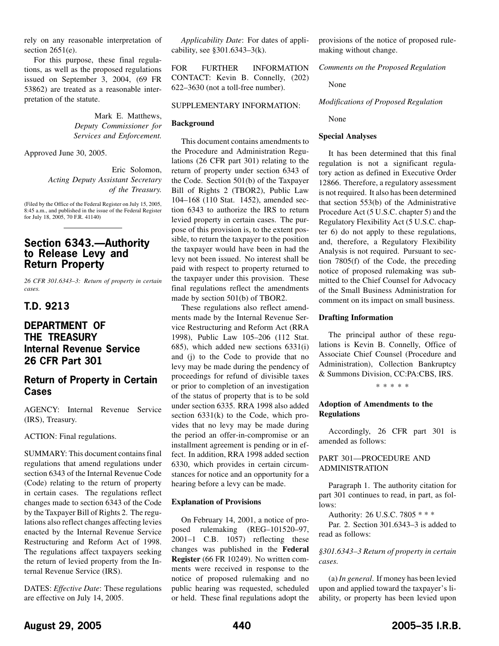<span id="page-21-0"></span>rely on any reasonable interpretation of section 2651(e).

For this purpose, these final regulations, as well as the proposed regulations issued on September 3, 2004, (69 FR 53862) are treated as a reasonable interpretation of the statute.

> Mark E. Matthews, *Deputy Commissioner for Services and Enforcement.*

Approved June 30, 2005.

Eric Solomon, *Acting Deputy Assistant Secretary of the Treasury.*

(Filed by the Office of the Federal Register on July 15, 2005, 8:45 a.m., and published in the issue of the Federal Register for July 18, 2005, 70 F.R. 41140)

# **Section 6343.—Authority to Release Levy and Return Property**

*26 CFR 301.6343–3: Return of property in certain cases.*

# **T.D. 9213**

# **DEPARTMENT OF THE TREASURY Internal Revenue Service 26 CFR Part 301**

# **Return of Property in Certain Cases**

AGENCY: Internal Revenue Service (IRS), Treasury.

ACTION: Final regulations.

SUMMARY: This document contains final regulations that amend regulations under section 6343 of the Internal Revenue Code (Code) relating to the return of property in certain cases. The regulations reflect changes made to section 6343 of the Code by the Taxpayer Bill of Rights 2. The regulations also reflect changes affecting levies enacted by the Internal Revenue Service Restructuring and Reform Act of 1998. The regulations affect taxpayers seeking the return of levied property from the Internal Revenue Service (IRS).

DATES: *Effective Date*: These regulations are effective on July 14, 2005.

*Applicability Date*: For dates of applicability, see §301.6343–3(k).

FOR FURTHER INFORMATION CONTACT: Kevin B. Connelly, (202) 622–3630 (not a toll-free number).

### SUPPLEMENTARY INFORMATION:

## **Background**

This document contains amendments to the Procedure and Administration Regulations (26 CFR part 301) relating to the return of property under section 6343 of the Code. Section 501(b) of the Taxpayer Bill of Rights 2 (TBOR2), Public Law 104–168 (110 Stat. 1452), amended section 6343 to authorize the IRS to return levied property in certain cases. The purpose of this provision is, to the extent possible, to return the taxpayer to the position the taxpayer would have been in had the levy not been issued. No interest shall be paid with respect to property returned to the taxpayer under this provision. These final regulations reflect the amendments made by section 501(b) of TBOR2.

These regulations also reflect amendments made by the Internal Revenue Service Restructuring and Reform Act (RRA 1998), Public Law 105–206 (112 Stat. 685), which added new sections 6331(i) and (j) to the Code to provide that no levy may be made during the pendency of proceedings for refund of divisible taxes or prior to completion of an investigation of the status of property that is to be sold under section 6335. RRA 1998 also added section 6331(k) to the Code, which provides that no levy may be made during the period an offer-in-compromise or an installment agreement is pending or in effect. In addition, RRA 1998 added section 6330, which provides in certain circumstances for notice and an opportunity for a hearing before a levy can be made.

## **Explanation of Provisions**

On February 14, 2001, a notice of proposed rulemaking (REG–101520–97, 2001–1 C.B. 1057) reflecting these changes was published in the **Federal Register** (66 FR 10249). No written comments were received in response to the notice of proposed rulemaking and no public hearing was requested, scheduled or held. These final regulations adopt the

provisions of the notice of proposed rulemaking without change.

*Comments on the Proposed Regulation*

None

*Modifications of Proposed Regulation*

None

## **Special Analyses**

It has been determined that this final regulation is not a significant regulatory action as defined in Executive Order 12866. Therefore, a regulatory assessment is not required. It also has been determined that section 553(b) of the Administrative Procedure Act (5 U.S.C. chapter 5) and the Regulatory Flexibility Act (5 U.S.C. chapter 6) do not apply to these regulations, and, therefore, a Regulatory Flexibility Analysis is not required. Pursuant to section 7805(f) of the Code, the preceding notice of proposed rulemaking was submitted to the Chief Counsel for Advocacy of the Small Business Administration for comment on its impact on small business.

## **Drafting Information**

The principal author of these regulations is Kevin B. Connelly, Office of Associate Chief Counsel (Procedure and Administration), Collection Bankruptcy & Summons Division, CC:PA:CBS, IRS.

\*\*\*\*\*

## **Adoption of Amendments to the Regulations**

Accordingly, 26 CFR part 301 is amended as follows:

## PART 301—PROCEDURE AND ADMINISTRATION

Paragraph 1. The authority citation for part 301 continues to read, in part, as follows:

Authority: 26 U.S.C. 7805 \* \* \*

Par. 2. Section 301.6343–3 is added to read as follows:

*§301.6343–3 Return of property in certain cases.*

(a) *In general*. If money has been levied upon and applied toward the taxpayer's liability, or property has been levied upon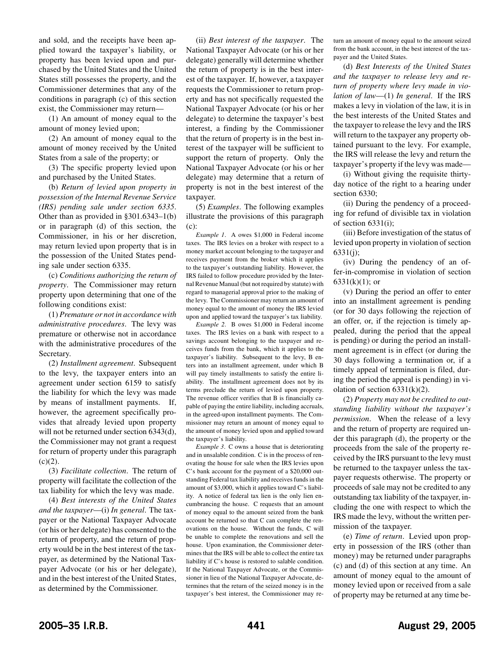and sold, and the receipts have been applied toward the taxpayer's liability, or property has been levied upon and purchased by the United States and the United States still possesses the property, and the Commissioner determines that any of the conditions in paragraph (c) of this section exist, the Commissioner may return—

(1) An amount of money equal to the amount of money levied upon;

(2) An amount of money equal to the amount of money received by the United States from a sale of the property; or

(3) The specific property levied upon and purchased by the United States.

(b) *Return of levied upon property in possession of the Internal Revenue Service (IRS) pending sale under section 6335*. Other than as provided in §301.6343–1(b) or in paragraph (d) of this section, the Commissioner, in his or her discretion, may return levied upon property that is in the possession of the United States pending sale under section 6335.

(c) *Conditions authorizing the return of property*. The Commissioner may return property upon determining that one of the following conditions exist:

(1) *Premature or not in accordance with administrative procedures*. The levy was premature or otherwise not in accordance with the administrative procedures of the Secretary.

(2) *Installment agreement*. Subsequent to the levy, the taxpayer enters into an agreement under section 6159 to satisfy the liability for which the levy was made by means of installment payments. If, however, the agreement specifically provides that already levied upon property will not be returned under section 6343(d), the Commissioner may not grant a request for return of property under this paragraph  $(c)(2)$ .

(3) *Facilitate collection*. The return of property will facilitate the collection of the tax liability for which the levy was made.

(4) *Best interests of the United States and the taxpayer*—(i) *In general*. The taxpayer or the National Taxpayer Advocate (or his or her delegate) has consented to the return of property, and the return of property would be in the best interest of the taxpayer, as determined by the National Taxpayer Advocate (or his or her delegate), and in the best interest of the United States, as determined by the Commissioner.

(ii) *Best interest of the taxpayer*. The National Taxpayer Advocate (or his or her delegate) generally will determine whether the return of property is in the best interest of the taxpayer. If, however, a taxpayer requests the Commissioner to return property and has not specifically requested the National Taxpayer Advocate (or his or her delegate) to determine the taxpayer's best interest, a finding by the Commissioner that the return of property is in the best interest of the taxpayer will be sufficient to support the return of property. Only the National Taxpayer Advocate (or his or her delegate) may determine that a return of property is not in the best interest of the taxpayer.

(5) *Examples*. The following examples illustrate the provisions of this paragraph (c):

*Example 1*. A owes \$1,000 in Federal income taxes. The IRS levies on a broker with respect to a money market account belonging to the taxpayer and receives payment from the broker which it applies to the taxpayer's outstanding liability. However, the IRS failed to follow procedure provided by the Internal Revenue Manual (but not required by statute) with regard to managerial approval prior to the making of the levy. The Commissioner may return an amount of money equal to the amount of money the IRS levied upon and applied toward the taxpayer's tax liability.

*Example 2*. B owes \$1,000 in Federal income taxes. The IRS levies on a bank with respect to a savings account belonging to the taxpayer and receives funds from the bank, which it applies to the taxpayer's liability. Subsequent to the levy, B enters into an installment agreement, under which B will pay timely installments to satisfy the entire liability. The installment agreement does not by its terms preclude the return of levied upon property. The revenue officer verifies that B is financially capable of paying the entire liability, including accruals, in the agreed-upon installment payments. The Commissioner may return an amount of money equal to the amount of money levied upon and applied toward the taxpayer's liability.

*Example 3*. C owns a house that is deteriorating and in unsalable condition. C is in the process of renovating the house for sale when the IRS levies upon C's bank account for the payment of a \$20,000 outstanding Federal tax liability and receives funds in the amount of \$3,000, which it applies toward C's liability. A notice of federal tax lien is the only lien encumbrancing the house. C requests that an amount of money equal to the amount seized from the bank account be returned so that C can complete the renovations on the house. Without the funds, C will be unable to complete the renovations and sell the house. Upon examination, the Commissioner determines that the IRS will be able to collect the entire tax liability if C's house is restored to salable condition. If the National Taxpayer Advocate, or the Commissioner in lieu of the National Taxpayer Advocate, determines that the return of the seized money is in the taxpayer's best interest, the Commissioner may return an amount of money equal to the amount seized from the bank account, in the best interest of the taxpayer and the United States.

(d) *Best Interests of the United States and the taxpayer to release levy and return of property where levy made in violation of law*—(1) *In general*. If the IRS makes a levy in violation of the law, it is in the best interests of the United States and the taxpayer to release the levy and the IRS will return to the taxpayer any property obtained pursuant to the levy. For example, the IRS will release the levy and return the taxpayer's property if the levy was made—

(i) Without giving the requisite thirtyday notice of the right to a hearing under section 6330;

(ii) During the pendency of a proceeding for refund of divisible tax in violation of section 6331(i);

(iii) Before investigation of the status of levied upon property in violation of section 6331(j);

(iv) During the pendency of an offer-in-compromise in violation of section  $6331(k)(1)$ ; or

(v) During the period an offer to enter into an installment agreement is pending (or for 30 days following the rejection of an offer, or, if the rejection is timely appealed, during the period that the appeal is pending) or during the period an installment agreement is in effect (or during the 30 days following a termination or, if a timely appeal of termination is filed, during the period the appeal is pending) in violation of section  $6331(k)(2)$ .

(2) *Property may not be credited to outstanding liability without the taxpayer's permission*. When the release of a levy and the return of property are required under this paragraph (d), the property or the proceeds from the sale of the property received by the IRS pursuant to the levy must be returned to the taxpayer unless the taxpayer requests otherwise. The property or proceeds of sale may not be credited to any outstanding tax liability of the taxpayer, including the one with respect to which the IRS made the levy, without the written permission of the taxpayer.

(e) *Time of return*. Levied upon property in possession of the IRS (other than money) may be returned under paragraphs (c) and (d) of this section at any time. An amount of money equal to the amount of money levied upon or received from a sale of property may be returned at any time be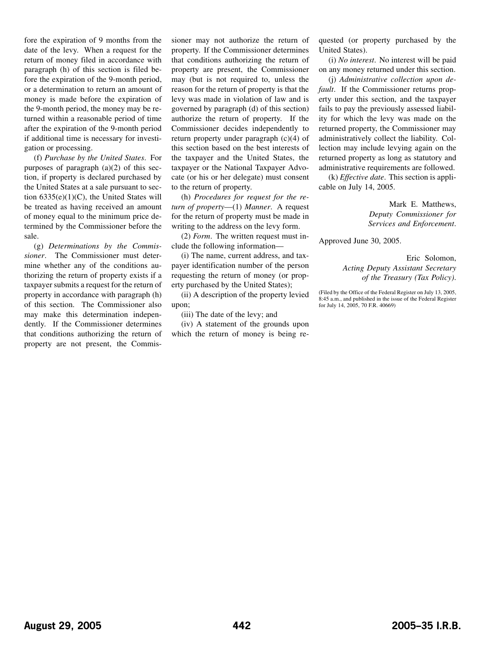fore the expiration of 9 months from the date of the levy. When a request for the return of money filed in accordance with paragraph (h) of this section is filed before the expiration of the 9-month period, or a determination to return an amount of money is made before the expiration of the 9-month period, the money may be returned within a reasonable period of time after the expiration of the 9-month period if additional time is necessary for investigation or processing.

(f) *Purchase by the United States*. For purposes of paragraph  $(a)(2)$  of this section, if property is declared purchased by the United States at a sale pursuant to section  $6335(e)(1)(C)$ , the United States will be treated as having received an amount of money equal to the minimum price determined by the Commissioner before the sale.

(g) *Determinations by the Commissioner*. The Commissioner must determine whether any of the conditions authorizing the return of property exists if a taxpayer submits a request for the return of property in accordance with paragraph (h) of this section. The Commissioner also may make this determination independently. If the Commissioner determines that conditions authorizing the return of property are not present, the Commissioner may not authorize the return of property. If the Commissioner determines that conditions authorizing the return of property are present, the Commissioner may (but is not required to, unless the reason for the return of property is that the levy was made in violation of law and is governed by paragraph (d) of this section) authorize the return of property. If the Commissioner decides independently to return property under paragraph (c)(4) of this section based on the best interests of the taxpayer and the United States, the taxpayer or the National Taxpayer Advocate (or his or her delegate) must consent to the return of property.

(h) *Procedures for request for the return of property*—(1) *Manner*. A request for the return of property must be made in writing to the address on the levy form.

(2) *Form*. The written request must include the following information—

(i) The name, current address, and taxpayer identification number of the person requesting the return of money (or property purchased by the United States);

(ii) A description of the property levied upon;

(iii) The date of the levy; and

(iv) A statement of the grounds upon which the return of money is being requested (or property purchased by the United States).

(i) *No interest*. No interest will be paid on any money returned under this section.

(j) *Administrative collection upon default*. If the Commissioner returns property under this section, and the taxpayer fails to pay the previously assessed liability for which the levy was made on the returned property, the Commissioner may administratively collect the liability. Collection may include levying again on the returned property as long as statutory and administrative requirements are followed.

(k) *Effective date*. This section is applicable on July 14, 2005.

> Mark E. Matthews, *Deputy Commissioner for Services and Enforcement*.

Approved June 30, 2005.

Eric Solomon, *Acting Deputy Assistant Secretary of the Treasury (Tax Policy)*.

(Filed by the Office of the Federal Register on July 13, 2005, 8:45 a.m., and published in the issue of the Federal Register for July 14, 2005, 70 F.R. 40669)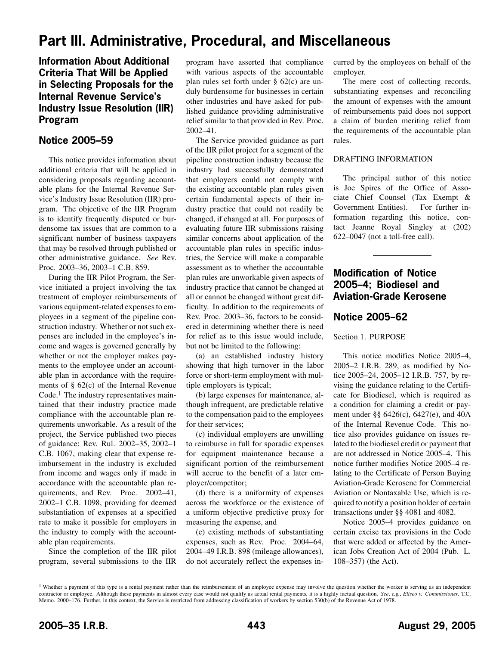# <span id="page-24-0"></span>**Part III. Administrative, Procedural, and Miscellaneous**

# **Information About Additional Criteria That Will be Applied in Selecting Proposals for the Internal Revenue Service's Industry Issue Resolution (IIR) Program**

# **Notice 2005–59**

This notice provides information about additional criteria that will be applied in considering proposals regarding accountable plans for the Internal Revenue Service's Industry Issue Resolution (IIR) program. The objective of the IIR Program is to identify frequently disputed or burdensome tax issues that are common to a significant number of business taxpayers that may be resolved through published or other administrative guidance. *See* Rev. Proc. 2003–36, 2003–1 C.B. 859.

During the IIR Pilot Program, the Service initiated a project involving the tax treatment of employer reimbursements of various equipment-related expenses to employees in a segment of the pipeline construction industry. Whether or not such expenses are included in the employee's income and wages is governed generally by whether or not the employer makes payments to the employee under an accountable plan in accordance with the requirements of § 62(c) of the Internal Revenue Code.<sup>1</sup> The industry representatives maintained that their industry practice made compliance with the accountable plan requirements unworkable. As a result of the project, the Service published two pieces of guidance: Rev. Rul. 2002–35, 2002–1 C.B. 1067, making clear that expense reimbursement in the industry is excluded from income and wages only if made in accordance with the accountable plan requirements, and Rev. Proc. 2002–41, 2002–1 C.B. 1098, providing for deemed substantiation of expenses at a specified rate to make it possible for employers in the industry to comply with the accountable plan requirements.

Since the completion of the IIR pilot program, several submissions to the IIR

program have asserted that compliance with various aspects of the accountable plan rules set forth under § 62(c) are unduly burdensome for businesses in certain other industries and have asked for published guidance providing administrative relief similar to that provided in Rev. Proc. 2002–41.

The Service provided guidance as part of the IIR pilot project for a segment of the pipeline construction industry because the industry had successfully demonstrated that employers could not comply with the existing accountable plan rules given certain fundamental aspects of their industry practice that could not readily be changed, if changed at all. For purposes of evaluating future IIR submissions raising similar concerns about application of the accountable plan rules in specific industries, the Service will make a comparable assessment as to whether the accountable plan rules are unworkable given aspects of industry practice that cannot be changed at all or cannot be changed without great difficulty. In addition to the requirements of Rev. Proc. 2003–36, factors to be considered in determining whether there is need for relief as to this issue would include, but not be limited to the following:

(a) an established industry history showing that high turnover in the labor force or short-term employment with multiple employers is typical;

(b) large expenses for maintenance, although infrequent, are predictable relative to the compensation paid to the employees for their services;

(c) individual employers are unwilling to reimburse in full for sporadic expenses for equipment maintenance because a significant portion of the reimbursement will accrue to the benefit of a later employer/competitor;

(d) there is a uniformity of expenses across the workforce or the existence of a uniform objective predictive proxy for measuring the expense, and

(e) existing methods of substantiating expenses, such as Rev. Proc. 2004–64, 2004–49 I.R.B. 898 (mileage allowances), do not accurately reflect the expenses incurred by the employees on behalf of the employer.

The mere cost of collecting records, substantiating expenses and reconciling the amount of expenses with the amount of reimbursements paid does not support a claim of burden meriting relief from the requirements of the accountable plan rules.

## DRAFTING INFORMATION

The principal author of this notice is Joe Spires of the Office of Associate Chief Counsel (Tax Exempt & Government Entities). For further information regarding this notice, contact Jeanne Royal Singley at (202) 622–0047 (not a toll-free call).

# **Modification of Notice 2005–4; Biodiesel and Aviation-Grade Kerosene**

# **Notice 2005–62**

Section 1. PURPOSE

This notice modifies Notice 2005–4, 2005–2 I.R.B. 289, as modified by Notice 2005–24, 2005–12 I.R.B. 757, by revising the guidance relating to the Certificate for Biodiesel, which is required as a condition for claiming a credit or payment under §§ 6426(c), 6427(e), and 40A of the Internal Revenue Code. This notice also provides guidance on issues related to the biodiesel credit or payment that are not addressed in Notice 2005–4. This notice further modifies Notice 2005–4 relating to the Certificate of Person Buying Aviation-Grade Kerosene for Commercial Aviation or Nontaxable Use, which is required to notify a position holder of certain transactions under §§ 4081 and 4082.

Notice 2005–4 provides guidance on certain excise tax provisions in the Code that were added or affected by the American Jobs Creation Act of 2004 (Pub. L. 108–357) (the Act).

<sup>&</sup>lt;sup>1</sup> Whether a payment of this type is a rental payment rather than the reimbursement of an employee expense may involve the question whether the worker is serving as an independent contractor or employee. Although these payments in almost every case would not qualify as actual rental payments, it is a highly factual question. *See*, *e.g.*, *Eliseo v. Commissioner*, T.C. Memo. 2000–176. Further, in this context, the Service is restricted from addressing classification of workers by section 530(b) of the Revenue Act of 1978.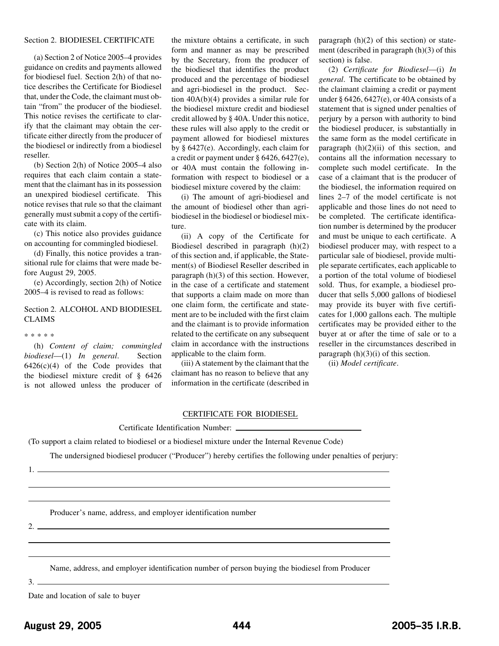### Section 2. BIODIESEL CERTIFICATE

(a) Section 2 of Notice 2005–4 provides guidance on credits and payments allowed for biodiesel fuel. Section 2(h) of that notice describes the Certificate for Biodiesel that, under the Code, the claimant must obtain "from" the producer of the biodiesel. This notice revises the certificate to clarify that the claimant may obtain the certificate either directly from the producer of the biodiesel or indirectly from a biodiesel reseller.

(b) Section 2(h) of Notice 2005–4 also requires that each claim contain a statement that the claimant has in its possession an unexpired biodiesel certificate. This notice revises that rule so that the claimant generally must submit a copy of the certificate with its claim.

(c) This notice also provides guidance on accounting for commingled biodiesel.

(d) Finally, this notice provides a transitional rule for claims that were made before August 29, 2005.

(e) Accordingly, section 2(h) of Notice 2005–4 is revised to read as follows:

# Section 2. ALCOHOL AND BIODIESEL CLAIMS

#### \*\*\*\*\*

(h) *Content of claim; commingled biodiesel*—(1) *In general*. Section  $6426(c)(4)$  of the Code provides that the biodiesel mixture credit of § 6426 is not allowed unless the producer of

the mixture obtains a certificate, in such form and manner as may be prescribed by the Secretary, from the producer of the biodiesel that identifies the product produced and the percentage of biodiesel and agri-biodiesel in the product. Section 40A(b)(4) provides a similar rule for the biodiesel mixture credit and biodiesel credit allowed by § 40A. Under this notice, these rules will also apply to the credit or payment allowed for biodiesel mixtures by § 6427(e). Accordingly, each claim for a credit or payment under § 6426, 6427(e), or 40A must contain the following information with respect to biodiesel or a biodiesel mixture covered by the claim:

(i) The amount of agri-biodiesel and the amount of biodiesel other than agribiodiesel in the biodiesel or biodiesel mixture.

(ii) A copy of the Certificate for Biodiesel described in paragraph (h)(2) of this section and, if applicable, the Statement(s) of Biodiesel Reseller described in paragraph (h)(3) of this section. However, in the case of a certificate and statement that supports a claim made on more than one claim form, the certificate and statement are to be included with the first claim and the claimant is to provide information related to the certificate on any subsequent claim in accordance with the instructions applicable to the claim form.

(iii) A statement by the claimant that the claimant has no reason to believe that any information in the certificate (described in paragraph (h)(2) of this section) or statement (described in paragraph (h)(3) of this section) is false.

(2) *Certificate for Biodiesel*—(i) *In general*. The certificate to be obtained by the claimant claiming a credit or payment under § 6426, 6427(e), or 40A consists of a statement that is signed under penalties of perjury by a person with authority to bind the biodiesel producer, is substantially in the same form as the model certificate in paragraph  $(h)(2)(ii)$  of this section, and contains all the information necessary to complete such model certificate. In the case of a claimant that is the producer of the biodiesel, the information required on lines 2–7 of the model certificate is not applicable and those lines do not need to be completed. The certificate identification number is determined by the producer and must be unique to each certificate. A biodiesel producer may, with respect to a particular sale of biodiesel, provide multiple separate certificates, each applicable to a portion of the total volume of biodiesel sold. Thus, for example, a biodiesel producer that sells 5,000 gallons of biodiesel may provide its buyer with five certificates for 1,000 gallons each. The multiple certificates may be provided either to the buyer at or after the time of sale or to a reseller in the circumstances described in paragraph  $(h)(3)(i)$  of this section.

(ii) *Model certificate*.

#### CERTIFICATE FOR BIODIESEL

#### Certificate Identification Number:

(To support a claim related to biodiesel or a biodiesel mixture under the Internal Revenue Code)

The undersigned biodiesel producer ("Producer") hereby certifies the following under penalties of perjury:

1.

Producer's name, address, and employer identification number

 $2.$ 

Name, address, and employer identification number of person buying the biodiesel from Producer

 $3.$   $-$ 

Date and location of sale to buyer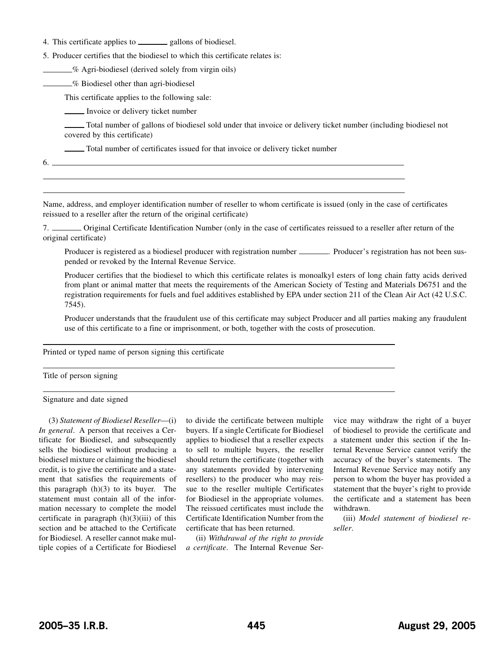4. This certificate applies to \_\_\_\_\_\_\_ gallons of biodiesel.

5. Producer certifies that the biodiesel to which this certificate relates is:

% Agri-biodiesel (derived solely from virgin oils)

**6** Biodiesel other than agri-biodiesel

This certificate applies to the following sale:

Invoice or delivery ticket number

Total number of gallons of biodiesel sold under that invoice or delivery ticket number (including biodiesel not covered by this certificate)

Total number of certificates issued for that invoice or delivery ticket number

 $6.$  —

Name, address, and employer identification number of reseller to whom certificate is issued (only in the case of certificates reissued to a reseller after the return of the original certificate)

7. Original Certificate Identification Number (only in the case of certificates reissued to a reseller after return of the original certificate)

Producer is registered as a biodiesel producer with registration number .................... Producer's registration has not been suspended or revoked by the Internal Revenue Service.

Producer certifies that the biodiesel to which this certificate relates is monoalkyl esters of long chain fatty acids derived from plant or animal matter that meets the requirements of the American Society of Testing and Materials D6751 and the registration requirements for fuels and fuel additives established by EPA under section 211 of the Clean Air Act (42 U.S.C. 7545).

Producer understands that the fraudulent use of this certificate may subject Producer and all parties making any fraudulent use of this certificate to a fine or imprisonment, or both, together with the costs of prosecution.

Printed or typed name of person signing this certificate

Title of person signing

Signature and date signed

(3) *Statement of Biodiesel Reseller*—(i) *In general*. A person that receives a Certificate for Biodiesel, and subsequently sells the biodiesel without producing a biodiesel mixture or claiming the biodiesel credit, is to give the certificate and a statement that satisfies the requirements of this paragraph (h)(3) to its buyer. The statement must contain all of the information necessary to complete the model certificate in paragraph  $(h)(3)(iii)$  of this section and be attached to the Certificate for Biodiesel. A reseller cannot make multiple copies of a Certificate for Biodiesel to divide the certificate between multiple buyers. If a single Certificate for Biodiesel applies to biodiesel that a reseller expects to sell to multiple buyers, the reseller should return the certificate (together with any statements provided by intervening resellers) to the producer who may reissue to the reseller multiple Certificates for Biodiesel in the appropriate volumes. The reissued certificates must include the Certificate Identification Number from the certificate that has been returned.

(ii) *Withdrawal of the right to provide a certificate*. The Internal Revenue Service may withdraw the right of a buyer of biodiesel to provide the certificate and a statement under this section if the Internal Revenue Service cannot verify the accuracy of the buyer's statements. The Internal Revenue Service may notify any person to whom the buyer has provided a statement that the buyer's right to provide the certificate and a statement has been withdrawn.

(iii) *Model statement of biodiesel reseller*.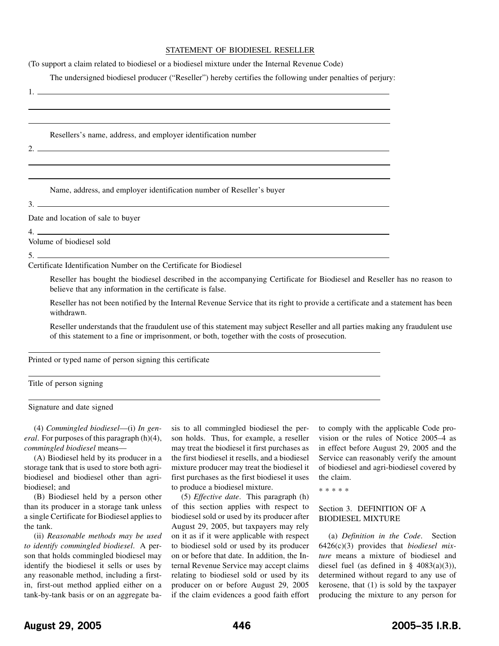### STATEMENT OF BIODIESEL RESELLER

(To support a claim related to biodiesel or a biodiesel mixture under the Internal Revenue Code)

The undersigned biodiesel producer ("Reseller") hereby certifies the following under penalties of perjury:

Resellers's name, address, and employer identification number  $2.$ Name, address, and employer identification number of Reseller's buyer  $3.$   $-$ Date and location of sale to buyer 4.

Volume of biodiesel sold

5.

 $1.$   $\equiv$ 

Certificate Identification Number on the Certificate for Biodiesel

Reseller has bought the biodiesel described in the accompanying Certificate for Biodiesel and Reseller has no reason to believe that any information in the certificate is false.

Reseller has not been notified by the Internal Revenue Service that its right to provide a certificate and a statement has been withdrawn.

Reseller understands that the fraudulent use of this statement may subject Reseller and all parties making any fraudulent use of this statement to a fine or imprisonment, or both, together with the costs of prosecution.

Printed or typed name of person signing this certificate

Title of person signing

Signature and date signed

(4) *Commingled biodiesel*—(i) *In general*. For purposes of this paragraph (h)(4), *commingled biodiesel* means—

(A) Biodiesel held by its producer in a storage tank that is used to store both agribiodiesel and biodiesel other than agribiodiesel; and

(B) Biodiesel held by a person other than its producer in a storage tank unless a single Certificate for Biodiesel applies to the tank.

(ii) *Reasonable methods may be used to identify commingled biodiesel*. A person that holds commingled biodiesel may identify the biodiesel it sells or uses by any reasonable method, including a firstin, first-out method applied either on a tank-by-tank basis or on an aggregate basis to all commingled biodiesel the person holds. Thus, for example, a reseller may treat the biodiesel it first purchases as the first biodiesel it resells, and a biodiesel mixture producer may treat the biodiesel it first purchases as the first biodiesel it uses to produce a biodiesel mixture.

(5) *Effective date*. This paragraph (h) of this section applies with respect to biodiesel sold or used by its producer after August 29, 2005, but taxpayers may rely on it as if it were applicable with respect to biodiesel sold or used by its producer on or before that date. In addition, the Internal Revenue Service may accept claims relating to biodiesel sold or used by its producer on or before August 29, 2005 if the claim evidences a good faith effort

to comply with the applicable Code provision or the rules of Notice 2005–4 as in effect before August 29, 2005 and the Service can reasonably verify the amount of biodiesel and agri-biodiesel covered by the claim.

\*\*\*\*\*

# Section 3. DEFINITION OF A BIODIESEL MIXTURE

(a) *Definition in the Code*. Section 6426(c)(3) provides that *biodiesel mixture* means a mixture of biodiesel and diesel fuel (as defined in  $\S$  4083(a)(3)), determined without regard to any use of kerosene, that (1) is sold by the taxpayer producing the mixture to any person for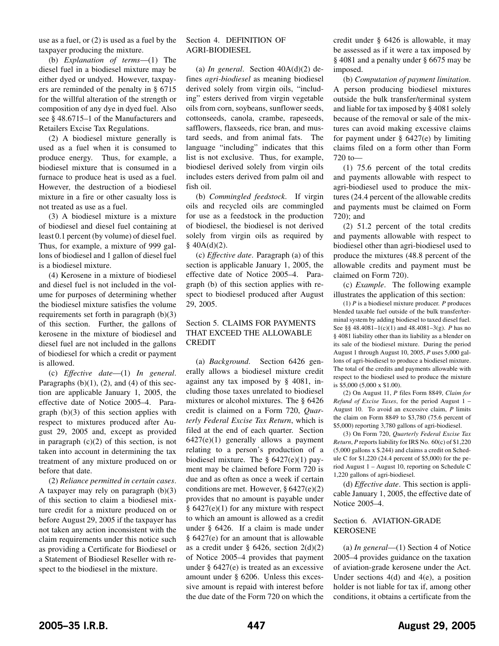use as a fuel, or (2) is used as a fuel by the taxpayer producing the mixture.

(b) *Explanation of terms*—(1) The diesel fuel in a biodiesel mixture may be either dyed or undyed. However, taxpayers are reminded of the penalty in § 6715 for the willful alteration of the strength or composition of any dye in dyed fuel. Also see § 48.6715–1 of the Manufacturers and Retailers Excise Tax Regulations.

(2) A biodiesel mixture generally is used as a fuel when it is consumed to produce energy. Thus, for example, a biodiesel mixture that is consumed in a furnace to produce heat is used as a fuel. However, the destruction of a biodiesel mixture in a fire or other casualty loss is not treated as use as a fuel.

(3) A biodiesel mixture is a mixture of biodiesel and diesel fuel containing at least 0.1 percent (by volume) of diesel fuel. Thus, for example, a mixture of 999 gallons of biodiesel and 1 gallon of diesel fuel is a biodiesel mixture.

(4) Kerosene in a mixture of biodiesel and diesel fuel is not included in the volume for purposes of determining whether the biodiesel mixture satisfies the volume requirements set forth in paragraph (b)(3) of this section. Further, the gallons of kerosene in the mixture of biodiesel and diesel fuel are not included in the gallons of biodiesel for which a credit or payment is allowed.

(c) *Effective date*—(1) *In general*. Paragraphs  $(b)(1)$ ,  $(2)$ , and  $(4)$  of this section are applicable January 1, 2005, the effective date of Notice 2005–4. Paragraph (b)(3) of this section applies with respect to mixtures produced after August 29, 2005 and, except as provided in paragraph  $(c)(2)$  of this section, is not taken into account in determining the tax treatment of any mixture produced on or before that date.

(2) *Reliance permitted in certain cases*. A taxpayer may rely on paragraph  $(b)(3)$ of this section to claim a biodiesel mixture credit for a mixture produced on or before August 29, 2005 if the taxpayer has not taken any action inconsistent with the claim requirements under this notice such as providing a Certificate for Biodiesel or a Statement of Biodiesel Reseller with respect to the biodiesel in the mixture.

# Section 4. DEFINITION OF AGRI-BIODIESEL

(a) *In general*. Section 40A(d)(2) defines *agri-biodiesel* as meaning biodiesel derived solely from virgin oils, "including" esters derived from virgin vegetable oils from corn, soybeans, sunflower seeds, cottonseeds, canola, crambe, rapeseeds, safflowers, flaxseeds, rice bran, and mustard seeds, and from animal fats. The language "including" indicates that this list is not exclusive. Thus, for example, biodiesel derived solely from virgin oils includes esters derived from palm oil and fish oil.

(b) *Commingled feedstock*. If virgin oils and recycled oils are commingled for use as a feedstock in the production of biodiesel, the biodiesel is not derived solely from virgin oils as required by  $$40A(d)(2).$ 

(c) *Effective date*. Paragraph (a) of this section is applicable January 1, 2005, the effective date of Notice 2005–4. Paragraph (b) of this section applies with respect to biodiesel produced after August 29, 2005.

# Section 5. CLAIMS FOR PAYMENTS THAT EXCEED THE ALLOWABLE CREDIT

(a) *Background*. Section 6426 generally allows a biodiesel mixture credit against any tax imposed by § 4081, including those taxes unrelated to biodiesel mixtures or alcohol mixtures. The § 6426 credit is claimed on a Form 720, *Quarterly Federal Excise Tax Return*, which is filed at the end of each quarter. Section  $6427(e)(1)$  generally allows a payment relating to a person's production of a biodiesel mixture. The  $\S$  6427(e)(1) payment may be claimed before Form 720 is due and as often as once a week if certain conditions are met. However, § 6427(e)(2) provides that no amount is payable under § 6427(e)(1) for any mixture with respect to which an amount is allowed as a credit under § 6426. If a claim is made under § 6427(e) for an amount that is allowable as a credit under  $\S$  6426, section 2(d)(2) of Notice 2005–4 provides that payment under § 6427(e) is treated as an excessive amount under § 6206. Unless this excessive amount is repaid with interest before the due date of the Form 720 on which the

credit under § 6426 is allowable, it may be assessed as if it were a tax imposed by § 4081 and a penalty under § 6675 may be imposed.

(b) *Computation of payment limitation*. A person producing biodiesel mixtures outside the bulk transfer/terminal system and liable for tax imposed by § 4081 solely because of the removal or sale of the mixtures can avoid making excessive claims for payment under  $\S$  6427(e) by limiting claims filed on a form other than Form 720 to—

(1) 75.6 percent of the total credits and payments allowable with respect to agri-biodiesel used to produce the mixtures (24.4 percent of the allowable credits and payments must be claimed on Form 720); and

(2) 51.2 percent of the total credits and payments allowable with respect to biodiesel other than agri-biodiesel used to produce the mixtures (48.8 percent of the allowable credits and payment must be claimed on Form 720).

(c) *Example*. The following example illustrates the application of this section:

(1) *P* is a biodiesel mixture producer. *P* produces blended taxable fuel outside of the bulk transfer/terminal system by adding biodiesel to taxed diesel fuel. See §§ 48.4081–1(c)(1) and 48.4081–3(g). *P* has no § 4081 liability other than its liability as a blender on its sale of the biodiesel mixture. During the period August 1 through August 10, 2005, *P* uses 5,000 gallons of agri-biodiesel to produce a biodiesel mixture. The total of the credits and payments allowable with respect to the biodiesel used to produce the mixture is \$5,000 (5,000 x \$1.00).

(2) On August 11, *P* files Form 8849, *Claim for Refund of Excise Taxes*, for the period August 1 – August 10. To avoid an excessive claim, *P* limits the claim on Form 8849 to \$3,780 (75.6 percent of \$5,000) reporting 3,780 gallons of agri-biodiesel.

(3) On Form 720, *Quarterly Federal Excise Tax Return*, *P* reports liability for IRS No. 60(c) of \$1,220 (5,000 gallons x \$.244) and claims a credit on Schedule C for \$1,220 (24.4 percent of \$5,000) for the period August 1 – August 10, reporting on Schedule C 1,220 gallons of agri-biodiesel.

(d) *Effective date*. This section is applicable January 1, 2005, the effective date of Notice 2005–4.

## Section 6. AVIATION-GRADE KEROSENE

(a) *In general*—(1) Section 4 of Notice 2005–4 provides guidance on the taxation of aviation-grade kerosene under the Act. Under sections 4(d) and 4(e), a position holder is not liable for tax if, among other conditions, it obtains a certificate from the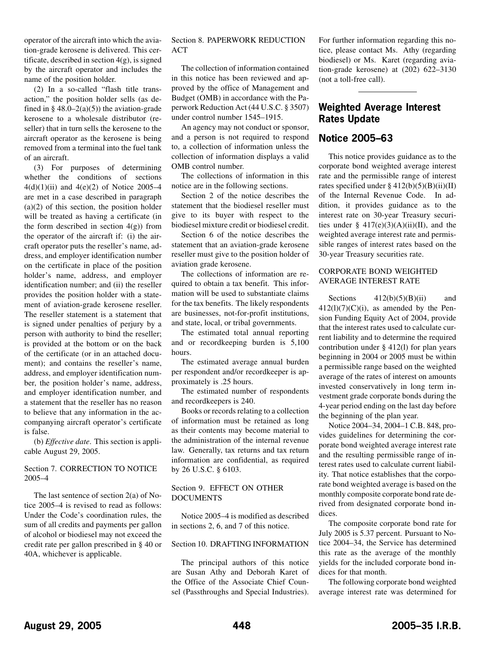<span id="page-29-0"></span>operator of the aircraft into which the aviation-grade kerosene is delivered. This certificate, described in section  $4(g)$ , is signed by the aircraft operator and includes the name of the position holder.

(2) In a so-called "flash title transaction," the position holder sells (as defined in §  $48.0-2(a)(5)$  the aviation-grade kerosene to a wholesale distributor (reseller) that in turn sells the kerosene to the aircraft operator as the kerosene is being removed from a terminal into the fuel tank of an aircraft.

(3) For purposes of determining whether the conditions of sections  $4(d)(1)(ii)$  and  $4(e)(2)$  of Notice 2005–4 are met in a case described in paragraph  $(a)(2)$  of this section, the position holder will be treated as having a certificate (in the form described in section  $4(g)$ ) from the operator of the aircraft if: (i) the aircraft operator puts the reseller's name, address, and employer identification number on the certificate in place of the position holder's name, address, and employer identification number; and (ii) the reseller provides the position holder with a statement of aviation-grade kerosene reseller. The reseller statement is a statement that is signed under penalties of perjury by a person with authority to bind the reseller; is provided at the bottom or on the back of the certificate (or in an attached document); and contains the reseller's name, address, and employer identification number, the position holder's name, address, and employer identification number, and a statement that the reseller has no reason to believe that any information in the accompanying aircraft operator's certificate is false.

(b) *Effective date*. This section is applicable August 29, 2005.

## Section 7. CORRECTION TO NOTICE 2005–4

The last sentence of section 2(a) of Notice 2005–4 is revised to read as follows: Under the Code's coordination rules, the sum of all credits and payments per gallon of alcohol or biodiesel may not exceed the credit rate per gallon prescribed in § 40 or 40A, whichever is applicable.

# Section 8. PAPERWORK REDUCTION  $ACT$

The collection of information contained in this notice has been reviewed and approved by the office of Management and Budget (OMB) in accordance with the Paperwork Reduction Act (44 U.S.C. § 3507) under control number 1545–1915.

An agency may not conduct or sponsor, and a person is not required to respond to, a collection of information unless the collection of information displays a valid OMB control number.

The collections of information in this notice are in the following sections.

Section 2 of the notice describes the statement that the biodiesel reseller must give to its buyer with respect to the biodiesel mixture credit or biodiesel credit.

Section 6 of the notice describes the statement that an aviation-grade kerosene reseller must give to the position holder of aviation grade kerosene.

The collections of information are required to obtain a tax benefit. This information will be used to substantiate claims for the tax benefits. The likely respondents are businesses, not-for-profit institutions, and state, local, or tribal governments.

The estimated total annual reporting and or recordkeeping burden is 5,100 hours.

The estimated average annual burden per respondent and/or recordkeeper is approximately is .25 hours.

The estimated number of respondents and recordkeepers is 240.

Books or records relating to a collection of information must be retained as long as their contents may become material to the administration of the internal revenue law. Generally, tax returns and tax return information are confidential, as required by 26 U.S.C. § 6103.

## Section 9. EFFECT ON OTHER **DOCUMENTS**

Notice 2005–4 is modified as described in sections 2, 6, and 7 of this notice.

## Section 10. DRAFTING INFORMATION

The principal authors of this notice are Susan Athy and Deborah Karet of the Office of the Associate Chief Counsel (Passthroughs and Special Industries).

For further information regarding this notice, please contact Ms. Athy (regarding biodiesel) or Ms. Karet (regarding aviation-grade kerosene) at (202) 622–3130 (not a toll-free call).

# **Weighted Average Interest Rates Update**

# **Notice 2005–63**

This notice provides guidance as to the corporate bond weighted average interest rate and the permissible range of interest rates specified under  $\S 412(b)(5)(B)(ii)(II)$ of the Internal Revenue Code. In addition, it provides guidance as to the interest rate on 30-year Treasury securities under  $§$  417(e)(3)(A)(ii)(II), and the weighted average interest rate and permissible ranges of interest rates based on the 30-year Treasury securities rate.

## CORPORATE BOND WEIGHTED AVERAGE INTEREST RATE

Sections  $412(b)(5)(B)(ii)$  and  $412(1)(7)(C)(i)$ , as amended by the Pension Funding Equity Act of 2004, provide that the interest rates used to calculate current liability and to determine the required contribution under § 412(l) for plan years beginning in 2004 or 2005 must be within a permissible range based on the weighted average of the rates of interest on amounts invested conservatively in long term investment grade corporate bonds during the 4-year period ending on the last day before the beginning of the plan year.

Notice 2004–34, 2004–1 C.B. 848, provides guidelines for determining the corporate bond weighted average interest rate and the resulting permissible range of interest rates used to calculate current liability. That notice establishes that the corporate bond weighted average is based on the monthly composite corporate bond rate derived from designated corporate bond indices.

The composite corporate bond rate for July 2005 is 5.37 percent. Pursuant to Notice 2004–34, the Service has determined this rate as the average of the monthly yields for the included corporate bond indices for that month.

The following corporate bond weighted average interest rate was determined for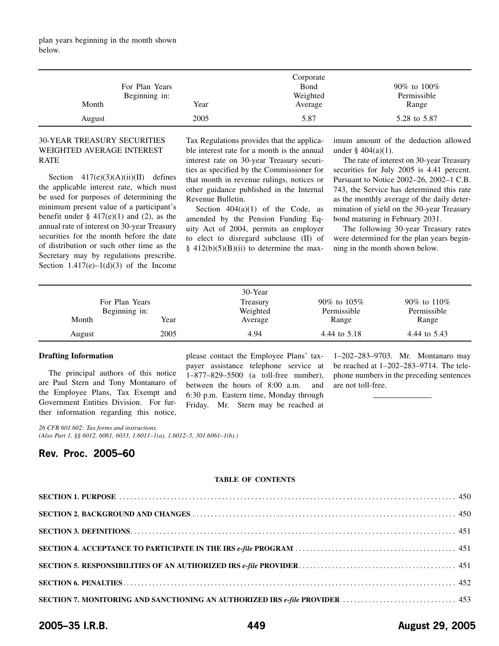<span id="page-30-0"></span>

|                |      | Corporate |              |
|----------------|------|-----------|--------------|
| For Plan Years |      | Bond      | 90% to 100%  |
| Beginning in:  |      | Weighted  | Permissible  |
| Month          | Year | Average   | Range        |
| August         | 2005 | 5.87      | 5.28 to 5.87 |

# 30-YEAR TREASURY SECURITIES WEIGHTED AVERAGE INTEREST RATE

Section  $417(e)(3)(A)(ii)(II)$  defines the applicable interest rate, which must be used for purposes of determining the minimum present value of a participant's benefit under  $\S$  417(e)(1) and (2), as the annual rate of interest on 30-year Treasury securities for the month before the date of distribution or such other time as the Secretary may by regulations prescribe. Section  $1.417(e)-1(d)(3)$  of the Income

Tax Regulations provides that the applicable interest rate for a month is the annual interest rate on 30-year Treasury securities as specified by the Commissioner for that month in revenue rulings, notices or other guidance published in the Internal Revenue Bulletin.

Section  $404(a)(1)$  of the Code, as amended by the Pension Funding Equity Act of 2004, permits an employer to elect to disregard subclause (II) of  $§$  412(b)(5)(B)(ii) to determine the maximum amount of the deduction allowed under  $\frac{404(a)(1)}{2}$ .

The rate of interest on 30-year Treasury securities for July 2005 is 4.41 percent. Pursuant to Notice 2002–26, 2002–1 C.B. 743, the Service has determined this rate as the monthly average of the daily determination of yield on the 30-year Treasury bond maturing in February 2031.

The following 30-year Treasury rates were determined for the plan years beginning in the month shown below.

| For Plan Years         |      | 30-Year<br>Treasury | 90\% to 105\%        | 90\% to 110\%        |
|------------------------|------|---------------------|----------------------|----------------------|
| Beginning in:<br>Month | Year | Weighted<br>Average | Permissible<br>Range | Permissible<br>Range |
| August                 | 2005 | 4.94                | 4.44 to 5.18         | 4.44 to 5.43         |

## **Drafting Information**

The principal authors of this notice are Paul Stern and Tony Montanaro of the Employee Plans, Tax Exempt and Government Entities Division. For further information regarding this notice, please contact the Employee Plans' taxpayer assistance telephone service at 1–877–829–5500 (a toll-free number), between the hours of 8:00 a.m. and 6:30 p.m. Eastern time, Monday through Friday. Mr. Stern may be reached at

1–202–283–9703. Mr. Montanaro may be reached at 1–202–283–9714. The telephone numbers in the preceding sentences are not toll-free.

*26 CFR 601.602: Tax forms and instructions. (Also Part 1, §§ 6012, 6061, 6033, 1.6011–1(a), 1.6012–5, 301.6061–1(b).)*

# **Rev. Proc. 2005–60**

## **TABLE OF CONTENTS**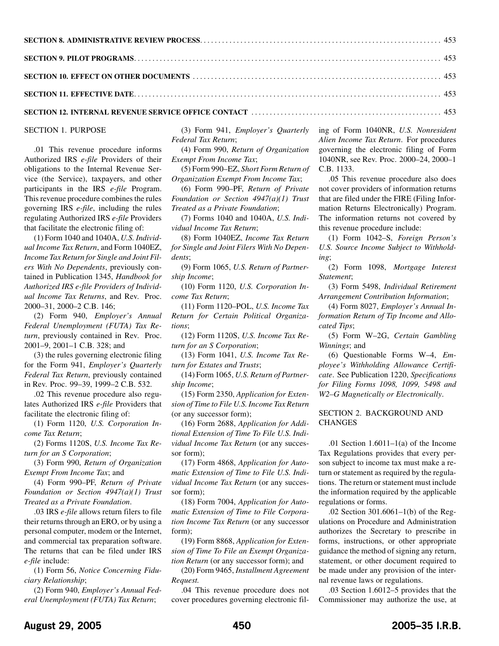<span id="page-31-0"></span>

| <b>SECTION 9. PILOT PROGRAMS.</b> $\ldots$ . $\ldots$ . $\ldots$ . $\ldots$ . $\ldots$ . $\ldots$ . $\ldots$ . $\ldots$ . $\ldots$ . $\ldots$ . $\ldots$ . 453 |  |
|----------------------------------------------------------------------------------------------------------------------------------------------------------------|--|
|                                                                                                                                                                |  |
|                                                                                                                                                                |  |
|                                                                                                                                                                |  |

**SECTION 12. INTERNAL REVENUE SERVICE OFFICE CONTACT** . . . . . . . . . . . . . . . . . . . . . . . . . . . . . . . . . . . . . . . . . . . . . . . . . . . . [453](#page-34-0)

SECTION 1. PURPOSE

.01 This revenue procedure informs Authorized IRS *e-file* Providers of their obligations to the Internal Revenue Service (the Service), taxpayers, and other participants in the IRS *e-file* Program. This revenue procedure combines the rules governing IRS *e-file*, including the rules regulating Authorized IRS *e-file* Providers that facilitate the electronic filing of:

(1) Form 1040 and 1040A, *U.S. Individual Income Tax Return*, and Form 1040EZ, *Income Tax Return for Single and Joint Filers With No Dependents*, previously contained in Publication 1345, *Handbook for Authorized IRS e-file Providers of Individual Income Tax Returns*, and Rev. Proc. 2000–31, 2000–2 C.B. 146;

(2) Form 940, *Employer's Annual Federal Unemployment (FUTA) Tax Return*, previously contained in Rev. Proc. 2001–9, 2001–1 C.B. 328; and

(3) the rules governing electronic filing for the Form 941, *Employer's Quarterly Federal Tax Return*, previously contained in Rev. Proc. 99–39, 1999–2 C.B. 532.

.02 This revenue procedure also regulates Authorized IRS *e-file* Providers that facilitate the electronic filing of:

(1) Form 1120, *U.S. Corporation Income Tax Return*;

(2) Forms 1120S, *U.S. Income Tax Return for an S Corporation*;

(3) Form 990, *Return of Organization Exempt From Income Tax*; and

(4) Form 990–PF, *Return of Private Foundation or Section 4947(a)(1) Trust Treated as a Private Foundation*.

.03 IRS *e-file* allows return filers to file their returns through an ERO, or by using a personal computer, modem or the Internet, and commercial tax preparation software. The returns that can be filed under IRS *e-file* include:

(1) Form 56, *Notice Concerning Fiduciary Relationship*;

(2) Form 940, *Employer's Annual Federal Unemployment (FUTA) Tax Return*;

(3) Form 941, *Employer's Quarterly Federal Tax Return*;

(4) Form 990, *Return of Organization Exempt From Income Tax*;

(5) Form 990–EZ, *Short Form Return of Organization Exempt From Income Tax*;

(6) Form 990–PF, *Return of Private Foundation or Section 4947(a)(1) Trust Treated as a Private Foundation*;

(7) Forms 1040 and 1040A, *U.S. Individual Income Tax Return*;

(8) Form 1040EZ, *Income Tax Return for Single and Joint Filers With No Dependents*;

(9) Form 1065, *U.S. Return of Partnership Income*;

(10) Form 1120, *U.S. Corporation Income Tax Return*;

(11) Form 1120–POL, *U.S. Income Tax Return for Certain Political Organizations*;

(12) Form 1120S, *U.S. Income Tax Return for an S Corporation*;

(13) Form 1041, *U.S. Income Tax Return for Estates and Trusts*;

(14) Form 1065, *U.S. Return of Partnership Income*;

(15) Form 2350, *Application for Extension of Time to File U.S. Income Tax Return* (or any successor form);

(16) Form 2688, *Application for Additional Extension of Time To File U.S. Individual Income Tax Return* (or any successor form);

(17) Form 4868, *Application for Automatic Extension of Time to File U.S. Individual Income Tax Return* (or any successor form);

(18) Form 7004, *Application for Automatic Extension of Time to File Corporation Income Tax Return* (or any successor form);

(19) Form 8868, *Application for Extension of Time To File an Exempt Organization Return* (or any successor form); and

(20) Form 9465, *Installment Agreement Request.*

.04 This revenue procedure does not cover procedures governing electronic filing of Form 1040NR, *U.S. Nonresident Alien Income Tax Return*. For procedures governing the electronic filing of Form 1040NR, see Rev. Proc. 2000–24, 2000–1 C.B. 1133.

.05 This revenue procedure also does not cover providers of information returns that are filed under the FIRE (Filing Information Returns Electronically) Program. The information returns not covered by this revenue procedure include:

(1) Form 1042–S, *Foreign Person's U.S. Source Income Subject to Withholding*;

(2) Form 1098, *Mortgage Interest Statement*;

(3) Form 5498, *Individual Retirement Arrangement Contribution Information*;

(4) Form 8027, *Employer's Annual Information Return of Tip Income and Allocated Tips*;

(5) Form W–2G, *Certain Gambling Winnings*; and

(6) Questionable Forms W–4, *Employee's Withholding Allowance Certificate*. See Publication 1220, *Specifications for Filing Forms 1098, 1099, 5498 and W2–G Magnetically or Electronically*.

# SECTION 2. BACKGROUND AND **CHANGES**

.01 Section  $1.6011-1(a)$  of the Income Tax Regulations provides that every person subject to income tax must make a return or statement as required by the regulations. The return or statement must include the information required by the applicable regulations or forms.

.02 Section 301.6061–1(b) of the Regulations on Procedure and Administration authorizes the Secretary to prescribe in forms, instructions, or other appropriate guidance the method of signing any return, statement, or other document required to be made under any provision of the internal revenue laws or regulations.

.03 Section 1.6012–5 provides that the Commissioner may authorize the use, at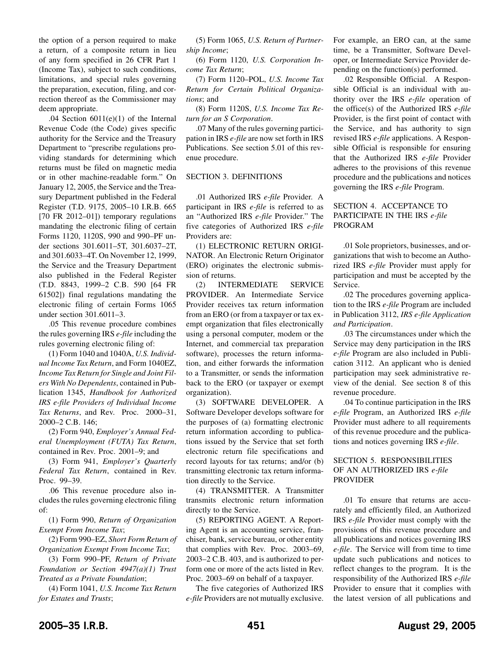<span id="page-32-0"></span>the option of a person required to make a return, of a composite return in lieu of any form specified in 26 CFR Part 1 (Income Tax), subject to such conditions, limitations, and special rules governing the preparation, execution, filing, and correction thereof as the Commissioner may deem appropriate.

.04 Section 6011(e)(1) of the Internal Revenue Code (the Code) gives specific authority for the Service and the Treasury Department to "prescribe regulations providing standards for determining which returns must be filed on magnetic media or in other machine-readable form." On January 12, 2005, the Service and the Treasury Department published in the Federal Register (T.D. 9175, 2005–10 I.R.B. 665 [70 FR 2012–01]) temporary regulations mandating the electronic filing of certain Forms 1120, 1120S, 990 and 990–PF under sections 301.6011–5T, 301.6037–2T, and 301.6033–4T. On November 12, 1999, the Service and the Treasury Department also published in the Federal Register (T.D. 8843, 1999–2 C.B. 590 [64 FR 61502]) final regulations mandating the electronic filing of certain Forms 1065 under section 301.6011–3.

.05 This revenue procedure combines the rules governing IRS *e-file* including the rules governing electronic filing of:

(1) Form 1040 and 1040A, *U.S. Individual Income Tax Return*, and Form 1040EZ, *Income Tax Return for Single and Joint Filers With No Dependents*, contained in Publication 1345, *Handbook for Authorized IRS e-file Providers of Individual Income Tax Returns*, and Rev. Proc. 2000–31, 2000–2 C.B. 146;

(2) Form 940, *Employer's Annual Federal Unemployment (FUTA) Tax Return*, contained in Rev. Proc. 2001–9; and

(3) Form 941, *Employer's Quarterly Federal Tax Return*, contained in Rev. Proc. 99–39.

.06 This revenue procedure also includes the rules governing electronic filing of:

(1) Form 990, *Return of Organization Exempt From Income Tax*;

(2) Form 990–EZ, *Short Form Return of Organization Exempt From Income Tax*;

(3) Form 990–PF, *Return of Private Foundation or Section 4947(a)(1) Trust Treated as a Private Foundation*;

(4) Form 1041, *U.S. Income Tax Return for Estates and Trusts*;

(5) Form 1065, *U.S. Return of Partnership Income*;

(6) Form 1120, *U.S. Corporation Income Tax Return*;

(7) Form 1120–POL, *U.S. Income Tax Return for Certain Political Organizations*; and

(8) Form 1120S, *U.S. Income Tax Return for an S Corporation*.

.07 Many of the rules governing participation in IRS *e-file* are now set forth in IRS Publications. See section 5.01 of this revenue procedure.

## SECTION 3. DEFINITIONS

.01 Authorized IRS *e-file* Provider. A participant in IRS *e-file* is referred to as an "Authorized IRS *e-file* Provider." The five categories of Authorized IRS *e-file* Providers are:

(1) ELECTRONIC RETURN ORIGI-NATOR. An Electronic Return Originator (ERO) originates the electronic submission of returns.

(2) INTERMEDIATE SERVICE PROVIDER. An Intermediate Service Provider receives tax return information from an ERO (or from a taxpayer or tax exempt organization that files electronically using a personal computer, modem or the Internet, and commercial tax preparation software), processes the return information, and either forwards the information to a Transmitter, or sends the information back to the ERO (or taxpayer or exempt organization).

(3) SOFTWARE DEVELOPER. A Software Developer develops software for the purposes of (a) formatting electronic return information according to publications issued by the Service that set forth electronic return file specifications and record layouts for tax returns; and/or (b) transmitting electronic tax return information directly to the Service.

(4) TRANSMITTER. A Transmitter transmits electronic return information directly to the Service.

(5) REPORTING AGENT. A Reporting Agent is an accounting service, franchiser, bank, service bureau, or other entity that complies with Rev. Proc. 2003–69, 2003–2 C.B. 403, and is authorized to perform one or more of the acts listed in Rev. Proc. 2003–69 on behalf of a taxpayer.

The five categories of Authorized IRS *e-file* Providers are not mutually exclusive.

For example, an ERO can, at the same time, be a Transmitter, Software Developer, or Intermediate Service Provider depending on the function(s) performed.

.02 Responsible Official. A Responsible Official is an individual with authority over the IRS *e-file* operation of the office(s) of the Authorized IRS *e-file* Provider, is the first point of contact with the Service, and has authority to sign revised IRS *e-file* applications. A Responsible Official is responsible for ensuring that the Authorized IRS *e-file* Provider adheres to the provisions of this revenue procedure and the publications and notices governing the IRS *e-file* Program.

## SECTION 4. ACCEPTANCE TO PARTICIPATE IN THE IRS *e-file* PROGRAM

.01 Sole proprietors, businesses, and organizations that wish to become an Authorized IRS *e-file* Provider must apply for participation and must be accepted by the Service.

.02 The procedures governing application to the IRS *e-file* Program are included in Publication 3112, *IRS e-file Application and Participation*.

.03 The circumstances under which the Service may deny participation in the IRS *e-file* Program are also included in Publication 3112. An applicant who is denied participation may seek administrative review of the denial. See section 8 of this revenue procedure.

.04 To continue participation in the IRS *e-file* Program, an Authorized IRS *e-file* Provider must adhere to all requirements of this revenue procedure and the publications and notices governing IRS *e-file*.

## SECTION 5. RESPONSIBILITIES OF AN AUTHORIZED IRS *e-file* PROVIDER

.01 To ensure that returns are accurately and efficiently filed, an Authorized IRS *e-file* Provider must comply with the provisions of this revenue procedure and all publications and notices governing IRS *e-file*. The Service will from time to time update such publications and notices to reflect changes to the program. It is the responsibility of the Authorized IRS *e-file* Provider to ensure that it complies with the latest version of all publications and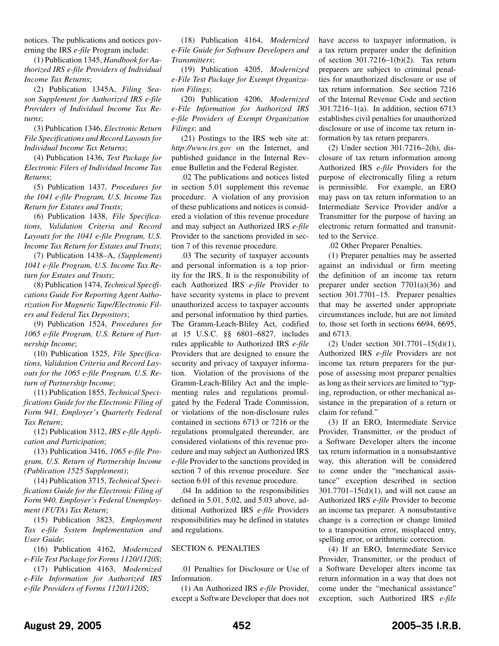<span id="page-33-0"></span>notices. The publications and notices governing the IRS *e-file* Program include:

(1) Publication 1345, *Handbook for Authorized IRS e-file Providers of Individual Income Tax Returns*;

(2) Publication 1345A, *Filing Season Supplement for Authorized IRS e-file Providers of Individual Income Tax Returns*;

(3) Publication 1346, *Electronic Return File Specifications and Record Layouts for Individual Income Tax Returns*;

(4) Publication 1436, *Test Package for Electronic Filers of Individual Income Tax Returns*;

(5) Publication 1437, *Procedures for the 1041 e-file Program, U.S. Income Tax Return for Estates and Trusts*;

(6) Publication 1438, *File Specifications, Validation Criteria and Record Layouts for the 1041 e-file Program, U.S. Income Tax Return for Estates and Trusts*;

(7) Publication 1438–A, *(Supplement) 1041 e-file Program, U.S. Income Tax Return for Estates and Trusts*;

(8) Publication 1474, *Technical Specifications Guide For Reporting Agent Authorization For Magnetic Tape/Electronic Filers and Federal Tax Depositors*;

(9) Publication 1524, *Procedures for 1065 e-file Program, U.S. Return of Partnership Income*;

(10) Publication 1525, *File Specifications, Validation Criteria and Record Layouts for the 1065 e-file Program, U.S. Return of Partnership Income*;

(11) Publication 1855, *Technical Specifications Guide for the Electronic Filing of Form 941, Employer's Quarterly Federal Tax Return*;

(12) Publication 3112, *IRS e-file Application and Participation*;

(13) Publication 3416, *1065 e-file Program, U.S. Return of Partnership Income (Publication 1525 Supplement)*;

(14) Publication 3715, *Technical Specifications Guide for the Electronic Filing of Form 940, Employer's Federal Unemployment (FUTA) Tax Return*;

(15) Publication 3823, *Employment Tax e-file System Implementation and User Guide*;

(16) Publication 4162, *Modernized e-File Test Package for Forms 1120/1120S*;

(17) Publication 4163, *Modernized e-File Information for Authorized IRS e-file Providers of Forms 1120/1120S*;

(18) Publication 4164, *Modernized e-File Guide for Software Developers and Transmitters*;

(19) Publication 4205, *Modernized e-File Test Package for Exempt Organization Filings*;

(20) Publication 4206, *Modernized e-File Information for Authorized IRS e-file Providers of Exempt Organization Filings*; and

(21) Postings to the IRS web site at: *http://www.irs.gov* on the Internet, and published guidance in the Internal Revenue Bulletin and the Federal Register.

.02 The publications and notices listed in section 5.01 supplement this revenue procedure. A violation of any provision of these publications and notices is considered a violation of this revenue procedure and may subject an Authorized IRS *e-file* Provider to the sanctions provided in section 7 of this revenue procedure.

.03 The security of taxpayer accounts and personal information is a top priority for the IRS. It is the responsibility of each Authorized IRS *e-file* Provider to have security systems in place to prevent unauthorized access to taxpayer accounts and personal information by third parties. The Gramm-Leach-Bliley Act, codified at 15 U.S.C. §§ 6801–6827, includes rules applicable to Authorized IRS *e-file* Providers that are designed to ensure the security and privacy of taxpayer information. Violation of the provisions of the Gramm-Leach-Bliley Act and the implementing rules and regulations promulgated by the Federal Trade Commission, or violations of the non-disclosure rules contained in sections 6713 or 7216 or the regulations promulgated thereunder, are considered violations of this revenue procedure and may subject an Authorized IRS *e-file* Provider to the sanctions provided in section 7 of this revenue procedure. See section 6.01 of this revenue procedure.

.04 In addition to the responsibilities defined in 5.01, 5.02, and 5.03 above, additional Authorized IRS *e-file* Providers responsibilities may be defined in statutes and regulations.

## SECTION 6. PENALTIES

.01 Penalties for Disclosure or Use of Information.

(1) An Authorized IRS *e-file* Provider, except a Software Developer that does not

have access to taxpayer information, is a tax return preparer under the definition of section 301.7216–1(b)(2). Tax return preparers are subject to criminal penalties for unauthorized disclosure or use of tax return information. See section 7216 of the Internal Revenue Code and section 301.7216–1(a). In addition, section 6713 establishes civil penalties for unauthorized disclosure or use of income tax return information by tax return preparers.

(2) Under section 301.7216–2(h), disclosure of tax return information among Authorized IRS *e-file* Providers for the purpose of electronically filing a return is permissible. For example, an ERO may pass on tax return information to an Intermediate Service Provider and/or a Transmitter for the purpose of having an electronic return formatted and transmitted to the Service.

.02 Other Preparer Penalties.

(1) Preparer penalties may be asserted against an individual or firm meeting the definition of an income tax return preparer under section 7701(a)(36) and section 301.7701–15. Preparer penalties that may be asserted under appropriate circumstances include, but are not limited to, those set forth in sections 6694, 6695, and 6713.

(2) Under section 301.7701–15(d)(1), Authorized IRS *e-file* Providers are not income tax return preparers for the purpose of assessing most preparer penalties as long as their services are limited to "typing, reproduction, or other mechanical assistance in the preparation of a return or claim for refund."

(3) If an ERO, Intermediate Service Provider, Transmitter, or the product of a Software Developer alters the income tax return information in a nonsubstantive way, this alteration will be considered to come under the "mechanical assistance" exception described in section 301.7701–15(d)(1), and will not cause an Authorized IRS *e-file* Provider to become an income tax preparer. A nonsubstantive change is a correction or change limited to a transposition error, misplaced entry, spelling error, or arithmetic correction.

(4) If an ERO, Intermediate Service Provider, Transmitter, or the product of a Software Developer alters income tax return information in a way that does not come under the "mechanical assistance" exception, such Authorized IRS *e-file*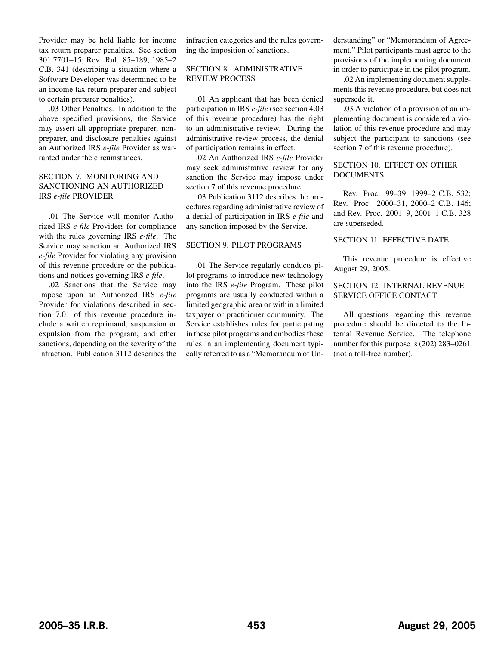<span id="page-34-0"></span>Provider may be held liable for income tax return preparer penalties. See section 301.7701–15; Rev. Rul. 85–189, 1985–2 C.B. 341 (describing a situation where a Software Developer was determined to be an income tax return preparer and subject to certain preparer penalties).

.03 Other Penalties. In addition to the above specified provisions, the Service may assert all appropriate preparer, nonpreparer, and disclosure penalties against an Authorized IRS *e-file* Provider as warranted under the circumstances.

# SECTION 7. MONITORING AND SANCTIONING AN AUTHORIZED IRS *e-file* PROVIDER

.01 The Service will monitor Authorized IRS *e-file* Providers for compliance with the rules governing IRS *e-file*. The Service may sanction an Authorized IRS *e-file* Provider for violating any provision of this revenue procedure or the publications and notices governing IRS *e-file*.

.02 Sanctions that the Service may impose upon an Authorized IRS *e-file* Provider for violations described in section 7.01 of this revenue procedure include a written reprimand, suspension or expulsion from the program, and other sanctions, depending on the severity of the infraction. Publication 3112 describes the infraction categories and the rules governing the imposition of sanctions.

# SECTION 8. ADMINISTRATIVE REVIEW PROCESS

.01 An applicant that has been denied participation in IRS *e-file* (see section 4.03 of this revenue procedure) has the right to an administrative review. During the administrative review process, the denial of participation remains in effect.

.02 An Authorized IRS *e-file* Provider may seek administrative review for any sanction the Service may impose under section 7 of this revenue procedure.

.03 Publication 3112 describes the procedures regarding administrative review of a denial of participation in IRS *e-file* and any sanction imposed by the Service.

## SECTION 9. PILOT PROGRAMS

.01 The Service regularly conducts pilot programs to introduce new technology into the IRS *e-file* Program. These pilot programs are usually conducted within a limited geographic area or within a limited taxpayer or practitioner community. The Service establishes rules for participating in these pilot programs and embodies these rules in an implementing document typically referred to as a "Memorandum of Understanding" or "Memorandum of Agreement." Pilot participants must agree to the provisions of the implementing document in order to participate in the pilot program.

.02 An implementing document supplements this revenue procedure, but does not supersede it.

.03 A violation of a provision of an implementing document is considered a violation of this revenue procedure and may subject the participant to sanctions (see section 7 of this revenue procedure).

## SECTION 10. EFFECT ON OTHER DOCUMENTS

Rev. Proc. 99–39, 1999–2 C.B. 532; Rev. Proc. 2000–31, 2000–2 C.B. 146; and Rev. Proc. 2001–9, 2001–1 C.B. 328 are superseded.

## SECTION 11. EFFECTIVE DATE

This revenue procedure is effective August 29, 2005.

## SECTION 12. INTERNAL REVENUE SERVICE OFFICE CONTACT

All questions regarding this revenue procedure should be directed to the Internal Revenue Service. The telephone number for this purpose is (202) 283–0261 (not a toll-free number).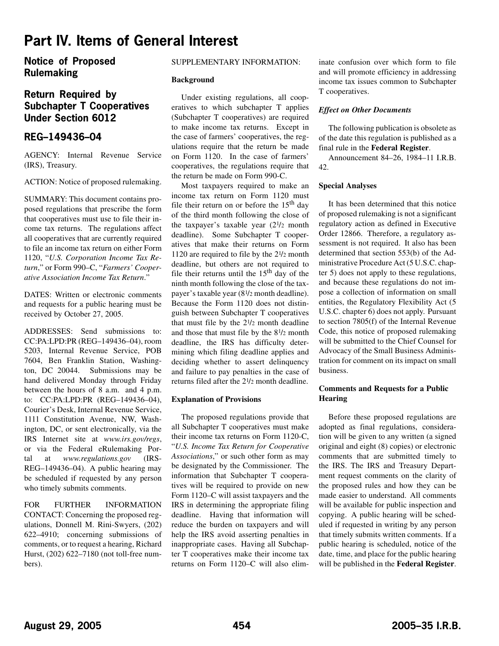# <span id="page-35-0"></span>**Part IV. Items of General Interest**

**Notice of Proposed Rulemaking**

# **Return Required by Subchapter T Cooperatives Under Section 6012**

# **REG–149436–04**

AGENCY: Internal Revenue Service (IRS), Treasury.

ACTION: Notice of proposed rulemaking.

SUMMARY: This document contains proposed regulations that prescribe the form that cooperatives must use to file their income tax returns. The regulations affect all cooperatives that are currently required to file an income tax return on either Form 1120, "*U.S. Corporation Income Tax Return*," or Form 990–C, "*Farmers' Cooperative Association Income Tax Return*."

DATES: Written or electronic comments and requests for a public hearing must be received by October 27, 2005.

ADDRESSES: Send submissions to: CC:PA:LPD:PR (REG–149436–04), room 5203, Internal Revenue Service, POB 7604, Ben Franklin Station, Washington, DC 20044. Submissions may be hand delivered Monday through Friday between the hours of 8 a.m. and 4 p.m. to: CC:PA:LPD:PR (REG–149436–04), Courier's Desk, Internal Revenue Service, 1111 Constitution Avenue, NW, Washington, DC, or sent electronically, via the IRS Internet site at *www.irs.gov/regs*, or via the Federal eRulemaking Portal at *www.regulations.gov* (IRS-REG–149436–04). A public hearing may be scheduled if requested by any person who timely submits comments.

FOR FURTHER INFORMATION CONTACT: Concerning the proposed regulations, Donnell M. Rini-Swyers, (202) 622–4910; concerning submissions of comments, or to request a hearing, Richard Hurst, (202) 622–7180 (not toll-free numbers).

## SUPPLEMENTARY INFORMATION:

### **Background**

Under existing regulations, all cooperatives to which subchapter T applies (Subchapter T cooperatives) are required to make income tax returns. Except in the case of farmers' cooperatives, the regulations require that the return be made on Form 1120. In the case of farmers' cooperatives, the regulations require that the return be made on Form 990-C.

Most taxpayers required to make an income tax return on Form 1120 must file their return on or before the  $15<sup>th</sup>$  day of the third month following the close of the taxpayer's taxable year (21/2 month deadline). Some Subchapter T cooperatives that make their returns on Form 1120 are required to file by the 21/2 month deadline, but others are not required to file their returns until the  $15<sup>th</sup>$  day of the ninth month following the close of the taxpayer's taxable year (81/2 month deadline). Because the Form 1120 does not distinguish between Subchapter T cooperatives that must file by the 21/2 month deadline and those that must file by the 81/2 month deadline, the IRS has difficulty determining which filing deadline applies and deciding whether to assert delinquency and failure to pay penalties in the case of returns filed after the 21/2 month deadline.

# **Explanation of Provisions**

The proposed regulations provide that all Subchapter T cooperatives must make their income tax returns on Form 1120-C, "*U.S. Income Tax Return for Cooperative Associations*," or such other form as may be designated by the Commissioner. The information that Subchapter T cooperatives will be required to provide on new Form 1120–C will assist taxpayers and the IRS in determining the appropriate filing deadline. Having that information will reduce the burden on taxpayers and will help the IRS avoid asserting penalties in inappropriate cases. Having all Subchapter T cooperatives make their income tax returns on Form 1120–C will also eliminate confusion over which form to file and will promote efficiency in addressing income tax issues common to Subchapter T cooperatives.

## *Effect on Other Documents*

The following publication is obsolete as of the date this regulation is published as a final rule in the **Federal Register**.

Announcement 84–26, 1984–11 I.R.B. 42.

## **Special Analyses**

It has been determined that this notice of proposed rulemaking is not a significant regulatory action as defined in Executive Order 12866. Therefore, a regulatory assessment is not required. It also has been determined that section 553(b) of the Administrative Procedure Act (5 U.S.C. chapter 5) does not apply to these regulations, and because these regulations do not impose a collection of information on small entities, the Regulatory Flexibility Act (5 U.S.C. chapter 6) does not apply. Pursuant to section 7805(f) of the Internal Revenue Code, this notice of proposed rulemaking will be submitted to the Chief Counsel for Advocacy of the Small Business Administration for comment on its impact on small business.

## **Comments and Requests for a Public Hearing**

Before these proposed regulations are adopted as final regulations, consideration will be given to any written (a signed original and eight (8) copies) or electronic comments that are submitted timely to the IRS. The IRS and Treasury Department request comments on the clarity of the proposed rules and how they can be made easier to understand. All comments will be available for public inspection and copying. A public hearing will be scheduled if requested in writing by any person that timely submits written comments. If a public hearing is scheduled, notice of the date, time, and place for the public hearing will be published in the **Federal Register**.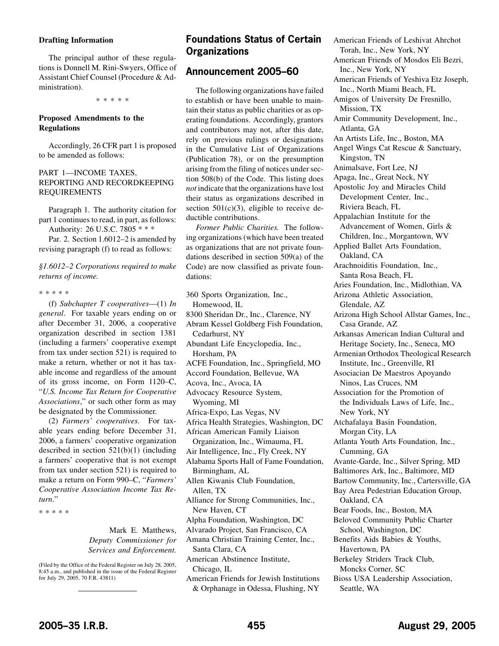### <span id="page-36-0"></span>**Drafting Information**

The principal author of these regulations is Donnell M. Rini-Swyers, Office of Assistant Chief Counsel (Procedure & Administration).

\*\*\*\*\*

# **Proposed Amendments to the Regulations**

Accordingly, 26 CFR part 1 is proposed to be amended as follows:

## PART 1—INCOME TAXES, REPORTING AND RECORDKEEPING REQUIREMENTS

Paragraph 1. The authority citation for part 1 continues to read, in part, as follows:

Authority: 26 U.S.C. 7805 \* \* \*

Par. 2. Section 1.6012–2 is amended by revising paragraph (f) to read as follows:

## *§1.6012–2 Corporations required to make returns of income.*

\*\*\*\*\*

(f) *Subchapter T cooperatives*—(1) *In general*. For taxable years ending on or after December 31, 2006, a cooperative organization described in section 1381 (including a farmers' cooperative exempt from tax under section 521) is required to make a return, whether or not it has taxable income and regardless of the amount of its gross income, on Form 1120–C, "*U.S. Income Tax Return for Cooperative Associations*," or such other form as may be designated by the Commissioner.

(2) *Farmers' cooperatives*. For taxable years ending before December 31, 2006, a farmers' cooperative organization described in section 521(b)(1) (including a farmers' cooperative that is not exempt from tax under section 521) is required to make a return on Form 990–C, "*Farmers' Cooperative Association Income Tax Return*."

\*\*\*\*\*

Mark E. Matthews, *Deputy Commissioner for Services and Enforcement.*

(Filed by the Office of the Federal Register on July 28, 2005, 8:45 a.m., and published in the issue of the Federal Register for July 29, 2005, 70 F.R. 43811)

# **Foundations Status of Certain Organizations**

# **Announcement 2005–60**

The following organizations have failed to establish or have been unable to maintain their status as public charities or as operating foundations. Accordingly, grantors and contributors may not, after this date, rely on previous rulings or designations in the Cumulative List of Organizations (Publication 78), or on the presumption arising from the filing of notices under section 508(b) of the Code. This listing does *not* indicate that the organizations have lost their status as organizations described in section  $501(c)(3)$ , eligible to receive deductible contributions.

*Former Public Charities.* The following organizations (which have been treated as organizations that are not private foundations described in section 509(a) of the Code) are now classified as private foundations:

360 Sports Organization, Inc., Homewood, IL 8300 Sheridan Dr., Inc., Clarence, NY Abram Kessel Goldberg Fish Foundation, Cedarhurst, NY Abundant Life Encyclopedia, Inc., Horsham, PA ACFE Foundation, Inc., Springfield, MO Accord Foundation, Bellevue, WA Acova, Inc., Avoca, IA Advocacy Resource System, Wyoming, MI Africa-Expo, Las Vegas, NV Africa Health Strategies, Washington, DC African American Family Liaison Organization, Inc., Wimauma, FL Air Intelligence, Inc., Fly Creek, NY Alabama Sports Hall of Fame Foundation, Birmingham, AL Allen Kiwanis Club Foundation, Allen, TX Alliance for Strong Communities, Inc., New Haven, CT Alpha Foundation, Washington, DC Alvarado Project, San Francisco, CA Amana Christian Training Center, Inc., Santa Clara, CA American Abstinence Institute, Chicago, IL American Friends for Jewish Institutions

American Friends of Leshivat Ahrchot Torah, Inc., New York, NY American Friends of Mosdos Eli Bezri, Inc., New York, NY American Friends of Yeshiva Etz Joseph, Inc., North Miami Beach, FL Amigos of University De Fresnillo, Mission, TX Amir Community Development, Inc., Atlanta, GA An Artists Life, Inc., Boston, MA Angel Wings Cat Rescue & Sanctuary, Kingston, TN Animalsave, Fort Lee, NJ Apaga, Inc., Great Neck, NY Apostolic Joy and Miracles Child Development Center, Inc., Riviera Beach, FL Appalachian Institute for the Advancement of Women, Girls & Children, Inc., Morgantown, WV Applied Ballet Arts Foundation, Oakland, CA Arachnoiditis Foundation, Inc., Santa Rosa Beach, FL Aries Foundation, Inc., Midlothian, VA Arizona Athletic Association, Glendale, AZ Arizona High School Allstar Games, Inc., Casa Grande, AZ Arkansas American Indian Cultural and Heritage Society, Inc., Seneca, MO Armenian Orthodox Theological Research Institute, Inc., Greenville, RI Asociacian De Maestros Apoyando Ninos, Las Cruces, NM Association for the Promotion of the Individuals Laws of Life, Inc., New York, NY Atchafalaya Basin Foundation, Morgan City, LA Atlanta Youth Arts Foundation, Inc., Cumming, GA Avante-Garde, Inc., Silver Spring, MD Baltimores Ark, Inc., Baltimore, MD Bartow Community, Inc., Cartersville, GA Bay Area Pedestrian Education Group, Oakland, CA Bear Foods, Inc., Boston, MA Beloved Community Public Charter School, Washington, DC Benefits Aids Babies & Youths, Havertown, PA Berkeley Striders Track Club, Moncks Corner, SC Bioss USA Leadership Association, Seattle, WA

& Orphanage in Odessa, Flushing, NY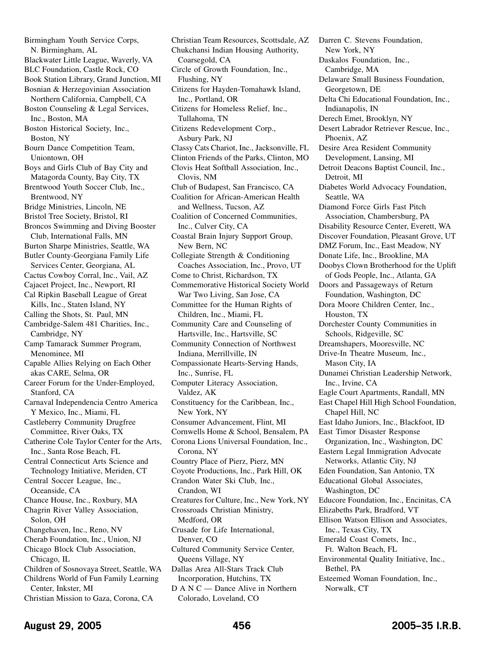Birmingham Youth Service Corps, N. Birmingham, AL Blackwater Little League, Waverly, VA BLC Foundation, Castle Rock, CO Book Station Library, Grand Junction, MI Bosnian & Herzegovinian Association Northern California, Campbell, CA Boston Counseling & Legal Services, Inc., Boston, MA Boston Historical Society, Inc., Boston, NY Bourn Dance Competition Team, Uniontown, OH Boys and Girls Club of Bay City and Matagorda County, Bay City, TX Brentwood Youth Soccer Club, Inc., Brentwood, NY Bridge Ministries, Lincoln, NE Bristol Tree Society, Bristol, RI Broncos Swimming and Diving Booster Club, International Falls, MN Burton Sharpe Ministries, Seattle, WA Butler County-Georgiana Family Life Services Center, Georgiana, AL Cactus Cowboy Corral, Inc., Vail, AZ Cajacet Project, Inc., Newport, RI Cal Ripkin Baseball League of Great Kills, Inc., Staten Island, NY Calling the Shots, St. Paul, MN Cambridge-Salem 481 Charities, Inc., Cambridge, NY Camp Tamarack Summer Program, Menominee, MI Capable Allies Relying on Each Other akas CARE, Selma, OR Career Forum for the Under-Employed, Stanford, CA Carnaval Independencia Centro America Y Mexico, Inc., Miami, FL Castleberry Community Drugfree Committee, River Oaks, TX Catherine Cole Taylor Center for the Arts, Inc., Santa Rose Beach, FL Central Connecticut Arts Science and Technology Initiative, Meriden, CT Central Soccer League, Inc., Oceanside, CA Chance House, Inc., Roxbury, MA Chagrin River Valley Association, Solon, OH Changehaven, Inc., Reno, NV Cherab Foundation, Inc., Union, NJ Chicago Block Club Association, Chicago, IL Children of Sosnovaya Street, Seattle, WA Childrens World of Fun Family Learning Center, Inkster, MI Christian Mission to Gaza, Corona, CA

Christian Team Resources, Scottsdale, AZ Chukchansi Indian Housing Authority, Coarsegold, CA Circle of Growth Foundation, Inc., Flushing, NY Citizens for Hayden-Tomahawk Island, Inc., Portland, OR Citizens for Homeless Relief, Inc., Tullahoma, TN Citizens Redevelopment Corp., Asbury Park, NJ Classy Cats Chariot, Inc., Jacksonville, FL Clinton Friends of the Parks, Clinton, MO Clovis Heat Softball Association, Inc., Clovis, NM Club of Budapest, San Francisco, CA Coalition for African-American Health and Wellness, Tucson, AZ Coalition of Concerned Communities, Inc., Culver City, CA Coastal Brain Injury Support Group, New Bern, NC Collegiate Strength & Conditioning Coaches Association, Inc., Provo, UT Come to Christ, Richardson, TX Commemorative Historical Society World War Two Living, San Jose, CA Committee for the Human Rights of Children, Inc., Miami, FL Community Care and Counseling of Hartsville, Inc., Hartsville, SC Community Connection of Northwest Indiana, Merrillville, IN Compassionate Hearts-Serving Hands, Inc., Sunrise, FL Computer Literacy Association, Valdez, AK Constituency for the Caribbean, Inc., New York, NY Consumer Advancement, Flint, MI Cornwells Home & School, Bensalem, PA Corona Lions Universal Foundation, Inc., Corona, NY Country Place of Pierz, Pierz, MN Coyote Productions, Inc., Park Hill, OK Crandon Water Ski Club, Inc., Crandon, WI Creatures for Culture, Inc., New York, NY Crossroads Christian Ministry, Medford, OR Crusade for Life International, Denver, CO Cultured Community Service Center, Queens Village, NY Dallas Area All-Stars Track Club Incorporation, Hutchins, TX D A N C — Dance Alive in Northern Colorado, Loveland, CO

Darren C. Stevens Foundation, New York, NY Daskalos Foundation, Inc., Cambridge, MA Delaware Small Business Foundation, Georgetown, DE Delta Chi Educational Foundation, Inc., Indianapolis, IN Derech Emet, Brooklyn, NY Desert Labrador Retriever Rescue, Inc., Phoenix, AZ Desire Area Resident Community Development, Lansing, MI Detroit Deacons Baptist Council, Inc., Detroit, MI Diabetes World Advocacy Foundation, Seattle, WA Diamond Force Girls Fast Pitch Association, Chambersburg, PA Disability Resource Center, Everett, WA Discover Foundation, Pleasant Grove, UT DMZ Forum, Inc., East Meadow, NY Donate Life, Inc., Brookline, MA Doobys Clown Brotherhood for the Uplift of Gods People, Inc., Atlanta, GA Doors and Passageways of Return Foundation, Washington, DC Dora Moore Children Center, Inc., Houston, TX Dorchester County Communities in Schools, Ridgeville, SC Dreamshapers, Mooresville, NC Drive-In Theatre Museum, Inc., Mason City, IA Dunamei Christian Leadership Network, Inc., Irvine, CA Eagle Court Apartments, Randall, MN East Chapel Hill High School Foundation, Chapel Hill, NC East Idaho Juniors, Inc., Blackfoot, ID East Timor Disaster Response Organization, Inc., Washington, DC Eastern Legal Immigration Advocate Networks, Atlantic City, NJ Eden Foundation, San Antonio, TX Educational Global Associates, Washington, DC Educore Foundation, Inc., Encinitas, CA Elizabeths Park, Bradford, VT Ellison Watson Ellison and Associates, Inc., Texas City, TX Emerald Coast Comets, Inc., Ft. Walton Beach, FL Environmental Quality Initiative, Inc., Bethel, PA Esteemed Woman Foundation, Inc., Norwalk, CT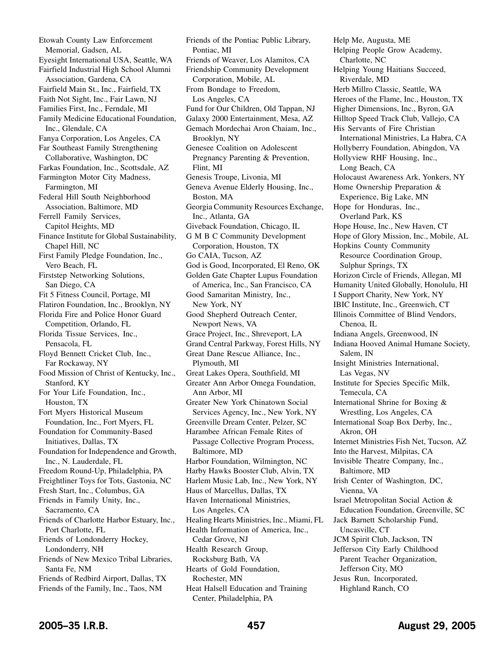Etowah County Law Enforcement Memorial, Gadsen, AL Eyesight International USA, Seattle, WA Fairfield Industrial High School Alumni Association, Gardena, CA Fairfield Main St., Inc., Fairfield, TX Faith Not Sight, Inc., Fair Lawn, NJ Families First, Inc., Ferndale, MI Family Medicine Educational Foundation, Inc., Glendale, CA Fanya Corporation, Los Angeles, CA Far Southeast Family Strengthening Collaborative, Washington, DC Farkas Foundation, Inc., Scottsdale, AZ Farmington Motor City Madness, Farmington, MI Federal Hill South Neighborhood Association, Baltimore, MD Ferrell Family Services, Capitol Heights, MD Finance Institute for Global Sustainability, Chapel Hill, NC First Family Pledge Foundation, Inc., Vero Beach, FL Firststep Networking Solutions, San Diego, CA Fit 5 Fitness Council, Portage, MI Flatiron Foundation, Inc., Brooklyn, NY Florida Fire and Police Honor Guard Competition, Orlando, FL Florida Tissue Services, Inc., Pensacola, FL Floyd Bennett Cricket Club, Inc., Far Rockaway, NY Food Mission of Christ of Kentucky, Inc., Stanford, KY For Your Life Foundation, Inc., Houston, TX Fort Myers Historical Museum Foundation, Inc., Fort Myers, FL Foundation for Community-Based Initiatives, Dallas, TX Foundation for Independence and Growth, Inc., N. Lauderdale, FL Freedom Round-Up, Philadelphia, PA Freightliner Toys for Tots, Gastonia, NC Fresh Start, Inc., Columbus, GA Friends in Family Unity, Inc., Sacramento, CA Friends of Charlotte Harbor Estuary, Inc., Port Charlotte, FL Friends of Londonderry Hockey, Londonderry, NH Friends of New Mexico Tribal Libraries, Santa Fe, NM Friends of Redbird Airport, Dallas, TX Friends of the Family, Inc., Taos, NM

Friends of the Pontiac Public Library, Pontiac, MI Friends of Weaver, Los Alamitos, CA Friendship Community Development Corporation, Mobile, AL From Bondage to Freedom, Los Angeles, CA Fund for Our Children, Old Tappan, NJ Galaxy 2000 Entertainment, Mesa, AZ Gemach Mordechai Aron Chaiam, Inc., Brooklyn, NY Genesee Coalition on Adolescent Pregnancy Parenting & Prevention, Flint, MI Genesis Troupe, Livonia, MI Geneva Avenue Elderly Housing, Inc., Boston, MA Georgia Community Resources Exchange, Inc., Atlanta, GA Giveback Foundation, Chicago, IL G M B C Community Development Corporation, Houston, TX Go CAIA, Tucson, AZ God is Good, Incorporated, El Reno, OK Golden Gate Chapter Lupus Foundation of America, Inc., San Francisco, CA Good Samaritan Ministry, Inc., New York, NY Good Shepherd Outreach Center, Newport News, VA Grace Project, Inc., Shreveport, LA Grand Central Parkway, Forest Hills, NY Great Dane Rescue Alliance, Inc., Plymouth, MI Great Lakes Opera, Southfield, MI Greater Ann Arbor Omega Foundation, Ann Arbor, MI Greater New York Chinatown Social Services Agency, Inc., New York, NY Greenville Dream Center, Pelzer, SC Harambee African Female Rites of Passage Collective Program Process, Baltimore, MD Harbor Foundation, Wilmington, NC Harby Hawks Booster Club, Alvin, TX Harlem Music Lab, Inc., New York, NY Haus of Marcellus, Dallas, TX Haven International Ministries, Los Angeles, CA Healing Hearts Ministries, Inc., Miami, FL Health Information of America, Inc., Cedar Grove, NJ Health Research Group, Rocksburg Bath, VA Hearts of Gold Foundation, Rochester, MN Heat Halsell Education and Training Center, Philadelphia, PA

Help Me, Augusta, ME Helping People Grow Academy, Charlotte, NC Helping Young Haitians Succeed, Riverdale, MD Herb Millro Classic, Seattle, WA Heroes of the Flame, Inc., Houston, TX Higher Dimensions, Inc., Byron, GA Hilltop Speed Track Club, Vallejo, CA His Servants of Fire Christian International Ministries, La Habra, CA Hollyberry Foundation, Abingdon, VA Hollyview RHF Housing, Inc., Long Beach, CA Holocaust Awareness Ark, Yonkers, NY Home Ownership Preparation & Experience, Big Lake, MN Hope for Honduras, Inc., Overland Park, KS Hope House, Inc., New Haven, CT Hope of Glory Mission, Inc., Mobile, AL Hopkins County Community Resource Coordination Group, Sulphur Springs, TX Horizon Circle of Friends, Allegan, MI Humanity United Globally, Honolulu, HI I Support Charity, New York, NY IBIC Institute, Inc., Greenwich, CT Illinois Committee of Blind Vendors, Chenoa, IL Indiana Angels, Greenwood, IN Indiana Hooved Animal Humane Society, Salem, IN Insight Ministries International, Las Vegas, NV Institute for Species Specific Milk, Temecula, CA International Shrine for Boxing & Wrestling, Los Angeles, CA International Soap Box Derby, Inc., Akron, OH Internet Ministries Fish Net, Tucson, AZ Into the Harvest, Milpitas, CA Invisible Theatre Company, Inc., Baltimore, MD Irish Center of Washington, DC, Vienna, VA Israel Metropolitan Social Action & Education Foundation, Greenville, SC Jack Barnett Scholarship Fund, Uncasville, CT JCM Spirit Club, Jackson, TN Jefferson City Early Childhood Parent Teacher Organization, Jefferson City, MO Jesus Run, Incorporated, Highland Ranch, CO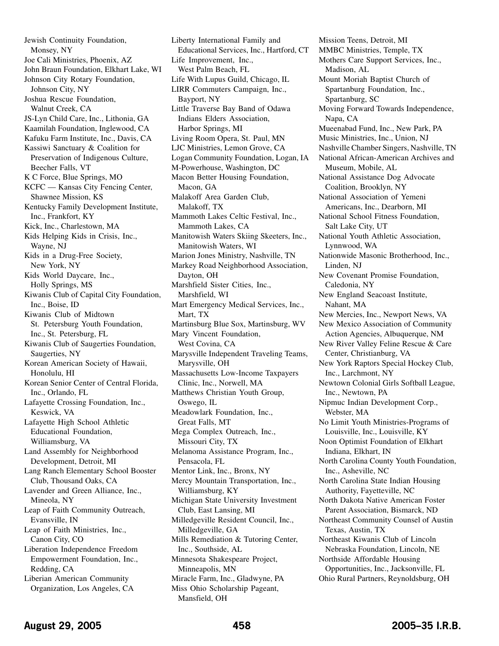Jewish Continuity Foundation, Monsey, NY Joe Cali Ministries, Phoenix, AZ John Braun Foundation, Elkhart Lake, WI Johnson City Rotary Foundation, Johnson City, NY Joshua Rescue Foundation, Walnut Creek, CA JS-Lyn Child Care, Inc., Lithonia, GA Kaamilah Foundation, Inglewood, CA Kafuku Farm Institute, Inc., Davis, CA Kassiwi Sanctuary & Coalition for Preservation of Indigenous Culture, Beecher Falls, VT K C Force, Blue Springs, MO KCFC — Kansas City Fencing Center, Shawnee Mission, KS Kentucky Family Development Institute, Inc., Frankfort, KY Kick, Inc., Charlestown, MA Kids Helping Kids in Crisis, Inc., Wayne, NJ Kids in a Drug-Free Society, New York, NY Kids World Daycare, Inc., Holly Springs, MS Kiwanis Club of Capital City Foundation, Inc., Boise, ID Kiwanis Club of Midtown St. Petersburg Youth Foundation, Inc., St. Petersburg, FL Kiwanis Club of Saugerties Foundation, Saugerties, NY Korean American Society of Hawaii, Honolulu, HI Korean Senior Center of Central Florida, Inc., Orlando, FL Lafayette Crossing Foundation, Inc., Keswick, VA Lafayette High School Athletic Educational Foundation, Williamsburg, VA Land Assembly for Neighborhood Development, Detroit, MI Lang Ranch Elementary School Booster Club, Thousand Oaks, CA Lavender and Green Alliance, Inc., Mineola, NY Leap of Faith Community Outreach, Evansville, IN Leap of Faith Ministries, Inc., Canon City, CO Liberation Independence Freedom Empowerment Foundation, Inc., Redding, CA Liberian American Community Organization, Los Angeles, CA

Liberty International Family and Educational Services, Inc., Hartford, CT Life Improvement, Inc., West Palm Beach, FL Life With Lupus Guild, Chicago, IL LIRR Commuters Campaign, Inc., Bayport, NY Little Traverse Bay Band of Odawa Indians Elders Association, Harbor Springs, MI Living Room Opera, St. Paul, MN LJC Ministries, Lemon Grove, CA Logan Community Foundation, Logan, IA M-Powerhouse, Washington, DC Macon Better Housing Foundation, Macon, GA Malakoff Area Garden Club, Malakoff, TX Mammoth Lakes Celtic Festival, Inc., Mammoth Lakes, CA Manitowish Waters Skiing Skeeters, Inc., Manitowish Waters, WI Marion Jones Ministry, Nashville, TN Markey Road Neighborhood Association, Dayton, OH Marshfield Sister Cities, Inc., Marshfield, WI Mart Emergency Medical Services, Inc., Mart, TX Martinsburg Blue Sox, Martinsburg, WV Mary Vincent Foundation, West Covina, CA Marysville Independent Traveling Teams, Marysville, OH Massachusetts Low-Income Taxpayers Clinic, Inc., Norwell, MA Matthews Christian Youth Group, Oswego, IL Meadowlark Foundation, Inc., Great Falls, MT Mega Complex Outreach, Inc., Missouri City, TX Melanoma Assistance Program, Inc., Pensacola, FL Mentor Link, Inc., Bronx, NY Mercy Mountain Transportation, Inc., Williamsburg, KY Michigan State University Investment Club, East Lansing, MI Milledgeville Resident Council, Inc., Milledgeville, GA Mills Remediation & Tutoring Center, Inc., Southside, AL Minnesota Shakespeare Project, Minneapolis, MN Miracle Farm, Inc., Gladwyne, PA Miss Ohio Scholarship Pageant,

Mission Teens, Detroit, MI MMBC Ministries, Temple, TX Mothers Care Support Services, Inc., Madison, AL Mount Moriah Baptist Church of Spartanburg Foundation, Inc., Spartanburg, SC Moving Forward Towards Independence, Napa, CA Mueenabad Fund, Inc., New Park, PA Music Ministries, Inc., Union, NJ Nashville Chamber Singers, Nashville, TN National African-American Archives and Museum, Mobile, AL National Assistance Dog Advocate Coalition, Brooklyn, NY National Association of Yemeni Americans, Inc., Dearborn, MI National School Fitness Foundation, Salt Lake City, UT National Youth Athletic Association, Lynnwood, WA Nationwide Masonic Brotherhood, Inc., Linden, NJ New Covenant Promise Foundation, Caledonia, NY New England Seacoast Institute, Nahant, MA New Mercies, Inc., Newport News, VA New Mexico Association of Community Action Agencies, Albuquerque, NM New River Valley Feline Rescue & Care Center, Christianburg, VA New York Raptors Special Hockey Club, Inc., Larchmont, NY Newtown Colonial Girls Softball League, Inc., Newtown, PA Nipmuc Indian Development Corp., Webster, MA No Limit Youth Ministries-Programs of Louisville, Inc., Louisville, KY Noon Optimist Foundation of Elkhart Indiana, Elkhart, IN North Carolina County Youth Foundation, Inc., Asheville, NC North Carolina State Indian Housing Authority, Fayetteville, NC North Dakota Native American Foster Parent Association, Bismarck, ND Northeast Community Counsel of Austin Texas, Austin, TX Northeast Kiwanis Club of Lincoln Nebraska Foundation, Lincoln, NE Northside Affordable Housing Opportunities, Inc., Jacksonville, FL Ohio Rural Partners, Reynoldsburg, OH

Mansfield, OH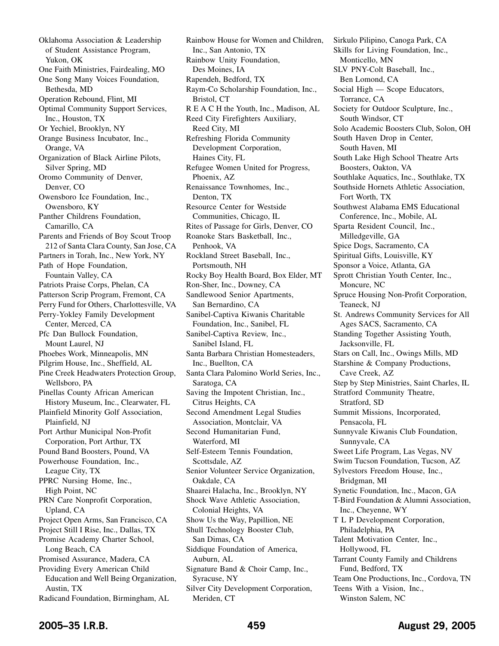Oklahoma Association & Leadership of Student Assistance Program, Yukon, OK One Faith Ministries, Fairdealing, MO One Song Many Voices Foundation, Bethesda, MD Operation Rebound, Flint, MI Optimal Community Support Services, Inc., Houston, TX Or Yechiel, Brooklyn, NY Orange Business Incubator, Inc., Orange, VA Organization of Black Airline Pilots, Silver Spring, MD Oromo Community of Denver, Denver, CO Owensboro Ice Foundation, Inc., Owensboro, KY Panther Childrens Foundation, Camarillo, CA Parents and Friends of Boy Scout Troop 212 of Santa Clara County, San Jose, CA Partners in Torah, Inc., New York, NY Path of Hope Foundation, Fountain Valley, CA Patriots Praise Corps, Phelan, CA Patterson Scrip Program, Fremont, CA Perry Fund for Others, Charlottesville, VA Perry-Yokley Family Development Center, Merced, CA Pfc Dan Bullock Foundation, Mount Laurel, NJ Phoebes Work, Minneapolis, MN Pilgrim House, Inc., Sheffield, AL Pine Creek Headwaters Protection Group, Wellsboro, PA Pinellas County African American History Museum, Inc., Clearwater, FL Plainfield Minority Golf Association, Plainfield, NJ Port Arthur Municipal Non-Profit Corporation, Port Arthur, TX Pound Band Boosters, Pound, VA Powerhouse Foundation, Inc., League City, TX PPRC Nursing Home, Inc., High Point, NC PRN Care Nonprofit Corporation, Upland, CA Project Open Arms, San Francisco, CA Project Still I Rise, Inc., Dallas, TX Promise Academy Charter School, Long Beach, CA Promised Assurance, Madera, CA Providing Every American Child Education and Well Being Organization, Austin, TX Radicand Foundation, Birmingham, AL

Rainbow House for Women and Children, Inc., San Antonio, TX Rainbow Unity Foundation, Des Moines, IA Rapendeh, Bedford, TX Raym-Co Scholarship Foundation, Inc., Bristol, CT R E A C H the Youth, Inc., Madison, AL Reed City Firefighters Auxiliary, Reed City, MI Refreshing Florida Community Development Corporation, Haines City, FL Refugee Women United for Progress, Phoenix, AZ Renaissance Townhomes, Inc., Denton, TX Resource Center for Westside Communities, Chicago, IL Rites of Passage for Girls, Denver, CO Roanoke Stars Basketball, Inc., Penhook, VA Rockland Street Baseball, Inc., Portsmouth, NH Rocky Boy Health Board, Box Elder, MT Ron-Sher, Inc., Downey, CA Sandlewood Senior Apartments, San Bernardino, CA Sanibel-Captiva Kiwanis Charitable Foundation, Inc., Sanibel, FL Sanibel-Captiva Review, Inc., Sanibel Island, FL Santa Barbara Christian Homesteaders, Inc., Buellton, CA Santa Clara Palomino World Series, Inc., Saratoga, CA Saving the Impotent Christian, Inc., Citrus Heights, CA Second Amendment Legal Studies Association, Montclair, VA Second Humanitarian Fund, Waterford, MI Self-Esteem Tennis Foundation, Scottsdale, AZ Senior Volunteer Service Organization, Oakdale, CA Shaarei Halacha, Inc., Brooklyn, NY Shock Wave Athletic Association, Colonial Heights, VA Show Us the Way, Papillion, NE Shull Technology Booster Club, San Dimas, CA Siddique Foundation of America, Auburn, AL Signature Band & Choir Camp, Inc., Syracuse, NY Silver City Development Corporation, Meriden, CT

Sirkulo Pilipino, Canoga Park, CA Skills for Living Foundation, Inc., Monticello, MN SLV PNY-Colt Baseball, Inc., Ben Lomond, CA Social High — Scope Educators, Torrance, CA Society for Outdoor Sculpture, Inc., South Windsor, CT Solo Academic Boosters Club, Solon, OH South Haven Drop in Center, South Haven, MI South Lake High School Theatre Arts Boosters, Oakton, VA Southlake Aquatics, Inc., Southlake, TX Southside Hornets Athletic Association, Fort Worth, TX Southwest Alabama EMS Educational Conference, Inc., Mobile, AL Sparta Resident Council, Inc., Milledgeville, GA Spice Dogs, Sacramento, CA Spiritual Gifts, Louisville, KY Sponsor a Voice, Atlanta, GA Sprott Christian Youth Center, Inc., Moncure, NC Spruce Housing Non-Profit Corporation, Teaneck, NJ St. Andrews Community Services for All Ages SACS, Sacramento, CA Standing Together Assisting Youth, Jacksonville, FL Stars on Call, Inc., Owings Mills, MD Starshine & Company Productions, Cave Creek, AZ Step by Step Ministries, Saint Charles, IL Stratford Community Theatre, Stratford, SD Summit Missions, Incorporated, Pensacola, FL Sunnyvale Kiwanis Club Foundation, Sunnyvale, CA Sweet Life Program, Las Vegas, NV Swim Tucson Foundation, Tucson, AZ Sylvestors Freedom House, Inc., Bridgman, MI Synetic Foundation, Inc., Macon, GA T-Bird Foundation & Alumni Association, Inc., Cheyenne, WY T L P Development Corporation, Philadelphia, PA Talent Motivation Center, Inc., Hollywood, FL Tarrant County Family and Childrens Fund, Bedford, TX Team One Productions, Inc., Cordova, TN Teens With a Vision, Inc., Winston Salem, NC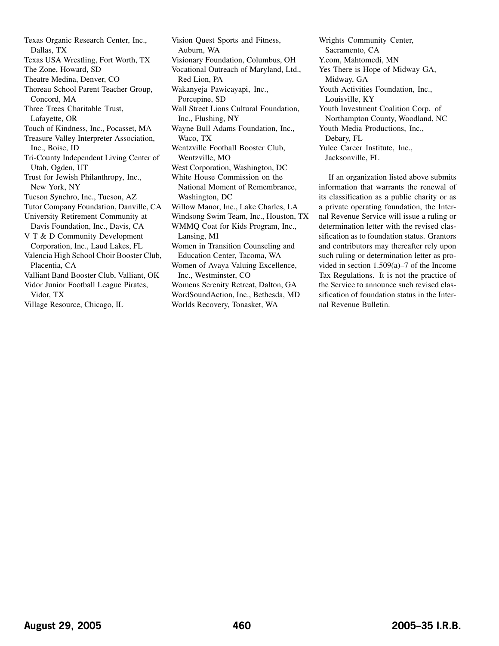Texas Organic Research Center, Inc., Dallas, TX Texas USA Wrestling, Fort Worth, TX The Zone, Howard, SD Theatre Medina, Denver, CO Thoreau School Parent Teacher Group, Concord, MA Three Trees Charitable Trust, Lafayette, OR Touch of Kindness, Inc., Pocasset, MA Treasure Valley Interpreter Association, Inc., Boise, ID Tri-County Independent Living Center of Utah, Ogden, UT Trust for Jewish Philanthropy, Inc., New York, NY Tucson Synchro, Inc., Tucson, AZ Tutor Company Foundation, Danville, CA University Retirement Community at Davis Foundation, Inc., Davis, CA V T & D Community Development Corporation, Inc., Laud Lakes, FL Valencia High School Choir Booster Club, Placentia, CA Valliant Band Booster Club, Valliant, OK Vidor Junior Football League Pirates, Vidor, TX Village Resource, Chicago, IL

Vision Quest Sports and Fitness, Auburn, WA Visionary Foundation, Columbus, OH Vocational Outreach of Maryland, Ltd., Red Lion, PA Wakanyeja Pawicayapi, Inc., Porcupine, SD Wall Street Lions Cultural Foundation, Inc., Flushing, NY Wayne Bull Adams Foundation, Inc., Waco, TX Wentzville Football Booster Club, Wentzville, MO West Corporation, Washington, DC White House Commission on the National Moment of Remembrance, Washington, DC Willow Manor, Inc., Lake Charles, LA Windsong Swim Team, Inc., Houston, TX WMMQ Coat for Kids Program, Inc., Lansing, MI Women in Transition Counseling and Education Center, Tacoma, WA Women of Avaya Valuing Excellence, Inc., Westminster, CO Womens Serenity Retreat, Dalton, GA WordSoundAction, Inc., Bethesda, MD Worlds Recovery, Tonasket, WA

Wrights Community Center, Sacramento, CA Y.com, Mahtomedi, MN Yes There is Hope of Midway GA, Midway, GA Youth Activities Foundation, Inc., Louisville, KY Youth Investment Coalition Corp. of Northampton County, Woodland, NC Youth Media Productions, Inc., Debary, FL Yulee Career Institute, Inc., Jacksonville, FL

If an organization listed above submits information that warrants the renewal of its classification as a public charity or as a private operating foundation, the Internal Revenue Service will issue a ruling or determination letter with the revised classification as to foundation status. Grantors and contributors may thereafter rely upon such ruling or determination letter as provided in section 1.509(a)–7 of the Income Tax Regulations. It is not the practice of the Service to announce such revised classification of foundation status in the Internal Revenue Bulletin.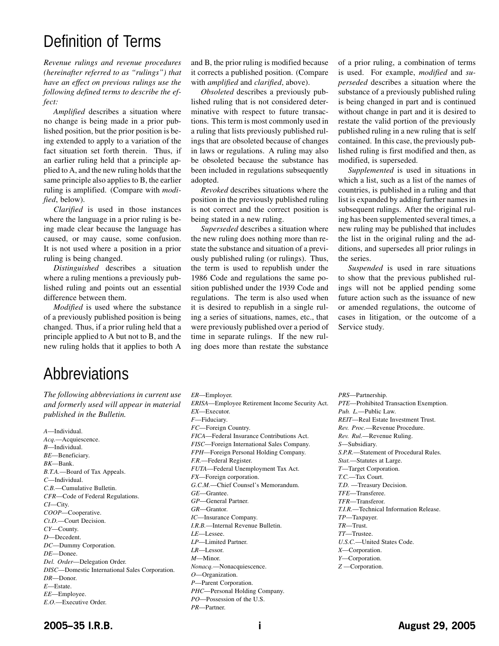# Definition of Terms

*Revenue rulings and revenue procedures (hereinafter referred to as "rulings") that have an effect on previous rulings use the following defined terms to describe the effect:*

*Amplified* describes a situation where no change is being made in a prior published position, but the prior position is being extended to apply to a variation of the fact situation set forth therein. Thus, if an earlier ruling held that a principle applied to A, and the new ruling holds that the same principle also applies to B, the earlier ruling is amplified. (Compare with *modified*, below).

*Clarified* is used in those instances where the language in a prior ruling is being made clear because the language has caused, or may cause, some confusion. It is not used where a position in a prior ruling is being changed.

*Distinguished* describes a situation where a ruling mentions a previously published ruling and points out an essential difference between them.

*Modified* is used where the substance of a previously published position is being changed. Thus, if a prior ruling held that a principle applied to A but not to B, and the new ruling holds that it applies to both A

and B, the prior ruling is modified because it corrects a published position. (Compare with *amplified* and *clarified*, above).

*Obsoleted* describes a previously published ruling that is not considered determinative with respect to future transactions. This term is most commonly used in a ruling that lists previously published rulings that are obsoleted because of changes in laws or regulations. A ruling may also be obsoleted because the substance has been included in regulations subsequently adopted.

*Revoked* describes situations where the position in the previously published ruling is not correct and the correct position is being stated in a new ruling.

*Superseded* describes a situation where the new ruling does nothing more than restate the substance and situation of a previously published ruling (or rulings). Thus, the term is used to republish under the 1986 Code and regulations the same position published under the 1939 Code and regulations. The term is also used when it is desired to republish in a single ruling a series of situations, names, etc., that were previously published over a period of time in separate rulings. If the new ruling does more than restate the substance

of a prior ruling, a combination of terms is used. For example, *modified* and *superseded* describes a situation where the substance of a previously published ruling is being changed in part and is continued without change in part and it is desired to restate the valid portion of the previously published ruling in a new ruling that is self contained. In this case, the previously published ruling is first modified and then, as modified, is superseded.

*Supplemented* is used in situations in which a list, such as a list of the names of countries, is published in a ruling and that list is expanded by adding further names in subsequent rulings. After the original ruling has been supplemented several times, a new ruling may be published that includes the list in the original ruling and the additions, and supersedes all prior rulings in the series.

*Suspended* is used in rare situations to show that the previous published rulings will not be applied pending some future action such as the issuance of new or amended regulations, the outcome of cases in litigation, or the outcome of a Service study.

# Abbreviations

*The following abbreviations in current use and formerly used will appear in material published in the Bulletin.*

*A*—Individual. *Acq.*—Acquiescence. *B*—Individual. *BE*—Beneficiary. *BK*—Bank. *B.T.A.*—Board of Tax Appeals. *C*—Individual. *C.B.*—Cumulative Bulletin. *CFR*—Code of Federal Regulations. *CI*—City. *COOP*—Cooperative. *Ct.D.*—Court Decision. *CY*—County. *D*—Decedent. *DC*—Dummy Corporation. *DE*—Donee. *Del. Order*—Delegation Order. *DISC*—Domestic International Sales Corporation. *DR*—Donor. *E*—Estate. *EE*—Employee. *E.O.*—Executive Order.

*ER*—Employer. *ERISA*—Employee Retirement Income Security Act. *EX*—Executor. *F*—Fiduciary. *FC*—Foreign Country. *FICA*—Federal Insurance Contributions Act. *FISC*—Foreign International Sales Company. *FPH*—Foreign Personal Holding Company. *F.R.*—Federal Register. *FUTA*—Federal Unemployment Tax Act. *FX*—Foreign corporation. *G.C.M.*—Chief Counsel's Memorandum. *GE*—Grantee. *GP*—General Partner. *GR*—Grantor. *IC*—Insurance Company. *I.R.B.*—Internal Revenue Bulletin. *LE*—Lessee. *LP*—Limited Partner. *LR*—Lessor. *M*—Minor. *Nonacq.*—Nonacquiescence. *O*—Organization. *P*—Parent Corporation. *PHC*—Personal Holding Company. *PO*—Possession of the U.S.

*PRS*—Partnership. *PTE*—Prohibited Transaction Exemption. *Pub. L.*—Public Law. *REIT*—Real Estate Investment Trust. *Rev. Proc.*—Revenue Procedure. *Rev. Rul.*—Revenue Ruling. *S*—Subsidiary. *S.P.R.*—Statement of Procedural Rules. *Stat.*—Statutes at Large. *T*—Target Corporation. *T.C.*—Tax Court. *T.D.* —Treasury Decision. *TFE*—Transferee. *TFR*—Transferor. *T.I.R.*—Technical Information Release. *TP*—Taxpayer. *TR*—Trust. *TT*—Trustee. *U.S.C.*—United States Code. *X*—Corporation. *Y*—Corporation. *Z* —Corporation.

*PR*—Partner.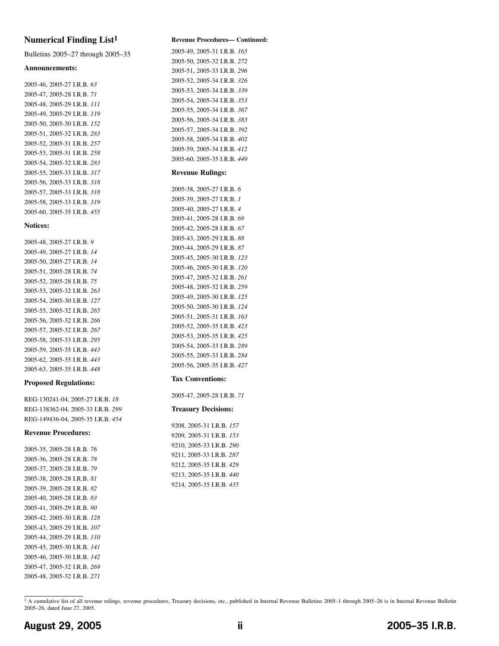# **Numerical Finding List1**

Bulletins 2005–27 through 2005–35

#### **Announcements:**

2005-46, 2005-27 I.R.B. *63* 2005-47, 2005-28 I.R.B. *71* 2005-48, 2005-29 I.R.B. *111* 2005-49, 2005-29 I.R.B. *119* 2005-50, 2005-30 I.R.B. *152* 2005-51, 2005-32 I.R.B. *283* 2005-52, 2005-31 I.R.B. *257* 2005-53, 2005-31 I.R.B. *258* 2005-54, 2005-32 I.R.B. *283* 2005-55, 2005-33 I.R.B. *317* 2005-56, 2005-33 I.R.B. *318* 2005-57, 2005-33 I.R.B. *318* 2005-58, 2005-33 I.R.B. *319* 2005-60, 2005-35 I.R.B. *[455](#page-36-0)*

#### **Notices:**

2005-48, 2005-27 I.R.B. *9* 2005-49, 2005-27 I.R.B. *14* 2005-50, 2005-27 I.R.B. *14* 2005-51, 2005-28 I.R.B. *74* 2005-52, 2005-28 I.R.B. *75* 2005-53, 2005-32 I.R.B. *263* 2005-54, 2005-30 I.R.B. *127* 2005-55, 2005-32 I.R.B. *265* 2005-56, 2005-32 I.R.B. *266* 2005-57, 2005-32 I.R.B. *267* 2005-58, 2005-33 I.R.B. *295* 2005-59, 2005-35 I.R.B. *[443](#page-24-0)* 2005-62, 2005-35 I.R.B. *[443](#page-24-0)* 2005-63, 2005-35 I.R.B. *[448](#page-29-0)*

#### **Proposed Regulations:**

REG-130241-04, 2005-27 I.R.B. *18* REG-138362-04, 2005-33 I.R.B. *299* REG-149436-04, 2005-35 I.R.B. *[454](#page-35-0)*

#### **Revenue Procedures:**

2005-35, 2005-28 I.R.B. *76* 2005-36, 2005-28 I.R.B. *78* 2005-37, 2005-28 I.R.B. *79* 2005-38, 2005-28 I.R.B. *81* 2005-39, 2005-28 I.R.B. *82* 2005-40, 2005-28 I.R.B. *83* 2005-41, 2005-29 I.R.B. *90* 2005-42, 2005-30 I.R.B. *128* 2005-43, 2005-29 I.R.B. *107* 2005-44, 2005-29 I.R.B. *110* 2005-45, 2005-30 I.R.B. *141* 2005-46, 2005-30 I.R.B. *142* 2005-47, 2005-32 I.R.B. *269* 2005-48, 2005-32 I.R.B. *271*

#### **Revenue Procedures— Continued:**

2005-49, 2005-31 I.R.B. *165* 2005-50, 2005-32 I.R.B. *272* 2005-51, 2005-33 I.R.B. *296* 2005-52, 2005-34 I.R.B. *326* 2005-53, 2005-34 I.R.B. *339* 2005-54, 2005-34 I.R.B. *353* 2005-55, 2005-34 I.R.B. *367* 2005-56, 2005-34 I.R.B. *383* 2005-57, 2005-34 I.R.B. *392* 2005-58, 2005-34 I.R.B. *402* 2005-59, 2005-34 I.R.B. *412* 2005-60, 2005-35 I.R.B. *[449](#page-30-0)*

#### **Revenue Rulings:**

2005-38, 2005-27 I.R.B. *6* 2005-39, 2005-27 I.R.B. *1* 2005-40, 2005-27 I.R.B. *4* 2005-41, 2005-28 I.R.B. *69* 2005-42, 2005-28 I.R.B. *67* 2005-43, 2005-29 I.R.B. *88* 2005-44, 2005-29 I.R.B. *87* 2005-45, 2005-30 I.R.B. *123* 2005-46, 2005-30 I.R.B. *120* 2005-47, 2005-32 I.R.B. *261* 2005-48, 2005-32 I.R.B. *259* 2005-49, 2005-30 I.R.B. *125* 2005-50, 2005-30 I.R.B. *124* 2005-51, 2005-31 I.R.B. *163* 2005-52, 2005-35 I.R.B. *[423](#page-4-0)* 2005-53, 2005-35 I.R.B. *[425](#page-6-0)* 2005-54, 2005-33 I.R.B. *289* 2005-55, 2005-33 I.R.B. *284* 2005-56, 2005-35 I.R.B. *[427](#page-8-0)*

#### **Tax Conventions:**

2005-47, 2005-28 I.R.B. *71*

#### **Treasury Decisions:**

9208, 2005-31 I.R.B. *157* 9209, 2005-31 I.R.B. *153* 9210, 2005-33 I.R.B. *290* 9211, 2005-33 I.R.B. *287* 9212, 2005-35 I.R.B. *[429](#page-10-0)* 9213, 2005-35 I.R.B. *[440](#page-21-0)* 9214, 2005-35 I.R.B. *[435](#page-16-0)*

<sup>1</sup> A cumulative list of all revenue rulings, revenue procedures, Treasury decisions, etc., published in Internal Revenue Bulletins 2005-1 through 2005-26 is in Internal Revenue Bulletin 2005–26, dated June 27, 2005.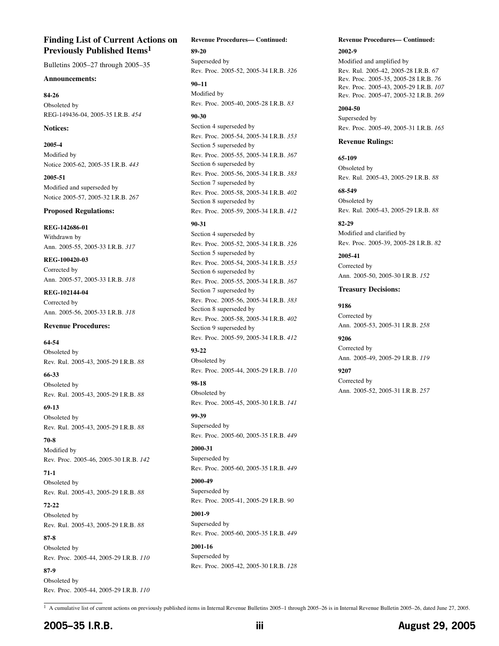# **Finding List of Current Actions on Previously Published Items1**

Bulletins 2005–27 through 2005–35

### **Announcements:**

**84-26** Obsoleted by REG-149436-04, 2005-35 I.R.B. *[454](#page-35-0)*

### **Notices:**

**2005-4** Modified by Notice 2005-62, 2005-35 I.R.B. *[443](#page-24-0)*

**2005-51** Modified and superseded by Notice 2005-57, 2005-32 I.R.B. *267*

### **Proposed Regulations:**

**REG-142686-01** Withdrawn by Ann. 2005-55, 2005-33 I.R.B. *317*

**REG-100420-03** Corrected by Ann. 2005-57, 2005-33 I.R.B. *318*

**REG-102144-04** Corrected by Ann. 2005-56, 2005-33 I.R.B. *318*

## **Revenue Procedures:**

**64-54** Obsoleted by Rev. Rul. 2005-43, 2005-29 I.R.B. *88*

**66-33** Obsoleted by Rev. Rul. 2005-43, 2005-29 I.R.B. *88*

**69-13** Obsoleted by Rev. Rul. 2005-43, 2005-29 I.R.B. *88*

**70-8** Modified by Rev. Proc. 2005-46, 2005-30 I.R.B. *142*

**71-1** Obsoleted by Rev. Rul. 2005-43, 2005-29 I.R.B. *88*

**72-22** Obsoleted by Rev. Rul. 2005-43, 2005-29 I.R.B. *88*

**87-8** Obsoleted by Rev. Proc. 2005-44, 2005-29 I.R.B. *110*

**87-9** Obsoleted by Rev. Proc. 2005-44, 2005-29 I.R.B. *110*

#### **Revenue Procedures— Continued:**

**89-20** Superseded by Rev. Proc. 2005-52, 2005-34 I.R.B. *326*

**90–11** Modified by Rev. Proc. 2005-40, 2005-28 I.R.B. *83*

#### **90-30**

Section 4 superseded by Rev. Proc. 2005-54, 2005-34 I.R.B. *353* Section 5 superseded by Rev. Proc. 2005-55, 2005-34 I.R.B. *367* Section 6 superseded by Rev. Proc. 2005-56, 2005-34 I.R.B. *383* Section 7 superseded by Rev. Proc. 2005-58, 2005-34 I.R.B. *402* Section 8 superseded by Rev. Proc. 2005-59, 2005-34 I.R.B. *412*

## **90-31**

Section 4 superseded by Rev. Proc. 2005-52, 2005-34 I.R.B. *326* Section 5 superseded by Rev. Proc. 2005-54, 2005-34 I.R.B. *353* Section 6 superseded by Rev. Proc. 2005-55, 2005-34 I.R.B. *367* Section 7 superseded by Rev. Proc. 2005-56, 2005-34 I.R.B. *383* Section 8 superseded by Rev. Proc. 2005-58, 2005-34 I.R.B. *402* Section 9 superseded by Rev. Proc. 2005-59, 2005-34 I.R.B. *412*

**93-22** Obsoleted by Rev. Proc. 2005-44, 2005-29 I.R.B. *110*

**98-18** Obsoleted by Rev. Proc. 2005-45, 2005-30 I.R.B. *141*

**99-39** Superseded by Rev. Proc. 2005-60, 2005-35 I.R.B. *[449](#page-30-0)*

**2000-31** Superseded by Rev. Proc. 2005-60, 2005-35 I.R.B. *[449](#page-30-0)*

**2000-49** Superseded by Rev. Proc. 2005-41, 2005-29 I.R.B. *90*

**2001-9** Superseded by Rev. Proc. 2005-60, 2005-35 I.R.B. *[449](#page-30-0)*

**2001-16** Superseded by Rev. Proc. 2005-42, 2005-30 I.R.B. *128*

# **Revenue Procedures— Continued:**

**2002-9** Modified and amplified by Rev. Rul. 2005-42, 2005-28 I.R.B. *67* Rev. Proc. 2005-35, 2005-28 I.R.B. *76* Rev. Proc. 2005-43, 2005-29 I.R.B. *107* Rev. Proc. 2005-47, 2005-32 I.R.B. *269*

**2004-50** Superseded by Rev. Proc. 2005-49, 2005-31 I.R.B. *165*

## **Revenue Rulings:**

**65-109** Obsoleted by Rev. Rul. 2005-43, 2005-29 I.R.B. *88*

**68-549** Obsoleted by Rev. Rul. 2005-43, 2005-29 I.R.B. *88*

**82-29** Modified and clarified by Rev. Proc. 2005-39, 2005-28 I.R.B. *82*

**2005-41** Corrected by Ann. 2005-50, 2005-30 I.R.B. *152*

## **Treasury Decisions:**

**9186** Corrected by Ann. 2005-53, 2005-31 I.R.B. *258*

**9206** Corrected by Ann. 2005-49, 2005-29 I.R.B. *119*

**9207** Corrected by Ann. 2005-52, 2005-31 I.R.B. *257*

1 A cumulative list of current actions on previously published items in Internal Revenue Bulletins 2005–1 through 2005–26 is in Internal Revenue Bulletin 2005–26, dated June 27, 2005.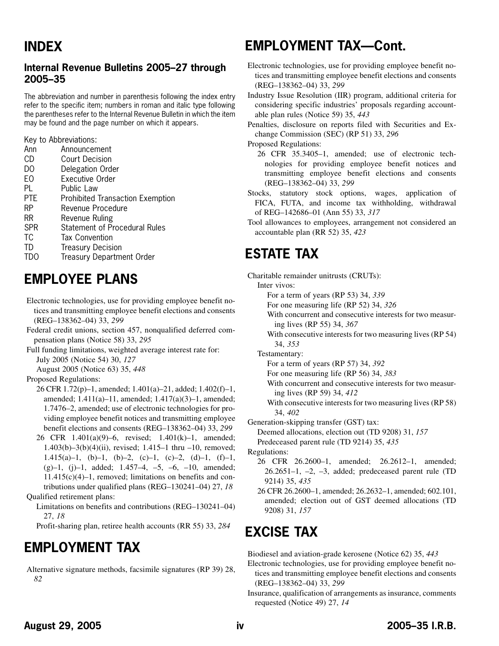# **Internal Revenue Bulletins 2005–27 through 2005–35**

The abbreviation and number in parenthesis following the index entry refer to the specific item; numbers in roman and italic type following the parentheses refer to the Internal Revenue Bulletin in which the item may be found and the page number on which it appears.

Key to Abbreviations:

| Ann        | Announcement                            |
|------------|-----------------------------------------|
| CD         | <b>Court Decision</b>                   |
| DO         | Delegation Order                        |
| EО         | Executive Order                         |
| PL         | Public Law                              |
| PTE        | <b>Prohibited Transaction Exemption</b> |
| RP         | Revenue Procedure                       |
| RR         | Revenue Ruling                          |
| <b>SPR</b> | <b>Statement of Procedural Rules</b>    |
| <b>TC</b>  | <b>Tax Convention</b>                   |
| TD         | <b>Treasury Decision</b>                |
| TDO        | <b>Treasury Department Order</b>        |
|            |                                         |

# **EMPLOYEE PLANS**

- Electronic technologies, use for providing employee benefit notices and transmitting employee benefit elections and consents (REG–138362–04) 33, *299*
- Federal credit unions, section 457, nonqualified deferred compensation plans (Notice 58) 33, *295*
- Full funding limitations, weighted average interest rate for: July 2005 (Notice 54) 30, *127*

August 2005 (Notice 63) 35, *[448](#page-29-0)*

Proposed Regulations:

- 26 CFR 1.72(p)–1, amended; 1.401(a)–21, added; 1.402(f)–1, amended; 1.411(a)–11, amended; 1.417(a)(3)–1, amended; 1.7476–2, amended; use of electronic technologies for providing employee benefit notices and transmitting employee benefit elections and consents (REG–138362–04) 33, *299*
- 26 CFR 1.401(a)(9)–6, revised; 1.401(k)–1, amended; 1.403(b)–3(b)(4)(ii), revised; 1.415–1 thru –10, removed; 1.415(a)–1, (b)–1, (b)–2, (c)–1, (c)–2, (d)–1, (f)–1,  $(g)-1$ ,  $(j)-1$ , added;  $1.457-4$ ,  $-5$ ,  $-6$ ,  $-10$ , amended;  $11.415(c)(4)-1$ , removed; limitations on benefits and contributions under qualified plans (REG–130241–04) 27, *18* Qualified retirement plans:
	- Limitations on benefits and contributions (REG–130241–04) 27, *18*

Profit-sharing plan, retiree health accounts (RR 55) 33, *284*

# **EMPLOYMENT TAX**

Alternative signature methods, facsimile signatures (RP 39) 28, *82*

# **EMPLOYMENT TAX—Cont.**

- Electronic technologies, use for providing employee benefit notices and transmitting employee benefit elections and consents (REG–138362–04) 33, *299*
- Industry Issue Resolution (IIR) program, additional criteria for considering specific industries' proposals regarding accountable plan rules (Notice 59) 35, *[443](#page-24-0)*

Penalties, disclosure on reports filed with Securities and Exchange Commission (SEC) (RP 51) 33, *296*

Proposed Regulations:

- 26 CFR 35.3405–1, amended; use of electronic technologies for providing employee benefit notices and transmitting employee benefit elections and consents (REG–138362–04) 33, *299*
- Stocks, statutory stock options, wages, application of FICA, FUTA, and income tax withholding, withdrawal of REG–142686–01 (Ann 55) 33, *317*
- Tool allowances to employees, arrangement not considered an accountable plan (RR 52) 35, *[423](#page-4-0)*

# **ESTATE TAX**

Charitable remainder unitrusts (CRUTs):

Inter vivos:

For a term of years (RP 53) 34, *339*

For one measuring life (RP 52) 34, *326*

With concurrent and consecutive interests for two measuring lives (RP 55) 34, *367*

With consecutive interests for two measuring lives (RP 54) 34, *353*

Testamentary:

For a term of years (RP 57) 34, *392*

For one measuring life (RP 56) 34, *383*

With concurrent and consecutive interests for two measuring lives (RP 59) 34, *412*

With consecutive interests for two measuring lives (RP 58) 34, *402*

Generation-skipping transfer (GST) tax:

Deemed allocations, election out (TD 9208) 31, *157*

Predeceased parent rule (TD 9214) 35, *[435](#page-16-0)*

Regulations:

26 CFR 26.2600–1, amended; 26.2612–1, amended; 26.2651–1, –2, –3, added; predeceased parent rule (TD 9214) 35, *[435](#page-16-0)*

26 CFR 26.2600–1, amended; 26.2632–1, amended; 602.101, amended; election out of GST deemed allocations (TD 9208) 31, *157*

# **EXCISE TAX**

Biodiesel and aviation-grade kerosene (Notice 62) 35, *[443](#page-24-0)*

Electronic technologies, use for providing employee benefit notices and transmitting employee benefit elections and consents (REG–138362–04) 33, *299*

Insurance, qualification of arrangements as insurance, comments requested (Notice 49) 27, *14*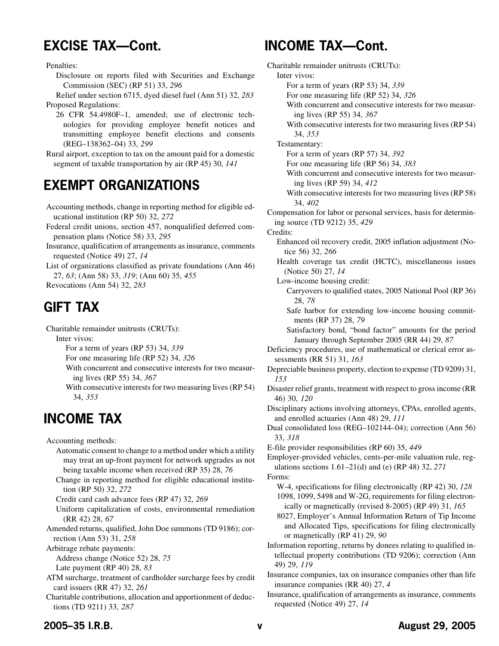# **EXCISE TAX—Cont.**

Penalties:

Disclosure on reports filed with Securities and Exchange Commission (SEC) (RP 51) 33, *296*

Relief under section 6715, dyed diesel fuel (Ann 51) 32, *283* Proposed Regulations:

26 CFR 54.4980F–1, amended; use of electronic technologies for providing employee benefit notices and transmitting employee benefit elections and consents (REG–138362–04) 33, *299*

Rural airport, exception to tax on the amount paid for a domestic segment of taxable transportation by air (RP 45) 30, *141*

# **EXEMPT ORGANIZATIONS**

Accounting methods, change in reporting method for eligible educational institution (RP 50) 32, *272*

- Federal credit unions, section 457, nonqualified deferred compensation plans (Notice 58) 33, *295*
- Insurance, qualification of arrangements as insurance, comments requested (Notice 49) 27, *14*

List of organizations classified as private foundations (Ann 46) 27, *63*; (Ann 58) 33, *319*; (Ann 60) 35, *[455](#page-36-0)*

Revocations (Ann 54) 32, *283*

# **GIFT TAX**

Charitable remainder unitrusts (CRUTs):

Inter vivos:

- For a term of years (RP 53) 34, *339*
- For one measuring life (RP 52) 34, *326*
- With concurrent and consecutive interests for two measuring lives (RP 55) 34, *367*

With consecutive interests for two measuring lives (RP 54) 34, *353*

# **INCOME TAX**

Accounting methods:

- Automatic consent to change to a method under which a utility may treat an up-front payment for network upgrades as not being taxable income when received (RP 35) 28, *76*
- Change in reporting method for eligible educational institution (RP 50) 32, *272*
- Credit card cash advance fees (RP 47) 32, *269*
- Uniform capitalization of costs, environmental remediation (RR 42) 28, *67*
- Amended returns, qualified, John Doe summons (TD 9186); correction (Ann 53) 31, *258*

Arbitrage rebate payments:

Address change (Notice 52) 28, *75* Late payment (RP 40) 28, *83*

ATM surcharge, treatment of cardholder surcharge fees by credit card issuers (RR 47) 32, *261*

Charitable contributions, allocation and apportionment of deductions (TD 9211) 33, *287*

# **INCOME TAX—Cont.**

- Charitable remainder unitrusts (CRUTs): Inter vivos: For a term of years (RP 53) 34, *339* For one measuring life (RP 52) 34, *326* With concurrent and consecutive interests for two measuring lives (RP 55) 34, *367* With consecutive interests for two measuring lives (RP 54) 34, *353* Testamentary: For a term of years (RP 57) 34, *392* For one measuring life (RP 56) 34, *383* With concurrent and consecutive interests for two measuring lives (RP 59) 34, *412* With consecutive interests for two measuring lives (RP 58) 34, *402* Compensation for labor or personal services, basis for determining source (TD 9212) 35, *[429](#page-10-0)* Credits: Enhanced oil recovery credit, 2005 inflation adjustment (Notice 56) 32, *266* Health coverage tax credit (HCTC), miscellaneous issues (Notice 50) 27, *14* Low-income housing credit: Carryovers to qualified states, 2005 National Pool (RP 36) 28, *78* Safe harbor for extending low-income housing commitments (RP 37) 28, *79* Satisfactory bond, "bond factor" amounts for the period January through September 2005 (RR 44) 29, *87* Deficiency procedures, use of mathematical or clerical error assessments (RR 51) 31, *163* Depreciable business property, election to expense (TD 9209) 31, *153* Disaster relief grants, treatment with respect to gross income (RR 46) 30, *120* Disciplinary actions involving attorneys, CPAs, enrolled agents, and enrolled actuaries (Ann 48) 29, *111* Dual consolidated loss (REG–102144–04); correction (Ann 56) 33, *318* E-file provider responsibilities (RP 60) 35, *[449](#page-30-0)* Employer-provided vehicles, cents-per-mile valuation rule, regulations sections 1.61–21(d) and (e) (RP 48) 32, *271* Forms: W-4, specifications for filing electronically (RP 42) 30, *128* 1098, 1099, 5498 and W-2G, requirements for filing electronically or magnetically (revised 8-2005) (RP 49) 31, *165* 8027, Employer's Annual Information Return of Tip Income and Allocated Tips, specifications for filing electronically or magnetically (RP 41) 29, *90* Information reporting, returns by donees relating to qualified intellectual property contributions (TD 9206); correction (Ann 49) 29, *119* Insurance companies, tax on insurance companies other than life insurance companies (RR 40) 27, *4*
- Insurance, qualification of arrangements as insurance, comments requested (Notice 49) 27, *14*